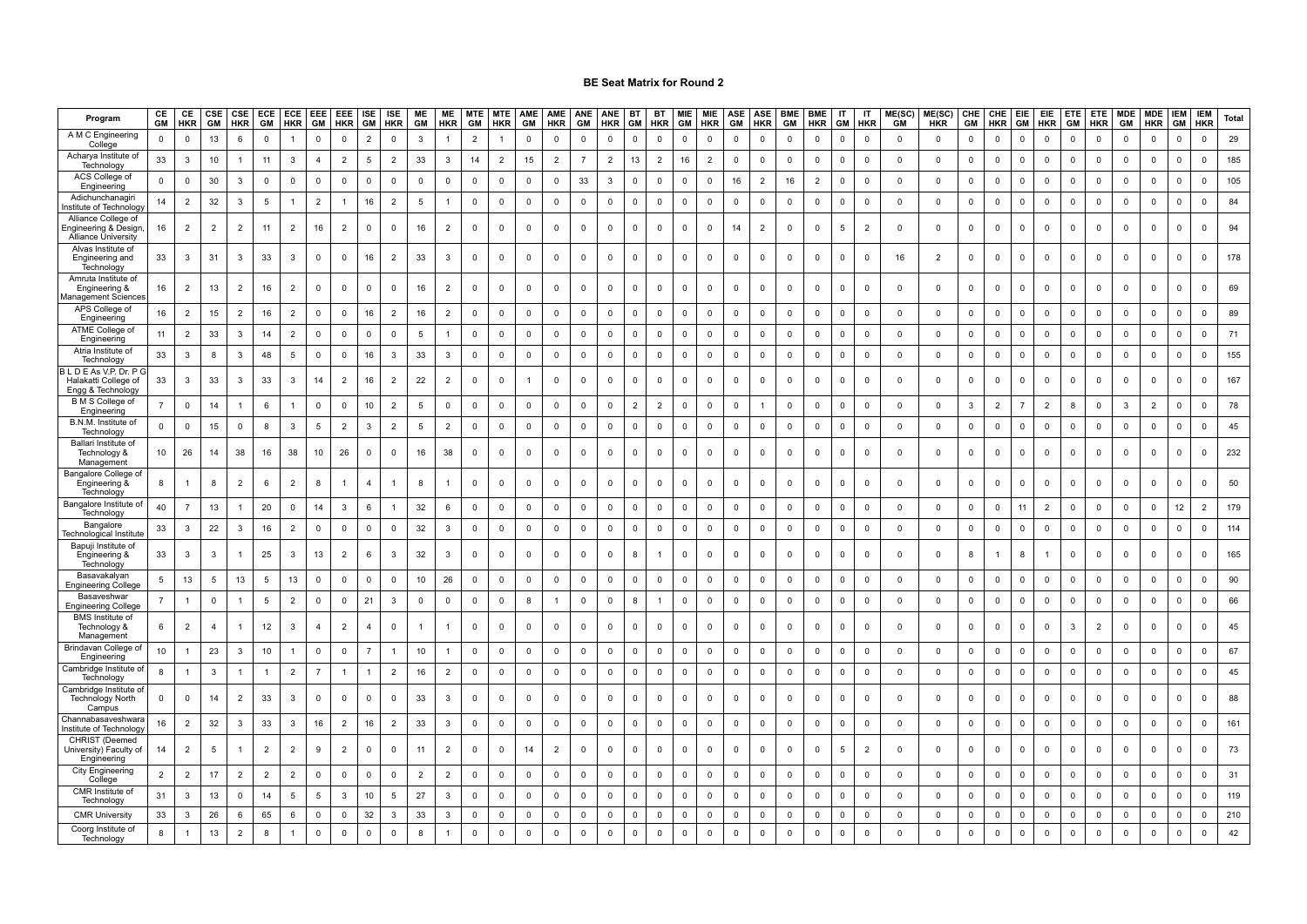| Program                                                                   | CE<br>GM       | CE<br><b>HKR</b>        | CSE<br>GM      | <b>HKR</b>     | <b>GM</b>      | CSE ECE ECE<br><b>HKR</b> | <b>EEE</b><br>GM | EEE<br><b>HKR</b>   | <b>ISE</b><br><b>GM</b> | <b>ISE</b><br><b>HKR</b> | ME<br>GM       | <b>ME</b><br>HKR | <b>MTE</b><br>GM        | <b>MTE</b><br><b>HKR</b> | AME<br>GM      | AME<br><b>HKR</b> | GM             | ANE ANE<br><b>HKR</b>   | <b>BT</b><br>GM | <b>BT</b><br><b>HKR</b> | GM           | MIE MIE<br><b>HKR</b> | ASE<br>GM   | ASE<br><b>HKR</b>       | <b>BME</b><br>GM    | <b>BME</b><br><b>HKR</b> | IT<br>GM                | $\mathsf{I}\mathsf{T}$<br><b>HKR</b> | $ME(SC)$<br>$GM$ | ME(SC)<br><b>HKR</b> | CHE<br>GM           | CHE<br><b>HKR</b> | <b>EIE</b><br>GM | EIE<br><b>HKR</b> | <b>ETE</b><br><b>GM</b> | <b>ETE</b><br><b>HKR</b> |              | MDE MDE<br>GM HKR       | <b>IEM</b><br>GM | <b>IEM</b><br><b>HKR</b> | <b>Total</b> |
|---------------------------------------------------------------------------|----------------|-------------------------|----------------|----------------|----------------|---------------------------|------------------|---------------------|-------------------------|--------------------------|----------------|------------------|-------------------------|--------------------------|----------------|-------------------|----------------|-------------------------|-----------------|-------------------------|--------------|-----------------------|-------------|-------------------------|---------------------|--------------------------|-------------------------|--------------------------------------|------------------|----------------------|---------------------|-------------------|------------------|-------------------|-------------------------|--------------------------|--------------|-------------------------|------------------|--------------------------|--------------|
| A M C Engineering<br>College                                              | $\mathbf 0$    | $\overline{0}$          | 13             | 6              | $\mathbf 0$    |                           | $\mathbf 0$      | $\mathbf 0$         | $\overline{2}$          | $\mathbf 0$              | 3              |                  | $\overline{2}$          |                          | $\mathbf 0$    | 0                 | $\mathbf 0$    | $\mathbf 0$             | $\mathbf 0$     | $\mathbf 0$             | $\Omega$     | $\mathbf 0$           | $\mathbf 0$ | $\overline{0}$          | 0                   | $\mathbf 0$              | $\mathbf 0$             | $\overline{0}$                       | $\mathbf{0}$     | $\mathbf 0$          | $\mathbf 0$         | $\mathbf 0$       | $\mathbf 0$      | $\mathbf 0$       | $\overline{0}$          | $\mathbf 0$              | $\mathbf 0$  | $\mathbf 0$             | $\mathbf 0$      | $\mathbf 0$              | 29           |
| Acharya Institute of<br>Technology                                        | 33             | $\overline{\mathbf{3}}$ | 10             |                | 11             | $\mathbf{3}$              | $\overline{4}$   | $\overline{2}$      | 5                       | $\overline{2}$           | 33             | $\mathbf{3}$     | 14                      | $\overline{2}$           | 15             | $\overline{2}$    | $\overline{7}$ | $\overline{2}$          | 13              | $\overline{2}$          | 16           | $\overline{2}$        | $\mathsf 0$ | $\mathbf 0$             | $\mathbf 0$         | $\mathbf 0$              | $\overline{0}$          | $\overline{\mathbf{0}}$              | $\mathsf 0$      | $\mathsf 0$          | $\mathsf{O}\xspace$ | $\mathsf 0$       | $\mathbf 0$      | $\mathbf 0$       | $\mathsf 0$             | $\mathsf 0$              | $\mathbf 0$  | $\mathbf 0$             | $\mathsf 0$      | $\mathbf 0$              | 185          |
| ACS College of<br>Engineering                                             | $\mathbf 0$    | $\mathsf 0$             | 30             | 3              | $\mathbf 0$    | $\mathbf 0$               | $\mathbf 0$      | $\mathbf 0$         | $\mathbf 0$             | $\mathbf 0$              | $\mathbf 0$    | $\mathbf 0$      | $\mathbf 0$             | $\mathbf 0$              | $\mathbf 0$    | $\mathbf 0$       | 33             | $\mathbf{3}$            | $\mathbf 0$     | $\mathbf 0$             | $\mathbf 0$  | $\mathbf{0}$          | 16          | 2                       | 16                  | $\overline{2}$           | $\overline{0}$          | $\mathbf 0$                          | $\mathbf 0$      | $\mathbf 0$          | $\mathbf 0$         | $\mathbf 0$       | $\mathbf 0$      | $\mathbf 0$       | $\mathsf 0$             | $\mathbf 0$              | $\mathbf 0$  | $\overline{0}$          | $\mathbf 0$      | $\mathbf 0$              | 105          |
| Adichunchanagir<br>nstitute of Technolog                                  | 14             | $\overline{2}$          | 32             | 3              | 5              | $\mathbf{1}$              | $\overline{2}$   | 1                   | 16                      | $\overline{2}$           | 5              | $\mathbf{1}$     | $\mathbf 0$             | $\mathsf 0$              | $\mathbf 0$    | $\mathbf 0$       | $\mathbf 0$    | $\mathbf 0$             | $\mathbf 0$     | $\mathsf 0$             | $\mathbf 0$  | $\mathbf{0}$          | $\mathsf 0$ | $\overline{0}$          | $\mathbf 0$         | $\mathbf 0$              | $\mathsf 0$             | $\mathbf 0$                          | $\mathbf 0$      | $\mathsf 0$          | $\mathsf 0$         | $\mathsf 0$       | $\mathbf 0$      | $\mathbf 0$       | $\mathsf 0$             | $\mathsf 0$              | $\mathbf 0$  | $\mathbf 0$             | $\mathbf 0$      | $\mathbf 0$              | 84           |
| Alliance College of<br>Engineering & Design<br><b>Alliance University</b> | 16             | $\overline{2}$          | $\overline{2}$ | $\overline{2}$ | 11             | $\overline{2}$            | 16               | $\overline{2}$      | $\mathbf 0$             | $\mathbf 0$              | 16             | $\overline{2}$   | $\mathbf 0$             | 0                        | $\mathbf 0$    | 0                 | 0              | $\mathbf{0}$            | $\mathbf{0}$    | $\mathbf 0$             | $\mathbf 0$  | $\mathbf 0$           | 14          | $\overline{2}$          | $\mathbf{0}$        | $\mathbf 0$              | 5                       | $\overline{2}$                       | $\mathbf 0$      | $\mathbf 0$          | 0                   | $\mathbf 0$       | $\mathbf 0$      | $\mathbf 0$       | $\mathbf 0$             | 0                        | 0            | $\mathbf 0$             | $\mathbf 0$      | $\mathbf 0$              | 94           |
| Alvas Institute of<br>Engineering and<br>Technology                       | 33             | 3                       | 31             | 3              | 33             | $\mathbf{3}$              | $\mathbf 0$      | $\mathbf 0$         | 16                      | $\overline{2}$           | 33             | 3                | $\mathbf 0$             | $\mathbf 0$              | $\mathbf 0$    | 0                 | $\mathbf 0$    | $\mathbf 0$             | $\mathbf 0$     | $\mathbf 0$             | $\mathbf 0$  | $\mathbf{0}$          | $\mathbf 0$ | $\mathbf 0$             | $\mathbf 0$         | $\mathbf 0$              | $\mathbf 0$             | $\overline{0}$                       | 16               | $\overline{2}$       | $\mathbf 0$         | $\mathbf 0$       | $\mathbf 0$      | $\mathbf 0$       | $\mathbf 0$             | $\mathbf 0$              | $\mathbf 0$  | $\mathbf 0$             | $\mathbf 0$      | $\mathbf 0$              | 178          |
| Amruta Institute of<br>Engineering &<br>lanagement Science                | 16             | $\overline{2}$          | 13             | $\overline{2}$ | 16             | $\overline{2}$            | $\mathbf 0$      | $\mathbf 0$         | $\mathbf 0$             | $\mathbf 0$              | 16             | $\overline{2}$   | $\mathbf 0$             | $\mathbf 0$              | $\mathbf 0$    | $\mathbf 0$       | $\mathbf 0$    | $\mathbf 0$             | $\mathbf 0$     | $\mathbf 0$             | $\mathbf{0}$ | $\mathbf{0}$          | $\mathsf 0$ | $\overline{0}$          | $\mathbf 0$         | $\mathbf 0$              | $\overline{\mathbf{0}}$ | $\mathbf 0$                          | $\mathbf{0}$     | $\mathbf 0$          | $\mathbf 0$         | $\mathsf 0$       | $\mathbf 0$      | $\mathbf 0$       | $\mathbf 0$             | $\mathbf 0$              | $\mathbf 0$  | $\mathbf 0$             | $\mathbf 0$      | $\mathbf 0$              | 69           |
| APS College of<br>Engineering                                             | 16             | $\overline{2}$          | 15             | $\overline{2}$ | 16             | $\overline{2}$            | $\mathsf 0$      | $\mathsf{O}\xspace$ | 16                      | $\overline{2}$           | 16             | $\overline{2}$   | $\mathbf 0$             | $\mathbf 0$              | $\mathsf 0$    | $\mathsf 0$       | $\mathsf 0$    | $\mathbf 0$             | $\Omega$        | $\mathsf{O}\xspace$     | $\Omega$     | $\mathbf 0$           | $\mathsf 0$ | $\overline{\mathbf{0}}$ | $\mathbf 0$         | $\mathbf 0$              | $\overline{\mathbf{0}}$ | $\mathbf 0$                          | 0                | $\mathbf 0$          | $\mathbf 0$         | $\mathbf 0$       | $\Omega$         | $\mathbf 0$       | $\mathsf 0$             | $\mathbf 0$              | $\mathsf 0$  | $\overline{\mathbf{0}}$ | $\mathbf{0}$     | $\mathbf 0$              | 89           |
| ATME College of<br>Engineering                                            | 11             | $\overline{2}$          | 33             | 3              | 14             | $\overline{2}$            | $\mathbf 0$      | $\mathbf 0$         | $\mathbf{0}$            | $\mathbf 0$              | -5             |                  | $\mathbf 0$             | $\mathbf 0$              | $\mathbf 0$    | 0                 | 0              | $\mathbf 0$             | $\mathbf 0$     | $\mathbf 0$             | $\Omega$     | $\mathbf 0$           | $\mathbf 0$ | $\mathbf 0$             | $\mathbf{0}$        | $\mathbf 0$              | $\overline{0}$          | $\mathbf 0$                          | 0                | $\mathbf 0$          | $\mathbf 0$         | $\mathbf 0$       | $\Omega$         | 0                 | $\mathbf 0$             | $\mathbf 0$              | 0            | $\mathbf 0$             | $\mathbf 0$      | $\mathbf 0$              | 71           |
| Atria Institute of<br>Technology                                          | 33             | 3                       | 8              | 3              | 48             | 5                         | $\mathbf 0$      | $\mathbf{0}$        | 16                      | 3                        | 33             | 3                | $\mathbf 0$             | $\mathsf 0$              | $\mathsf 0$    | $\mathsf 0$       | 0              | $\mathbb O$             | $\mathbf 0$     | $\mathbf 0$             | $\mathbf 0$  | $\mathbf 0$           | $\mathsf 0$ | $\mathbf 0$             | $\mathbf 0$         | $\mathsf 0$              | $\mathsf 0$             | $\overline{0}$                       | 0                | $\mathbf 0$          | $\mathbf 0$         | $\mathsf 0$       | $\Omega$         | $\mathbf 0$       | $\mathsf 0$             | 0                        | $\mathbf 0$  | $\mathbf 0$             | $\mathbf{0}$     | $\mathbf 0$              | 155          |
| BLDEAs V.P. Dr. P<br>Halakatti College of<br>Engg & Technology            | 33             | 3                       | 33             | 3              | 33             | $\mathbf{3}$              | 14               | $\overline{2}$      | 16                      | $\overline{2}$           | 22             | $\overline{2}$   | $\mathbf 0$             | $\mathbf 0$              | $\overline{1}$ | $\mathbf 0$       | 0              | $\mathbf 0$             | $\Omega$        | $\mathbf 0$             | $\mathsf 0$  | $\mathbf 0$           | $\mathsf 0$ | $\mathbf 0$             | $\mathbf 0$         | $\mathbf 0$              | $\mathbf 0$             | $\mathbf 0$                          | 0                | $\mathbf 0$          | $\mathbf 0$         | $\mathbf 0$       | $\mathbf 0$      | $\mathbf 0$       | $\mathsf 0$             | $\mathsf 0$              | $\mathbf 0$  | $\mathbf 0$             | $\mathbf{0}$     | $\mathbf 0$              | 167          |
| <b>B</b> M S College of<br>Engineering                                    | $\overline{7}$ | $\mathbf 0$             | 14             |                | 6              |                           | $\mathsf 0$      | $\mathbf 0$         | $10$                    | $\overline{2}$           | 5              | $\mathbf 0$      | $\mathbf 0$             | $\mathsf 0$              | $\mathsf 0$    | $\mathsf 0$       | 0              | $\overline{0}$          | $\overline{2}$  | $\overline{2}$          | $\mathsf 0$  | $\mathbf 0$           | $\mathsf 0$ | $\overline{1}$          | $\mathbf 0$         | $\mathbf 0$              | $\mathbf 0$             | $\overline{\mathbf{0}}$              | 0                | $\mathsf 0$          | 3                   | $\overline{2}$    | $\overline{7}$   | $\overline{2}$    | 8                       | 0                        | 3            | $\overline{2}$          | $\mathbf 0$      | $\mathbf 0$              | 78           |
| B.N.M. Institute of<br>Technology                                         | $\mathbf 0$    | $\mathbf 0$             | 15             | $\mathbf 0$    | 8              | $\mathbf{3}$              | 5                | $\overline{2}$      | $\mathbf{3}$            | $\overline{2}$           | $\sqrt{5}$     | $\overline{2}$   | $\mathbb O$             | $\mathsf 0$              | $\mathsf 0$    | $\mathbf 0$       | $\mathbf 0$    | $\mathbf 0$             | $\overline{0}$  | $\mathbf 0$             | $\mathsf{O}$ | $\mathbf 0$           | $\mathsf 0$ | $\overline{\mathbf{0}}$ | $\mathbf 0$         | $\mathsf 0$              | $\overline{\mathbf{0}}$ | $\overline{\mathbf{0}}$              | $\mathsf 0$      | $\mathsf 0$          | $\mathsf{O}\xspace$ | $\mathbf 0$       | $\mathbf 0$      | $\mathbf 0$       | $\mathsf 0$             | $\mathsf 0$              | $\mathbf 0$  | $\overline{\mathbf{0}}$ | $\mathsf 0$      | $\mathbf 0$              | 45           |
| Ballari Institute of<br>Technology &<br>Management                        | 10             | 26                      | 14             | 38             | 16             | 38                        | 10               | 26                  | $^{\circ}$              | $\Omega$                 | 16             | 38               | $\mathbf{0}$            | $\mathbf 0$              | $\Omega$       | $\Omega$          | 0              | $\mathbf{0}$            | $\Omega$        | $\mathbf 0$             | $\Omega$     | $\mathbf 0$           | $\mathbf 0$ | $\Omega$                | $\mathbf{0}$        | $\mathbf 0$              | $\Omega$                | $\overline{0}$                       | $\Omega$         | $\mathbf 0$          | $\mathbf 0$         | $\mathbf 0$       | $\Omega$         | $\mathbf 0$       | $\mathbf 0$             | $\mathbf 0$              | $\mathbf{0}$ | $\mathbf 0$             | $\Omega$         | $\mathbf 0$              | 232          |
| Bangalore College of<br>Engineering &<br>Technology                       | 8              |                         | 8              | $\overline{2}$ | 6              | $\overline{2}$            | 8                |                     | $\overline{4}$          |                          | 8              |                  | $\mathbf 0$             | $\mathbf 0$              | $\mathbf 0$    | 0                 | $\mathbf 0$    | $\mathbf 0$             | $\Omega$        | $\mathbf 0$             | $^{\circ}$   | $\mathbf 0$           | $\mathbf 0$ | $\overline{0}$          | $\mathbf 0$         | $^{\circ}$               | $\overline{0}$          | $\mathbf{0}$                         | $\Omega$         | $\mathbf 0$          | $\mathbf 0$         | $\mathbf 0$       | $\Omega$         | $\mathbf 0$       | $\mathbf 0$             | 0                        | $\mathbf 0$  | $\mathbf 0$             | $^{\circ}$       | $\mathbf 0$              | 50           |
| Bangalore Institute of<br>Technology                                      | 40             | $\overline{7}$          | 13             |                | 20             | $\mathbf 0$               | 14               | 3                   | 6                       |                          | 32             | 6                | $\mathbf 0$             | 0                        | $\mathbf 0$    | $\mathbf 0$       | 0              | $\overline{\mathbf{0}}$ | $\Omega$        | $\mathbf 0$             | $\mathbf 0$  | $\overline{0}$        | $\mathbf 0$ | $\mathsf 0$             | 0                   | $\mathbf 0$              | $\mathbf 0$             | $\mathbf 0$                          | $\mathbf 0$      | $\mathbf 0$          | $\mathbf 0$         | $\mathbf 0$       | 11               | $\overline{2}$    | $\mathbf 0$             | $\mathbf 0$              | $\mathbf 0$  | $\mathbf 0$             | 12               | $\overline{2}$           | 179          |
| Bangalore<br>โechnological Institut                                       | 33             | 3                       | 22             | 3              | 16             | $\overline{2}$            | $\mathbf 0$      | $\mathbf 0$         | $\mathbf 0$             | $\mathbf 0$              | 32             | 3                | $\mathbf 0$             | $\mathbf 0$              | $\mathbf 0$    | $\mathbf 0$       | 0              | $\mathbf 0$             | $\mathbf 0$     | $\mathbf 0$             | $\mathbf 0$  | $\mathbf 0$           | $\mathbf 0$ | $\mathbf 0$             | $\mathbf{0}$        | $\mathbf 0$              | $\overline{0}$          | $\mathbf 0$                          | 0                | $\mathbf 0$          | $\mathbf 0$         | $\mathbf 0$       | $\mathbf 0$      | $\mathbf 0$       | $\mathbf 0$             | 0                        | 0            | $\overline{\mathbf{0}}$ | $\mathbf 0$      | $\mathbf 0$              | 114          |
| Bapuji Institute of<br>Engineering &<br>Technology                        | 33             | 3                       | 3              |                | 25             | 3                         | 13               | $\overline{2}$      | 6                       | 3                        | 32             | 3                | $\mathbf 0$             | $\mathbf 0$              | $\mathbf 0$    | 0                 | $\mathbf 0$    | $\mathbf 0$             | 8               | $\mathbf{1}$            | $\mathbf 0$  | $\mathbf 0$           | $\mathbf 0$ | $\mathbf 0$             | $\mathbf 0$         | $\mathbf 0$              | $\overline{0}$          | $\overline{0}$                       | $\mathbf 0$      | $\overline{0}$       | 8                   | $\overline{1}$    | 8                |                   | $\mathbf 0$             | $\mathbf 0$              | 0            | $\mathbf 0$             | $\mathbf 0$      | $\mathbf 0$              | 165          |
| Basavakalyar<br><b>Engineering College</b>                                | 5              | 13                      | 5              | 13             | 5              | 13                        | $\mathbf 0$      | $\mathsf{O}\xspace$ | $\mathsf 0$             | $\mathsf 0$              | $10$           | 26               | $\mathbf 0$             | $\mathsf 0$              | $\mathsf 0$    | $\mathsf 0$       | $\mathsf 0$    | $\mathbf 0$             | $\Omega$        | $\mathbf 0$             | $\Omega$     | $\mathbf 0$           | $\mathsf 0$ | $\overline{0}$          | $\mathsf{O}\xspace$ | $\mathbf 0$              | $\overline{0}$          | $\mathbf 0$                          | $\mathbf 0$      | $\overline{0}$       | $\mathbf 0$         | $\mathbf 0$       | $\Omega$         | $\mathbf 0$       | $\mathsf 0$             | $\mathbf 0$              | $\mathsf 0$  | $\overline{\mathbf{0}}$ | $\mathbf 0$      | $\mathbf 0$              | 90           |
| Basaveshwar<br>Engineering College                                        | $\overline{7}$ | $\mathbf{1}$            | $\mathsf 0$    |                | 5              | $\overline{2}$            | $\mathbf 0$      | $\mathbf 0$         | 21                      | 3                        | $\mathbf 0$    | $\mathbf 0$      | $\mathbf 0$             | $\mathbf 0$              | 8              | $\overline{1}$    | $\mathbf 0$    | $\mathbf 0$             | 8               | $\overline{1}$          | $\Omega$     | $\mathsf 0$           | $\mathbf 0$ | $\overline{0}$          | $\mathbf 0$         | $\mathbf 0$              | $\overline{0}$          | $\overline{0}$                       | 0                | $\mathbf 0$          | $\mathbf 0$         | $\mathbf 0$       | $\Omega$         | $\mathbf 0$       | $\mathbb O$             | $\mathbf 0$              | $\mathbf 0$  | $\mathbf 0$             | $\mathbf{0}$     | $\mathbf 0$              | 66           |
| <b>BMS</b> Institute of<br>Technology &<br>Management                     | 6              | $\overline{2}$          | $\overline{4}$ |                | 12             | 3                         | $\overline{4}$   | $\overline{2}$      | $\overline{4}$          | $\mathbf 0$              | $\overline{1}$ |                  | $\mathbf 0$             | $\mathsf 0$              | $\mathbf 0$    | $\mathbf 0$       | $\mathbf 0$    | $\mathbf 0$             | $\Omega$        | $\mathbf 0$             | $\mathbf 0$  | $\mathbf 0$           | $\mathsf 0$ | $\mathbf 0$             | $\mathbf 0$         | $\mathbf 0$              | $\overline{0}$          | $\overline{0}$                       | $\Omega$         | $\mathbf 0$          | $\mathbf 0$         | $\mathsf 0$       | $\mathbf 0$      | $\mathbf 0$       | $\mathbf{3}$            | $\overline{2}$           | $\mathbf 0$  | $\mathsf 0$             | $\mathbf 0$      | $\mathbf 0$              | 45           |
| Brindavan College of<br>Engineering                                       | $10$           |                         | 23             | 3              | 10             |                           | $\mathbf 0$      | $\Omega$            | $\overline{7}$          |                          | 10             |                  | $\overline{0}$          | 0                        | $\mathsf 0$    | $\mathsf 0$       | $\Omega$       | $\overline{0}$          | $\Omega$        | $\mathbf{0}$            | $^{\circ}$   | $\mathbf 0$           | $\mathsf 0$ | $\overline{\mathbf{0}}$ | $\Omega$            | $\mathsf 0$              | $\mathsf 0$             | $\overline{0}$                       | 0                | $\mathbf 0$          | $\mathbf 0$         | $\mathbf 0$       | $\Omega$         | $\Omega$          | $\mathsf 0$             | 0                        | $\Omega$     | $\overline{\mathbf{0}}$ | $\mathbf{0}$     | $\mathbf 0$              | 67           |
| Cambridge Institute<br>Technology                                         | 8              |                         | $\mathbf{3}$   | 1              |                | $\overline{2}$            | $\overline{7}$   |                     | $\mathbf{1}$            | $\overline{2}$           | 16             | $\overline{2}$   | $\overline{\mathbf{0}}$ | $\mathsf 0$              | $\mathsf 0$    | $\mathsf 0$       | 0              | $\mathbf 0$             | $\mathbf 0$     | $\mathsf 0$             | $\mathbf 0$  | $\mathbf 0$           | $\mathsf 0$ | $\mathbf 0$             | $\mathbf 0$         | $\mathsf 0$              | $\mathsf 0$             | $\overline{0}$                       | 0                | $\mathbf 0$          | $\mathbf 0$         | $\mathbf 0$       | $\mathbf 0$      | $\mathbf 0$       | $\mathsf 0$             | 0                        | 0            | $\mathbf 0$             | $\mathbf 0$      | $\mathbf 0$              | 45           |
| Cambridge Institute<br><b>Technology North</b><br>Campus                  | $\mathbf 0$    | $\overline{0}$          | 14             | 2              | 33             | $\mathbf{3}$              | $\mathsf 0$      | $\mathbf 0$         | $\mathbf 0$             | $\Omega$                 | 33             | 3                | $\mathbf 0$             | $\mathbf 0$              | $\mathbf 0$    | $\mathbf 0$       | $\mathbf 0$    | $\mathbf 0$             | $\Omega$        | $\mathbf 0$             | $\mathbf 0$  | $\mathbf 0$           | $\mathbf 0$ | $\Omega$                | $\mathbf 0$         | $\mathbf 0$              | $\Omega$                | $\overline{\mathbf{0}}$              | $\Omega$         | $\overline{0}$       | $\mathbf 0$         | $\mathbf 0$       | $\Omega$         | $\mathbf 0$       | $\mathsf 0$             | $\Omega$                 | $\mathbf 0$  | $\overline{0}$          | $\Omega$         | $\Omega$                 | 88           |
| Channabasaveshwara<br>nstitute of Technolog                               | 16             | $\overline{2}$          | 32             | $\mathbf{3}$   | 33             | $\mathbf{3}$              | 16               | $\overline{2}$      | 16                      | $\overline{2}$           | 33             | $\mathbf{3}$     | $\mathbb O$             | $\mathbf 0$              | $\mathbf 0$    | $\mathsf 0$       | $\mathbf 0$    | $\mathbf 0$             | $\,0\,$         | $\mathbf 0$             | $\mathbf 0$  | $\mathbf 0$           | $\mathsf 0$ | $\mathbf 0$             | $\mathbf 0$         | $\mathsf 0$              | $\overline{\mathbf{0}}$ | $\overline{\mathbf{0}}$              | $\mathsf 0$      | $\overline{0}$       | $\mathbf 0$         | $\mathbf 0$       | $\mathsf 0$      | $\mathbf 0$       | $\mathbf 0$             | $\mathbf 0$              | $\mathbf 0$  | $\mathbf 0$             | $\mathbf 0$      | $\mathsf 0$              | 161          |
| CHRIST (Deemed<br>University) Faculty of<br>Engineering                   | 14             | $\overline{2}$          | 5              |                | $\overline{2}$ | $\overline{2}$            | 9                | $\overline{2}$      | $^{\circ}$              | $\Omega$                 | 11             | $\overline{2}$   | $\mathbf 0$             | $\mathbf 0$              | 14             | $\overline{2}$    | 0              | $\mathbf{0}$            | $\Omega$        | $\mathbf 0$             |              | $\mathbf 0$           | $\Omega$    | $\Omega$                | $\mathbf{0}$        | $\Omega$                 | -5                      | $\overline{2}$                       | $\Omega$         | $\mathbf 0$          | $\mathbf 0$         | $\mathbf 0$       | $\Omega$         | $\Omega$          | $\Omega$                | $\Omega$                 | 0            | $\Omega$                | $\Omega$         | $\Omega$                 | 73           |
| <b>City Engineering</b><br>College                                        | $\overline{2}$ | $\overline{2}$          | 17             | $\overline{2}$ | $\overline{2}$ | $\overline{2}$            | 0                | $\mathbf 0$         | $\mathbf 0$             | $\mathbf 0$              | $\overline{2}$ | $\overline{2}$   | $\mathbf 0$             | $\mathbf 0$              | $\mathbf 0$    | $\mathbf 0$       | 0              | $\overline{\mathbf{0}}$ | $\mathbf 0$     | $\mathbf 0$             | $\mathbf 0$  | $\overline{0}$        | $\mathsf 0$ | $\mathsf 0$             | 0                   | $\mathsf 0$              | $\mathsf 0$             | $\overline{0}$                       | 0                | $\mathbf 0$          | $\mathbf 0$         | $\mathbf 0$       | $\mathbf 0$      | $\mathbf 0$       | $\mathsf 0$             | 0                        | $\mathbf 0$  | $\overline{\mathbf{0}}$ | $\mathbf 0$      | $\mathbf 0$              | 31           |
| CMR Institute of<br>Technology                                            | 31             | $\overline{3}$          | 13             | $\mathbf 0$    | 14             | 5                         | 5                | 3                   | 10                      | 5                        | 27             | $\mathbf{3}$     | $\mathbf 0$             | 0                        | $\mathbf 0$    | $\mathbf 0$       | $\mathbf 0$    | $\mathbf 0$             | $\overline{0}$  | $\mathbf 0$             | $\mathbf 0$  | $\overline{0}$        | $\mathsf 0$ | $\overline{0}$          | $\mathbf 0$         | $\mathbf 0$              | $\overline{0}$          | $\overline{0}$                       | 0                | $\mathbf 0$          | $\mathsf 0$         | $\mathsf 0$       | $\mathbf{0}$     | $\mathbf 0$       | $\mathsf 0$             | $\mathbf 0$              | $\mathbf 0$  | $\mathbf 0$             | $\mathbf 0$      | $\Omega$                 | 119          |
| <b>CMR University</b>                                                     | 33             | 3                       | 26             | 6              | 65             | 6                         | $\Omega$         | $\mathbf 0$         | 32                      | $\mathbf{3}$             | 33             | 3                | $\mathbf 0$             | $\mathbf 0$              | $\mathbf 0$    | $\Omega$          | $\Omega$       | $\mathbf 0$             | $\Omega$        | $\mathbf 0$             | $\Omega$     | $\mathbf 0$           | $\mathbf 0$ | $\Omega$                | $\mathbf 0$         | $\mathbf 0$              | $\Omega$                | $\mathbf 0$                          | 0                | $\mathbf 0$          | $\mathbf{0}$        | $\mathbf 0$       | $\Omega$         | $\mathbf 0$       | $\mathbf 0$             | $\mathbf 0$              | $\Omega$     | $\mathbf 0$             | $\Omega$         | $\Omega$                 | 210          |
| Coorg Institute of<br>Technology                                          | 8              | $\overline{1}$          | 13             | $\overline{2}$ | 8              |                           | $\mathbf 0$      | $\mathbf 0$         | $\mathsf 0$             | $\mathbf 0$              | 8              |                  | $\mathbf 0$             | $\mathbf 0$              | $\mathbf 0$    | $\mathbf 0$       | 0              | $\mathbf 0$             | $\mathbf 0$     | $\mathbf 0$             | $\Omega$     | $\mathbf 0$           | $\mathbf 0$ | $\overline{0}$          | $\mathbf 0$         | $\mathbf 0$              | $\overline{0}$          | $\mathbf 0$                          | $\Omega$         | $\mathbf 0$          | $\mathbf 0$         | $\mathbf 0$       | $\Omega$         | $\mathbf 0$       | $\mathsf 0$             | $\mathbf 0$              | $\mathbf 0$  | $\mathbf 0$             | $\Omega$         | $\mathbf 0$              | 42           |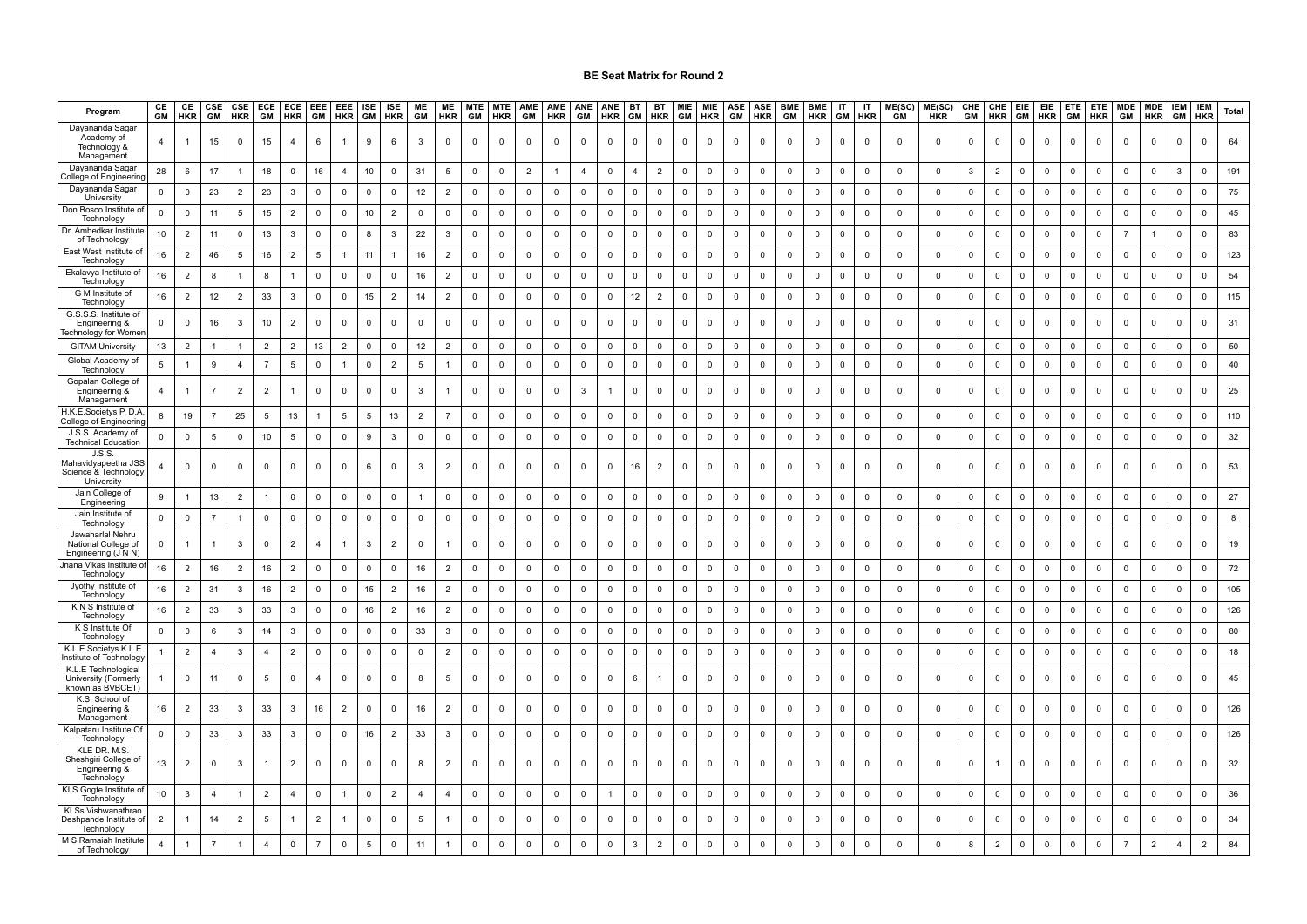| Program                                                             | CE<br>GM       | CE<br><b>HKR</b> | CSE<br><b>GM</b> | CSE<br><b>HKR</b>       | ECE<br>GM      | ECE<br><b>HKR</b> | EEE<br>GM      | EEE<br><b>HKR</b>   | ISE<br>GM    | ISE<br><b>HKR</b> | ME<br>GM       | ME<br><b>HKR</b> | <b>MTE</b><br>GM | <b>MTE</b><br><b>HKR</b> | AME<br>GM      | AME<br><b>HKR</b> | ANE<br>GM      | ANE<br><b>HKR</b> | <b>BT</b><br>GM | BT<br><b>HKR</b> | <b>MIE</b><br>GM | MIE<br><b>HKR</b>       | ASE<br>GM   | ASE<br><b>HKR</b> | <b>BME</b><br>GM        | <b>BME</b><br><b>HKR</b> | IT<br>GM    | IT<br>HKR   | ME(SC)<br><b>GM</b> | ME(SC)<br><b>HKR</b> | CHE<br>GM    | CHE EIE<br>HKR GM |              | EIE<br><b>HKR</b> | ETE<br><b>GM</b>        | ETE<br><b>HKR</b> | GM                  | MDE MDE<br><b>HKR</b>   | <b>IEM</b><br>GM | <b>IEM</b><br><b>HKR</b> | <b>Total</b> |
|---------------------------------------------------------------------|----------------|------------------|------------------|-------------------------|----------------|-------------------|----------------|---------------------|--------------|-------------------|----------------|------------------|------------------|--------------------------|----------------|-------------------|----------------|-------------------|-----------------|------------------|------------------|-------------------------|-------------|-------------------|-------------------------|--------------------------|-------------|-------------|---------------------|----------------------|--------------|-------------------|--------------|-------------------|-------------------------|-------------------|---------------------|-------------------------|------------------|--------------------------|--------------|
| Dayananda Sagar<br>Academy of<br>Technology &<br>Management         | $\overline{4}$ |                  | $15\,$           | $\Omega$                | 15             | $\overline{4}$    | 6              | -1                  | 9            | 6                 | $\mathbf{3}$   | $\mathbf 0$      | $\mathbf 0$      | $\mathbb O$              | 0              | $\mathsf 0$       | 0              | $\mathbb O$       | $\mathbf 0$     | $\mathbf 0$      | 0                | $\mathbb O$             | $\mathbf 0$ | $\mathbf 0$       | $\overline{\mathbf{0}}$ | $\mathbf 0$              | $\Omega$    | 0           | $\mathbf 0$         | $\mathsf 0$          | $\mathbf 0$  | $\mathbf 0$       | $\mathbf 0$  | $\Omega$          | $\overline{\mathbf{0}}$ | 0                 | 0                   | $\mathbf 0$             | $\mathbf 0$      | $\mathsf 0$              | 64           |
| Dayananda Sagar<br>ollege of Engineerin                             | 28             | 6                | 17               |                         | 18             | $\mathbf 0$       | 16             | $\overline{4}$      | 10           | $\mathbf 0$       | 31             | 5                | $\mathbf 0$      | $\mathsf 0$              | $\overline{2}$ | $\overline{1}$    | $\overline{4}$ | $\mathbf 0$       | $\overline{4}$  | $\overline{2}$   | $\mathbf 0$      | $\mathbf 0$             | $\mathbf 0$ | $\mathbf 0$       | $\overline{\mathbf{0}}$ | $\mathbf 0$              | $\mathbf 0$ | $\mathbf 0$ | $\mathbf 0$         | $\mathbf 0$          | 3            | $\overline{2}$    | $\mathbf 0$  | $\Omega$          | $\mathbf 0$             | $\mathsf 0$       | $\mathbf 0$         | $\mathbf 0$             | 3                | $\mathbf 0$              | 191          |
| Dayananda Sagar<br>University                                       | $\mathbf 0$    | $\mathbf 0$      | 23               | $\overline{2}$          | 23             | 3                 | $\mathbf 0$    | $\mathbf 0$         | $\mathbf 0$  | $\mathbf 0$       | 12             | $\overline{2}$   | $\mathbb O$      | $\mathsf 0$              | $\mathbf 0$    | $\mathbf 0$       | $\mathbf 0$    | $\mathbb O$       | $\mathbf 0$     | $\mathbf 0$      | $\mathbf 0$      | $\overline{\mathbf{0}}$ | $\mathsf 0$ | $\mathbf 0$       | $\overline{\mathbf{0}}$ | $\mathbf 0$              | 0           | $\mathsf 0$ | $\mathbf 0$         | $\mathbf 0$          | $\mathbf 0$  | $\mathbf 0$       | $\mathbf 0$  | $\Omega$          | $\mathbf{0}$            | $\mathbf 0$       | $\mathbf 0$         | $\mathbf 0$             | $\mathbf 0$      | $\mathbf 0$              | 75           |
| Don Bosco Institute<br>Technology                                   | $\mathbf 0$    | $\mathbf 0$      | 11               | 5                       | 15             | $\overline{2}$    | $\mathbf 0$    | $\mathbf 0$         | 10           | $\overline{2}$    | 0              | $\mathbf 0$      | $\mathbf 0$      | $\mathbf 0$              | $\mathbf 0$    | $\mathbf 0$       | $\mathbf 0$    | $\mathbf 0$       | $\mathbf{0}$    | $\mathbf 0$      | $\mathbf 0$      | $\overline{0}$          | $\mathbf 0$ | $\mathbf 0$       | $\overline{0}$          | $\mathbf 0$              | 0           | $\mathbf 0$ | $\mathbf 0$         | $\mathbf 0$          | $\mathbf 0$  | $\mathbf 0$       | $\mathbf 0$  | $\mathbf 0$       | $\mathbf 0$             | $\mathbf 0$       | 0                   | $\mathbf 0$             | $\mathbf 0$      | $\Omega$                 | 45           |
| Dr. Ambedkar Institut<br>of Technology                              | 10             | $\overline{2}$   | 11               | $\overline{0}$          | 13             | 3                 | $\overline{0}$ | $\mathbf 0$         | 8            | 3                 | 22             | 3                | $\mathbf 0$      | $\mathbf{0}$             | $\mathbf 0$    | $\mathbf 0$       | $\mathbf 0$    | $\mathbf 0$       | $\mathbf 0$     | $\mathbf 0$      | $\mathbf 0$      | $\mathbf 0$             | $\mathbf 0$ | $\Omega$          | $\overline{\mathbf{0}}$ | $\mathbf 0$              | $\mathbf 0$ | $\mathbf 0$ | $\mathbf 0$         | $\mathbf 0$          | $\mathbf 0$  | $\mathbf 0$       | $\mathbf 0$  | $\Omega$          | $\mathbf 0$             | $\mathbf 0$       |                     | $\overline{1}$          | $\mathbf 0$      | $\Omega$                 | 83           |
| East West Institute o<br>Technology                                 | 16             | $\overline{2}$   | 46               | 5                       | 16             | $\overline{2}$    | 5              | 1                   | 11           | $\overline{1}$    | 16             | $\overline{2}$   | $\mathsf 0$      | $\mathbf 0$              | $\mathsf 0$    | $\mathsf 0$       | $\mathbf 0$    | $\mathsf 0$       | $\mathbf 0$     | $\mathbf 0$      | $\mathbf 0$      | $\mathbf 0$             | $\mathsf 0$ | $\mathbf 0$       | $\overline{\mathbf{0}}$ | $\mathbf 0$              | $\mathbf 0$ | $\mathsf 0$ | $\mathbf 0$         | $\mathbf 0$          | $\mathsf 0$  | $\mathbf{0}$      | $\mathbf 0$  | $\mathbf 0$       | $\mathbf 0$             | $\mathbf 0$       | $\mathbf 0$         | $\overline{0}$          | $\mathbf 0$      | $\mathbf 0$              | 123          |
| Ekalavya Institute of<br>Technology                                 | 16             | $\overline{c}$   | 8                |                         | 8              | $\overline{1}$    | $\mathbf 0$    | $\mathsf{O}\xspace$ | $\mathbf 0$  | $\mathbf 0$       | 16             | $\overline{2}$   | $\mathbf 0$      | $\mathbb O$              | $\mathbf 0$    | $\mathsf 0$       | $\mathsf 0$    | $\mathbf 0$       | $\mathbf 0$     | $\mathbf 0$      | $\mathbf 0$      | $\,$ 0                  | $\mathsf 0$ | $\mathbf 0$       | $\mathbf 0$             | $\mathbf 0$              | $\mathbf 0$ | $\mathbf 0$ | $\mathbf 0$         | $\mathsf 0$          | $\mathbf 0$  | $\mathsf 0$       | $\mathsf 0$  | $\Omega$          | $\mathbf 0$             | $\mathsf 0$       | $\mathsf{O}\xspace$ | $\mathsf 0$             | $\mathbf 0$      | $\mathbf{0}$             | 54           |
| G M Institute of<br>Technology                                      | $16\,$         | $\overline{2}$   | $12\,$           | $\overline{2}$          | 33             | $\mathbf{3}$      | $\mathbf 0$    | $\mathsf 0$         | 15           | $\overline{2}$    | 14             | 2                | $\mathbb O$      | $\mathbf 0$              | $\mathbf 0$    | $\mathsf 0$       | $\mathbf 0$    | $\mathbb O$       | 12              | $\overline{2}$   | $\mathbf 0$      | $\mathbf 0$             | $\mathsf 0$ | $\mathbf 0$       | $\mathbf 0$             | $\mathbf 0$              | $\mathbf 0$ | $\mathsf 0$ | $\mathbf 0$         | $\mathbf 0$          | $\mathsf 0$  | $\mathbf 0$       | $\mathsf 0$  | $\mathbf 0$       | $\mathsf 0$             | $\mathsf 0$       | $\mathsf 0$         | $\mathbf 0$             | $\mathsf 0$      | $\mathbf 0$              | 115          |
| G.S.S.S. Institute of<br>Engineering &<br>echnology for Womer       |                | $\mathbf 0$      | 16               | 3                       | 10             | $\overline{2}$    | $\overline{0}$ | $\mathbf 0$         | $\mathbf 0$  | $\mathbf 0$       | $\mathbf 0$    | $\mathbf 0$      | $\mathbf 0$      | $\mathbf 0$              | $\mathbf 0$    | $\mathbf 0$       | $\mathbf 0$    | $\mathbf 0$       | $\mathbf 0$     | $\mathbf 0$      | $\mathbf 0$      | $\mathbf 0$             | $\Omega$    | $\mathbf 0$       | $\overline{\mathbf{0}}$ | $\mathbf 0$              | $\mathbf 0$ | $\mathbf 0$ | $\mathbf 0$         | $\mathbf 0$          | $\mathbf 0$  | $\mathbf 0$       | $\mathbf 0$  | $\Omega$          | $\mathbf 0$             | $\mathbf 0$       | $\mathbf 0$         | $\mathbf 0$             | $\mathbf 0$      | $\mathbf 0$              | 31           |
| <b>GITAM University</b>                                             | 13             | $\overline{2}$   |                  |                         | $\overline{2}$ | $\overline{2}$    | 13             | $\overline{2}$      | $\mathbf{0}$ | $\mathbf{0}$      | 12             | $\overline{2}$   | $\mathbf 0$      | $\mathbf 0$              | $\mathbf 0$    | $\mathbf 0$       | $\mathbf{0}$   | $\mathbf 0$       | $\Omega$        | $\mathbf{0}$     | $\mathbf{0}$     | $\overline{0}$          | $\Omega$    | $\overline{0}$    | $\Omega$                | $\Omega$                 | $\Omega$    | $\mathbf 0$ | $\Omega$            | $\mathbf{0}$         | $\mathbf{0}$ | $\Omega$          | $\mathbf{0}$ | $\Omega$          | $\mathbf 0$             | $\mathbf 0$       | $\mathbf 0$         | $\mathbf 0$             | $\mathbf 0$      | $\Omega$                 | 50           |
| Global Academy of<br>Technology                                     | 5              | $\overline{1}$   | 9                | $\overline{4}$          | $\overline{7}$ | $5\overline{5}$   | $\mathbf 0$    |                     | $\mathsf 0$  | $\overline{2}$    | 5              |                  | $\mathbf 0$      | $\mathsf 0$              | $\mathbf 0$    | $\mathbf 0$       | $\mathsf{O}$   | $\mathbb O$       | $\mathbf 0$     | $\mathbf 0$      | $\mathbf 0$      | $\mathbf 0$             | $\mathbf 0$ | $\mathbf 0$       | $\mathbf 0$             | $\mathbf 0$              | $\Omega$    | $\mathsf 0$ | $\mathbf 0$         | $\mathbf 0$          | $\mathbf 0$  | $\mathbf 0$       | $\mathsf 0$  | $\mathbf 0$       | $\mathbf 0$             | $\mathbf 0$       | $\mathbf 0$         | $\mathbf 0$             | $\mathbf 0$      | $\mathbf 0$              | 40           |
| Gopalan College of<br>Engineering &<br>Management                   | 4              |                  | $\overline{7}$   | $\overline{2}$          | $\overline{2}$ |                   | $\mathbf 0$    | 0                   | $\mathbf 0$  | $\Omega$          | 3              |                  | $\mathbf 0$      | 0                        | $\Omega$       | $\mathbf 0$       | 3              | $\mathbf{1}$      | $\Omega$        | $\mathbf 0$      | $\mathbf 0$      | $\overline{\mathbf{0}}$ | $\Omega$    | $\Omega$          | $\overline{\mathbf{0}}$ | $\Omega$                 | $\Omega$    | $\mathsf 0$ | $\Omega$            | $\Omega$             | $\mathbf 0$  | $\mathbf 0$       | $\Omega$     | $\Omega$          | $\mathbf 0$             | $\mathbf 0$       | $\Omega$            | 0                       | 0                | $\Omega$                 | 25           |
| H.K.E.Societys P.D.A<br>College of Engineerin                       | 8              | 19               | $\overline{7}$   | 25                      | 5              | 13                |                | 5                   | 5            | 13                | $\overline{2}$ | $\overline{7}$   | $\mathbf 0$      | $\mathbf 0$              | $\mathbf 0$    | $\mathsf 0$       | $\mathbf 0$    | $\mathbf 0$       | $\mathbf 0$     | $\mathbf 0$      | $\mathbf 0$      | $\mathbf 0$             | $\mathbf 0$ | $\mathbf 0$       | $\overline{0}$          | $\mathbf 0$              | 0           | $\mathbf 0$ | $\mathbf 0$         | $\mathbf 0$          | $\mathbf 0$  | $\mathbf 0$       | $\mathbf 0$  | $\Omega$          | $\mathbf 0$             | $\mathbf 0$       | $\mathbf 0$         | $\mathbf 0$             | $\mathbf 0$      | $\overline{0}$           | 110          |
| J.S.S. Academy of<br><b>Technical Education</b>                     | 0              | $\mathbf 0$      | -5               | $\mathbf 0$             | 10             | 5                 | $\mathbf 0$    | $\mathbf 0$         | 9            | 3                 | $\mathbf 0$    | $\mathbf 0$      | $\mathbf 0$      | $\mathbf 0$              | $\mathbf 0$    | $\mathbf 0$       | $\mathbf 0$    | $\mathbf 0$       | $\mathbf 0$     | $\mathbf 0$      | $\mathbf 0$      | $\mathbf 0$             | $\mathsf 0$ | $\mathbf 0$       | $\overline{\mathbf{0}}$ | $\mathbf 0$              | 0           | $\mathbf 0$ | $\mathbf 0$         | $\mathbf 0$          | $\mathbf 0$  | $\mathbf 0$       | $\mathbf 0$  | $\mathbf 0$       | $\overline{\mathbf{0}}$ | $\mathbf 0$       | $\mathbf 0$         | $\mathbf 0$             | $\mathsf 0$      | $\mathbf 0$              | 32           |
| J.S.S<br>Mahavidyapeetha JSS<br>Science & Technology<br>University  |                | $\mathbf 0$      | $\mathbf 0$      | $\mathbf 0$             | $\mathbf 0$    | $\mathbf 0$       | $\mathbf 0$    | $\mathbf 0$         | 6            | $\mathbf 0$       | $\mathbf{3}$   | $\overline{2}$   | $\mathbf 0$      | $\mathbf 0$              | $\mathbf 0$    | $\mathbf 0$       | $\mathbf 0$    | $\mathbf 0$       | 16              | $\overline{2}$   | $\mathbf 0$      | $\mathbf 0$             | $\Omega$    | $\mathbf 0$       | $\overline{0}$          | $\mathbf 0$              | $\Omega$    | $\mathbf 0$ | $\mathbf 0$         | $\mathbf 0$          | $\mathbf 0$  | $\mathbf 0$       | $\mathbf 0$  | $\Omega$          | $\mathbf 0$             | $\mathbf 0$       | $\mathbf 0$         | $\mathbf 0$             | $\Omega$         | $\mathbf 0$              | 53           |
| Jain College of<br>Engineering                                      | 9              | $\overline{1}$   | $13$             | $\overline{2}$          |                | 0                 | $\mathsf 0$    | $\Omega$            | $\mathbf 0$  | $\Omega$          | $\overline{1}$ | $\mathsf 0$      | $\mathbf 0$      | 0                        | 0              | 0                 | 0              | $\mathsf 0$       | $\mathsf 0$     | $\mathsf 0$      | 0                | $\mathbf 0$             | $\Omega$    | $\mathsf 0$       | $\Omega$                | $\Omega$                 | 0           | $\mathbf 0$ | $\Omega$            | 0                    | $\mathbf 0$  | $\Omega$          | $\mathbf 0$  | $\Omega$          | $\mathsf 0$             | $\mathsf 0$       | $\mathbf 0$         | $\mathbf 0$             | 0                | $\Omega$                 | 27           |
| Jain Institute of<br>Technology                                     | $\Omega$       | $\mathbf 0$      | $\overline{7}$   |                         | $\mathbf 0$    | 0                 | 0              | $\Omega$            | $\mathbf 0$  | $\Omega$          | $\mathsf 0$    | $\Omega$         | $\overline{0}$   | 0                        | 0              | 0                 | 0              | $\mathbf 0$       | $\Omega$        | $\mathsf 0$      | $\mathbf 0$      | 0                       | $\Omega$    | $\mathbf 0$       | $\overline{0}$          | $\Omega$                 | $\Omega$    | $\mathbf 0$ | $\Omega$            | 0                    | $\Omega$     | $\Omega$          | $\mathbf 0$  | $\Omega$          | $\Omega$                | $\mathbf 0$       | $\Omega$            | $\mathbf 0$             | $\mathsf 0$      | $\Omega$                 | 8            |
| Jawaharlal Nehru<br>National College of<br>Engineering (J N N)      | $\Omega$       |                  | $\overline{1}$   | 3                       | $\Omega$       | $\overline{2}$    | $\overline{4}$ |                     | $\mathbf{3}$ | $\overline{2}$    | $\mathbf 0$    |                  | $\mathbf 0$      | $\mathbf 0$              | $\mathbf 0$    | $\mathbf 0$       | $\mathbf 0$    | $\mathbf 0$       | $\mathbf 0$     | $\mathbf 0$      | $\mathbf 0$      | $\mathbf 0$             | $\Omega$    | $\Omega$          | $\overline{0}$          | $\mathbf 0$              | $\Omega$    | $\mathbf 0$ | $\Omega$            | $\mathbf 0$          | $\mathbf 0$  | $\mathbf 0$       | $\mathbf 0$  | $\Omega$          | $\mathbf 0$             | $\mathbf 0$       | $\mathbf 0$         | $\mathbf 0$             | $\mathbf 0$      | $\mathbf 0$              | 19           |
| nana Vikas Institute<br>Technology                                  | 16             | $\overline{2}$   | 16               | $\overline{2}$          | 16             | $\overline{2}$    | $\mathbf 0$    | $\mathbf 0$         | $\mathbf 0$  | $\mathbf 0$       | 16             | $\overline{2}$   | $\mathbf 0$      | $\mathbf{0}$             | $\mathbf 0$    | $\mathbf 0$       | $\mathbf 0$    | $\mathbf 0$       | $\mathbf 0$     | $\mathbf 0$      | $\mathbf 0$      | $\mathbf 0$             | $\mathbf 0$ | $\mathbf 0$       | $\overline{\mathbf{0}}$ | $\mathbf 0$              | $\Omega$    | $\mathbf 0$ | $\mathbf 0$         | $\mathbf 0$          | $\mathbf 0$  | $\mathbf 0$       | $\mathbf 0$  | $\Omega$          | $\mathbf 0$             | $\mathbf 0$       | 0                   | $\mathbf 0$             | $\mathbf 0$      | $\Omega$                 | 72           |
| Jyothy Institute of<br>Technology                                   | 16             | $\overline{2}$   | 31               | $\overline{3}$          | 16             | $\overline{2}$    | $\mathbf 0$    | $\Omega$            | 15           | $\overline{2}$    | 16             | $\overline{2}$   | $\mathbf 0$      | $\mathsf 0$              | $\mathbf 0$    | $\mathbf 0$       | $\mathbf 0$    | $\mathsf 0$       | $\mathbf 0$     | $\mathbf 0$      | $\mathbf 0$      | $\overline{0}$          | $\Omega$    | $\mathbf 0$       | $\overline{\mathbf{0}}$ | $\Omega$                 | $\Omega$    | $\mathbf 0$ | $\Omega$            | $\mathbf 0$          | $\mathbf 0$  | $\mathbf 0$       | $\mathbf 0$  | $\Omega$          | $\mathbf 0$             | $\mathbf 0$       | $\mathbf 0$         | $\overline{\mathbf{0}}$ | $\mathsf 0$      | $\mathbf 0$              | 105          |
| K N S Institute of<br>Technology                                    | 16             | $\overline{2}$   | 33               | $\overline{\mathbf{3}}$ | 33             | $\mathbf{3}$      | $\mathbf 0$    | $\mathsf 0$         | 16           | $\overline{2}$    | 16             | $\overline{2}$   | $\mathbb O$      | $\mathbb O$              | $\mathbf 0$    | $\mathsf 0$       | $\mathsf 0$    | $\mathbb O$       | $\mathsf 0$     | $\mathbf 0$      | $\mathsf 0$      | $\mathbf 0$             | $\mathsf 0$ | $\mathbf 0$       | $\mathbf 0$             | $\mathbf 0$              | $\mathsf 0$ | $\mathsf 0$ | $\mathbf 0$         | $\mathsf 0$          | $\mathbf 0$  | $\mathbf 0$       | $\mathsf 0$  | $\mathsf 0$       | $\mathsf 0$             | $\mathsf 0$       | $\mathsf 0$         | $\mathsf 0$             | $\mathsf 0$      | $\mathbf 0$              | 126          |
| K S Institute Of<br>Technology                                      | $\mathbf 0$    | $\mathbf 0$      | 6                | 3                       | 14             | 3                 | $\overline{0}$ | $\mathbf 0$         | $\mathbf 0$  | $\mathsf 0$       | 33             | $\mathbf{3}$     | $\mathbb O$      | $\mathbf 0$              | $\mathbf 0$    | $\mathsf 0$       | $\mathbf 0$    | $\mathbb O$       | $\,0\,$         | $\mathsf 0$      | $\mathsf 0$      | $\overline{\mathbf{0}}$ | $\mathsf 0$ | $\mathbf 0$       | $\mathbf 0$             | $\mathbf 0$              | $\Omega$    | $\mathbf 0$ | $\,0\,$             | $\mathbf 0$          | $\mathsf 0$  | $\mathsf 0$       | $\mathbf 0$  | $\mathsf 0$       | $\mathbf 0$             | $\mathsf 0$       | $\mathbf 0$         | $\mathbf 0$             | $\mathbf 0$      | $\mathbf{0}$             | 80           |
| K.L.E Societys K.L.E<br>nstitute of Technolog                       |                | $\overline{2}$   | $\overline{4}$   | 3                       | $\overline{4}$ | $\overline{2}$    | $\overline{0}$ | $\mathbf 0$         | $\mathsf 0$  | $\mathbf 0$       | $\mathsf 0$    | $\overline{2}$   | $\mathbf 0$      | $\mathsf 0$              | $\mathbf 0$    | $\mathsf 0$       | $\mathbf 0$    | $\overline{0}$    | $\,0\,$         | $\mathsf 0$      | $\mathsf 0$      | $\overline{0}$          | $\Omega$    | $\mathbf 0$       | $\overline{0}$          | $\mathbf 0$              | $\Omega$    | $\mathsf 0$ | $\Omega$            | $\mathbf 0$          | $\mathsf 0$  | $\mathbf 0$       | $\mathbf 0$  | $\Omega$          | $\mathsf 0$             | $\mathbf 0$       | $\mathbf 0$         | $\mathsf 0$             | $\Omega$         | $\Omega$                 | 18           |
| K.L.E Technologica<br>University (Formerly<br>known as BVBCET       |                | $\mathbf 0$      | 11               | $\mathbf 0$             | 5              | $\mathbf 0$       | $\overline{4}$ | $\mathbf 0$         | $\mathbf 0$  | $\mathbf 0$       | 8              | 5                | $\mathbf 0$      | $\mathbf 0$              | $\mathbf 0$    | $\mathbf 0$       | $\mathbf 0$    | $\mathbf 0$       | 6               | $\overline{1}$   | $\mathbf 0$      | $\mathbf 0$             | $\Omega$    | $\mathbf 0$       | $\overline{\mathbf{0}}$ | $\mathbf 0$              | $\Omega$    | $\mathbf 0$ | $\Omega$            | $\mathbf 0$          | $\mathbf 0$  | $\mathbf 0$       | $\Omega$     | $\Omega$          | $\mathbf 0$             | $\mathbf 0$       | $\mathbf 0$         | $\mathbf 0$             | $\mathbf 0$      | $\mathbf 0$              | 45           |
| K.S. School of<br>Engineering &<br>Management                       | 16             | $\overline{2}$   | 33               | 3                       | $33\,$         | 3                 | 16             | 2                   | $\mathbf 0$  | $\mathbf{0}$      | 16             | $\overline{2}$   | $\mathbf 0$      | $\mathbf 0$              | $\Omega$       | $\mathbf 0$       | $\mathbf 0$    | $\mathsf 0$       | $\Omega$        | $\mathbf 0$      | $\mathbf 0$      | $\mathbf{0}$            | $\Omega$    | $\mathbf{0}$      | $\overline{0}$          | $\mathbf 0$              | $\mathbf 0$ | $\mathbf 0$ | $\Omega$            | $\mathbf 0$          | $\mathbf{0}$ | $\mathbf{0}$      | $\Omega$     | $\Omega$          | $\mathbf 0$             | $\mathbf 0$       | $\mathbf 0$         | $\mathbf 0$             | $\mathbf 0$      | $\overline{0}$           | 126          |
| Kalpataru Institute O<br>Technology                                 | 0              | $\mathbf 0$      | 33               | 3                       | 33             | 3                 | $\mathbf 0$    | $\mathbf 0$         | 16           | $\overline{2}$    | 33             | 3                | $\mathbf 0$      | $\mathbf 0$              | $\mathbf 0$    | $\mathbf 0$       | $\mathbf 0$    | $\mathbf 0$       | 0               | $\mathbf 0$      | $\mathbf 0$      | $\overline{0}$          | $\mathbf 0$ | $\mathbf 0$       | $\overline{0}$          | $\mathsf 0$              | 0           | 0           | $\mathbf 0$         | $\mathbf 0$          | $\mathbf 0$  | $\mathbf 0$       | $\mathbf 0$  | $\mathbf 0$       | 0                       | $\mathbf 0$       | $\mathbf 0$         | $\mathbf 0$             | 0                | $\mathbf 0$              | 126          |
| KLE DR. M.S.<br>Sheshgiri College of<br>Engineering &<br>Technology | 13             | $\overline{2}$   | $\mathbf 0$      | 3                       |                | $\overline{2}$    | $\mathbf 0$    | $\mathbf 0$         | $\mathbf 0$  | $\mathbf 0$       | 8              | $\overline{2}$   | $\mathbf 0$      | $\mathbf 0$              | $\mathbf 0$    | $\mathbf 0$       | $\mathbf 0$    | $\mathbf 0$       | $\mathbf 0$     | $\mathbf 0$      | $\mathbf 0$      | $\mathbf 0$             | $\Omega$    | $\mathbf 0$       | $\mathbf 0$             | $\mathbf 0$              | $\mathbf 0$ | 0           | $\mathbf 0$         | $\mathbf 0$          | $\mathbf 0$  |                   | $\mathbf 0$  | $\mathbf 0$       | $\mathbf 0$             | $\mathbf 0$       | $\mathbf 0$         | $\mathbf 0$             | $\Omega$         | $\mathbf 0$              | 32           |
| KLS Gogte Institute o<br>Technology                                 | 10             | $\mathbf{3}$     | $\overline{4}$   | $\mathbf{1}$            | $\overline{2}$ | $\overline{4}$    | $\mathbf 0$    | $\mathbf{1}$        | $\mathsf 0$  | $\overline{2}$    | $\overline{4}$ | $\overline{4}$   | $\mathbf 0$      | $\mathbf 0$              | $\mathbf 0$    | $\mathbf 0$       | $\mathbf 0$    | $\overline{1}$    | $\mathbf 0$     | $\mathbf 0$      | $\mathbf 0$      | $\mathbf 0$             | $\mathsf 0$ | $\mathbf 0$       | $\overline{0}$          | $\mathbf 0$              | 0           | $\mathbf 0$ | $\mathbf 0$         | $\mathbf 0$          | $\mathbf 0$  | $\mathbf 0$       | $\mathbf 0$  | $\mathbf 0$       | $\mathbf 0$             | $\mathsf 0$       | $\mathbf 0$         | $\mathbf 0$             | $\mathsf 0$      | $\mathbf 0$              | 36           |
| KLSs Vishwanathrao<br>Deshpande Institute of<br>Technology          |                |                  | 14               | $\overline{2}$          | 5              |                   | $\overline{2}$ |                     | $\Omega$     | $\Omega$          | 5              |                  | $\mathbf 0$      | $\mathbf 0$              | $\Omega$       | $\Omega$          | $\mathbf 0$    | $\mathbf 0$       | $\Omega$        | $\mathbf 0$      | $\Omega$         | $\mathbf 0$             |             | $\Omega$          | $\Omega$                | $\mathbf 0$              |             | 0           |                     | $\mathbf 0$          | $\mathbf 0$  | $\mathbf 0$       |              |                   | $\mathbf 0$             | $\Omega$          | 0                   | $\mathbf 0$             |                  | $\Omega$                 | 34           |
| M S Ramaiah Institute<br>of Technology                              | $\overline{4}$ |                  | $\overline{7}$   |                         | $\overline{4}$ | 0                 |                | 0                   | 5            | $\Omega$          | 11             |                  | $\mathbf 0$      | 0                        | $\Omega$       | $\Omega$          | 0              | $\mathbf 0$       | 3               | $\overline{2}$   | $\Omega$         | $\mathbf 0$             | $\Omega$    | $\Omega$          | $\Omega$                | $\mathbf 0$              | $\Omega$    | 0           |                     | $\Omega$             | 8            | $\overline{2}$    | $\Omega$     | $\Omega$          | 0                       | $\Omega$          |                     | $\overline{2}$          | $\overline{4}$   | $\overline{2}$           | 84           |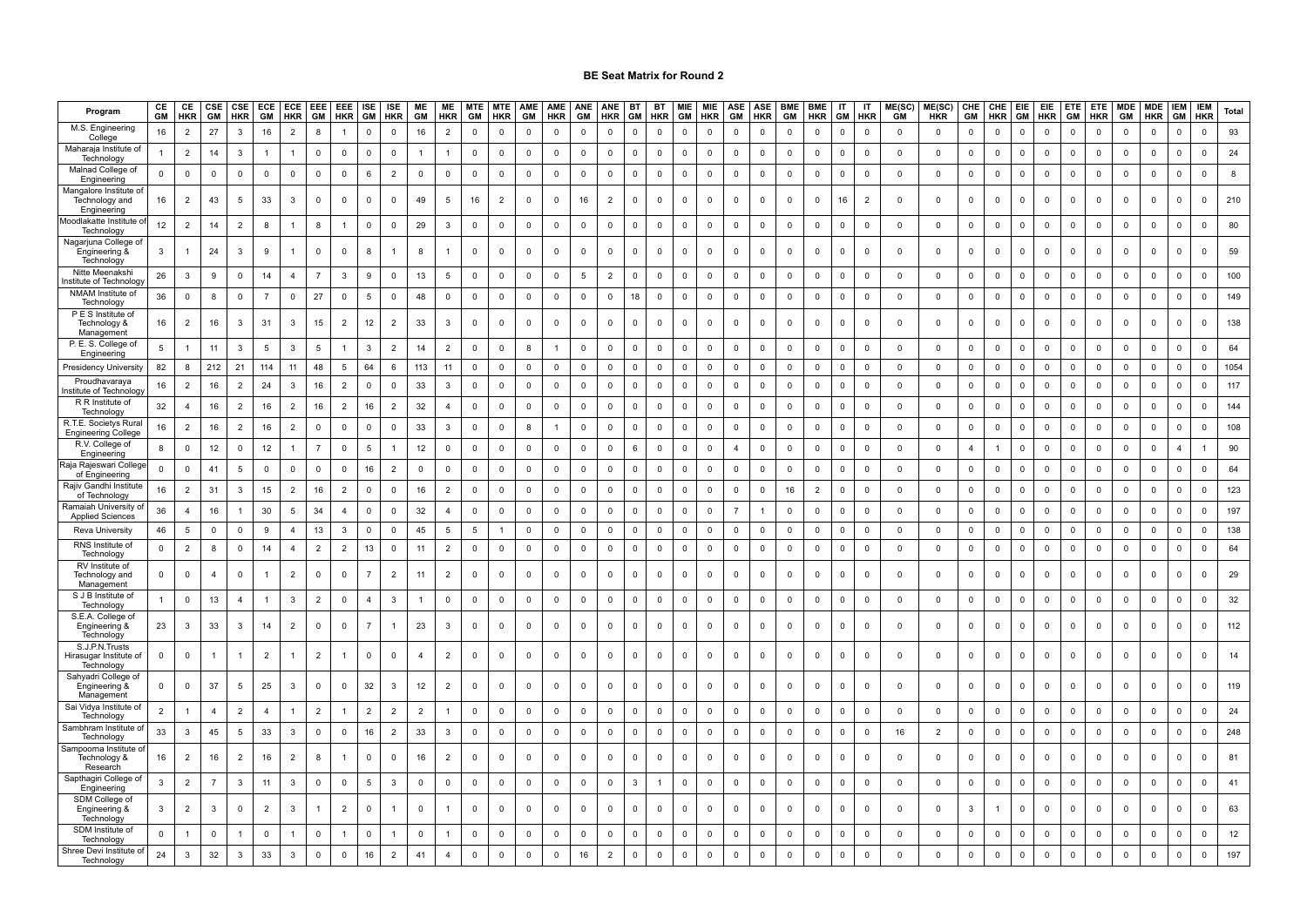| Program                                                 | CE<br>GM       | CE<br><b>HKR</b> | $rac{\text{CSE}}{\text{GM}}$ | CSE<br><b>HKR</b> | ECE<br>GM      | ECE<br><b>HKR</b> | EEE<br>GM      | EEE ISE<br>HKR GM |                       | ISE<br><b>HKR</b> | ME<br>GM       | ME<br><b>HKR</b> | <b>MTE</b><br>GM | <b>MTE</b><br><b>HKR</b> | AME<br><b>GM</b>    | AME<br>HKR   | ANE<br><b>GM</b> | ANE<br><b>HKR</b> | <b>BT</b><br>GM | BT<br><b>HKR</b>    | MIE<br>GM      | MIE<br><b>HKR</b> | $\frac{\text{ASE}}{\text{GM}}$ | <b>ASE</b><br><b>HKR</b> | <b>BME</b><br>GM | <b>BME</b><br><b>HKR</b> | IT<br>GM     | IT<br>HKR           | ME(SC)<br><b>GM</b> | ME(SC)<br>HKR  |                       | CHE CHE EIE |              | <b>EIE</b><br><b>HKR</b> | <b>ETE</b><br><b>GM</b> | <b>ETE</b><br><b>HKR</b> | <b>MDE</b><br>GM | <b>MDE</b><br><b>HKR</b> | <b>IEM</b><br>GM    | <b>IEM</b><br><b>HKR</b> | Total |
|---------------------------------------------------------|----------------|------------------|------------------------------|-------------------|----------------|-------------------|----------------|-------------------|-----------------------|-------------------|----------------|------------------|------------------|--------------------------|---------------------|--------------|------------------|-------------------|-----------------|---------------------|----------------|-------------------|--------------------------------|--------------------------|------------------|--------------------------|--------------|---------------------|---------------------|----------------|-----------------------|-------------|--------------|--------------------------|-------------------------|--------------------------|------------------|--------------------------|---------------------|--------------------------|-------|
| M.S. Engineering<br>College                             | 16             | $\overline{2}$   | 27                           | 3                 | 16             | $\overline{2}$    |                |                   | $\Omega$              | $\Omega$          | 16             | $\overline{2}$   | $\Omega$         | $\Omega$                 | $\Omega$            | $\Omega$     | 0                | $\Omega$          | $\Omega$        | $\mathbf 0$         | $\Omega$       | $\mathbf 0$       | $\Omega$                       | $\mathbf 0$              | $\overline{0}$   | $\Omega$                 | $\Omega$     | $\mathbf 0$         | $\mathbf 0$         | $\mathbf 0$    | $\Omega$              | 0           | $\Omega$     | $\Omega$                 | $\Omega$                | $\Omega$                 | $\Omega$         | $\mathbf 0$              | $\mathbf{0}$        | $\mathbf 0$              | 93    |
| Maharaja Institute<br>Technology                        |                | $\overline{2}$   | 14                           | $\mathbf{3}$      | $\overline{1}$ | $\mathbf{1}$      | $\mathbf 0$    | $\mathsf 0$       | $\mathbf 0$           | $\mathbf 0$       | $\overline{1}$ | $\overline{1}$   | $\mathsf 0$      | $\mathbf 0$              | $\mathsf 0$         | $\mathbf 0$  | $\mathbf 0$      | $\mathsf 0$       | $\mathbf 0$     | $\mathbf 0$         | $\mathbf 0$    | $\mathbf 0$       | $\mathsf 0$                    | $\mathsf 0$              | $\mathbf 0$      | $\mathsf 0$              | $\mathbf 0$  | $\mathsf 0$         | $\mathsf 0$         | $\mathbf 0$    | $\mathbf 0$           | $\mathsf 0$ | $\mathsf 0$  | $\mathbf 0$              | $\mathsf 0$             | $\mathsf 0$              | $\mathbf 0$      | $\mathbf 0$              | $\mathsf{O}\xspace$ | $\mathbf 0$              | 24    |
| Malnad College ot<br>Engineering                        | $\mathsf 0$    | $\mathsf 0$      | $\mathbf 0$                  | $\mathsf 0$       | $\mathbf 0$    | $\mathbf 0$       | 0              | $\mathsf 0$       | 6                     | $\overline{2}$    | $\mathbf 0$    | $\mathbf 0$      | $\mathsf 0$      | $\mathbf 0$              | $\mathsf 0$         | $\mathbf 0$  | $\mathbf{0}$     | $\mathsf 0$       | $\overline{0}$  | $\mathbf 0$         | $\mathbf 0$    | $\mathbf 0$       | $\mathsf 0$                    | $\overline{\mathbf{0}}$  | $\mathsf 0$      | $\mathsf 0$              | $\mathbf 0$  | $\mathbf 0$         | $\mathsf 0$         | $\mathbf 0$    | $\mathsf 0$           | $\mathbf 0$ | $\mathbf 0$  | $\mathsf 0$              | $\mathbf 0$             | $\mathbf 0$              | $\mathbf 0$      | $\overline{0}$           | $\mathbf 0$         | $\mathbf 0$              | 8     |
| langalore Institute d<br>Technology and                 | 16             | $\overline{2}$   | 43                           | 5                 | 33             | $\mathbf{3}$      | $\mathbf 0$    | $\mathbf 0$       | $\mathbf 0$           | $\mathbf 0$       | 49             | 5                | 16               | $\overline{2}$           | $\mathbf 0$         | $\mathbf 0$  | 16               | $\overline{2}$    | $\overline{0}$  | $\mathbf 0$         | $\mathbf{0}$   | $\mathbf 0$       | $\mathbf 0$                    | $\mathbf 0$              | $\mathbf 0$      | $\mathbf 0$              | 16           | $\overline{2}$      | $\mathbf 0$         | $\mathbf 0$    | $\mathbf 0$           | $\mathbf 0$ | $\mathbf 0$  | $\mathbf 0$              | $\mathbf 0$             | $\mathsf 0$              | $\mathbf 0$      | $\mathbf 0$              | $\mathbf 0$         | $\mathbf 0$              | 210   |
| Engineering<br>loodlakatte Institute                    |                |                  |                              |                   |                |                   |                |                   |                       |                   |                |                  |                  |                          |                     |              |                  |                   |                 |                     |                |                   |                                |                          |                  |                          |              |                     |                     |                |                       |             |              |                          |                         |                          |                  |                          |                     |                          |       |
| Technology<br>Nagarjuna College o                       | 12             | $\overline{2}$   | 14                           | $\overline{2}$    | 8              |                   | 8              | $\mathbf{1}$      | $\mathbf{0}$          | $\Omega$          | 29             | $\mathbf{3}$     | $\mathbf 0$      | $\mathbf 0$              | $\mathbf 0$         | $\mathbf 0$  | 0                | $\mathbf 0$       | $\Omega$        | $\mathbf 0$         | $\mathbf{0}$   | $\mathbf 0$       | $\mathbf 0$                    | $\mathbf 0$              | $\mathbf 0$      | $\Omega$                 | $\Omega$     | $\mathbf 0$         | $\mathbf 0$         | $\mathbf 0$    | $\mathbf 0$           | $\mathbf 0$ | $\mathsf{O}$ | $\Omega$                 | $\overline{\mathbf{0}}$ | $\mathbf 0$              | $\mathbf 0$      | $\overline{0}$           | $\mathbf 0$         | $\overline{0}$           | 80    |
| Engineering &<br>Technology                             | 3              |                  | 24                           | 3                 | 9              | $\overline{1}$    | $\Omega$       | $\mathbf 0$       | 8                     |                   | 8              |                  | $\Omega$         | $\mathbf 0$              | $\mathbf{0}$        | $\Omega$     | $\mathbf 0$      | $\mathbf 0$       | $\Omega$        | $\mathbf{0}$        | $\mathbf{0}$   | $\mathbf 0$       | $\Omega$                       | $\Omega$                 | $\mathbf 0$      | $\mathbf 0$              | $\Omega$     | $\mathbf 0$         | $\mathbf 0$         | $\mathbf 0$    | $\mathbf{0}$          | $\mathbf 0$ | $\Omega$     |                          | $\Omega$                | $\mathbf 0$              | $\mathbf 0$      | $\mathbf 0$              | $\mathbf 0$         | $\mathbf 0$              | 59    |
| Nitte Meenaksh<br>nstitute of Technolog                 | 26             | $\mathbf{3}$     | 9                            | $\mathbf 0$       | 14             | $\overline{4}$    | $\overline{7}$ | 3                 | 9                     | $\Omega$          | 13             | 5                | $\Omega$         | $\Omega$                 | $\mathbf 0$         | $\mathbf 0$  | 5                | $\overline{2}$    | $\Omega$        | $\mathbf 0$         | $\mathbf{0}$   | $\mathbf 0$       | $\mathbf 0$                    | $\mathsf 0$              | $\mathbf{0}$     | $\Omega$                 | $\mathbf{0}$ | $\mathbf 0$         | $\mathbf 0$         | $\mathbf 0$    | $\Omega$              | $\mathbf 0$ | $\mathbf 0$  | $\Omega$                 | $\mathbf 0$             | $\mathbf 0$              | $\Omega$         | $\mathbf 0$              | $\mathsf 0$         | $\Omega$                 | 100   |
| NMAM Institute of<br>Technology                         | 36             | $\mathsf 0$      | 8                            | $\mathsf 0$       | $\overline{7}$ | $\mathbf 0$       | 27             | $\mathbf 0$       | 5                     | $\mathbf 0$       | 48             | $\mathbf 0$      | $\mathsf 0$      | $\mathbf 0$              | $\mathsf 0$         | $\mathbf 0$  | $\mathbf{0}$     | $\mathsf 0$       | 18              | $\mathbf 0$         | $\mathbf 0$    | $\mathbf 0$       | $\mathbf 0$                    | $\overline{0}$           | $\,0\,$          | $\mathsf 0$              | $\mathbf 0$  | $\mathbf 0$         | $\mathsf 0$         | $\mathbf 0$    | $\mathbf 0$           | $\mathsf 0$ | $\mathbf 0$  | $\mathbf 0$              | $\mathbf 0$             | $\mathsf 0$              | 0                | $\overline{0}$           | $\mathbf 0$         | $\mathbf 0$              | 149   |
| P E S Institute of<br>Technology &<br>Management        | 16             | $\overline{2}$   | 16                           | $\mathbf{3}$      | 31             | $\mathbf{3}$      | 15             | $\overline{2}$    | 12                    | $\overline{2}$    | 33             | $\mathbf{3}$     | $\mathbf 0$      | $\mathbf 0$              | $\mathbf 0$         | $\mathbf 0$  | $\mathsf 0$      | $\mathsf 0$       | $\overline{0}$  | $\mathbf 0$         | $\mathbf{0}$   | $\mathbf{0}$      | $\mathbf 0$                    | $\mathbf 0$              | $\mathbf 0$      | $\mathbf 0$              | $\mathbf 0$  | $\mathbf 0$         | $\mathbf 0$         | $\mathbf 0$    | $\mathbf 0$           | $\mathbf 0$ | $\mathsf{O}$ | $\mathbf 0$              | $\mathbf 0$             | $\mathbf 0$              | $\mathbf 0$      | $\mathbf 0$              | $\mathbf 0$         | $\mathbf 0$              | 138   |
| P. E. S. College of<br>Engineering                      | 5              |                  | 11                           | $\mathbf{3}$      | 5              | 3                 | -5             |                   | 3                     | $\overline{2}$    | 14             | $\overline{2}$   | $\mathbf 0$      | $\mathbf 0$              | 8                   |              | $\mathbf 0$      | $\mathbf 0$       | $\mathbf 0$     | $\mathbf 0$         | $\mathbf 0$    | $\mathbf 0$       | $\mathbf 0$                    | $\mathbf 0$              | $\mathbf{0}$     | $\mathbf 0$              | $\Omega$     | $\mathbf 0$         | $\mathbf 0$         | $\mathbf 0$    | $\mathbf 0$           | 0           | $\mathsf{O}$ | $\Omega$                 | $\mathbf 0$             | $\mathbf 0$              | 0                | $\mathbf 0$              | $\mathbf 0$         | $\mathbf 0$              | 64    |
| Presidency University                                   | 82             | 8                | 212                          | 21                | 114            | 11                | 48             | 5                 | 64                    | 6                 | 113            | 11               | $\mathbf 0$      | $\mathbf 0$              | $\mathbf 0$         | $\mathbf 0$  | $\mathbf 0$      | $\mathsf 0$       | $\mathbf 0$     | $\mathbf 0$         | $\Omega$       | $\mathsf{O}$      | $\mathbf 0$                    | $\mathbf 0$              | $\mathbf 0$      | $\mathbf 0$              | $\Omega$     | $\mathbf 0$         | $\mathbf 0$         | $\mathbf 0$    | $\mathbf 0$           | $\mathbf 0$ | $\mathsf{O}$ | $\mathbf 0$              | $\mathbf 0$             | $\mathbf 0$              | 0                | $\mathbf 0$              | $\mathbf 0$         | $\mathbf 0$              | 1054  |
| Proudhavarava<br>าstitute of Technolog                  | 16             | $\overline{2}$   | 16                           | $\overline{2}$    | 24             | 3                 | 16             | $\overline{2}$    | 0                     | $\mathbf 0$       | 33             | $\overline{3}$   | $\mathbf 0$      | $\mathbf 0$              | $\mathbf 0$         | 0            | $\mathbf 0$      | $\mathbf 0$       | $\mathbf 0$     | $\mathbf 0$         | $\mathbf 0$    | $\mathbf 0$       | $\mathbf 0$                    | $\mathbf 0$              | $\mathbf{0}$     | $\mathbf 0$              | $\mathbf 0$  | $\mathbf 0$         | $\mathbf 0$         | $\mathbf 0$    | $\mathbf 0$           | $\mathbf 0$ | $\mathbf 0$  | $\mathbf 0$              | $\mathbf 0$             | $\mathbf 0$              | 0                | $\mathbf 0$              | $\mathbf 0$         | $\mathbf 0$              | 117   |
| R R Institute of<br>Technology                          | 32             | $\overline{4}$   | 16                           | $\overline{2}$    | 16             | $\overline{2}$    | 16             | $\overline{2}$    | 16                    | $\overline{2}$    | 32             | $\overline{4}$   | $\mathbf 0$      | $\mathbf 0$              | $\mathsf 0$         | $\mathbf 0$  | $\mathbf 0$      | $\mathbf 0$       | $\mathbf 0$     | $\mathbf 0$         | $\Omega$       | $\mathsf{O}$      | $\Omega$                       | $\mathbf 0$              | $\mathbf 0$      | $\mathbf 0$              | $\mathbf 0$  | $\mathbf 0$         | $\mathbf 0$         | $\mathbf 0$    | $\mathbf 0$           | $\mathbf 0$ | $\mathbf 0$  | $\Omega$                 | $\mathbf 0$             | $\mathsf 0$              | $\mathbf 0$      | $\mathsf 0$              | $\Omega$            | $\mathbf 0$              | 144   |
| R.T.E. Societys Rura<br><b>Engineering College</b>      | 16             | $\overline{2}$   | 16                           | $\overline{2}$    | 16             | $\overline{2}$    | 0              | $\mathbf 0$       | $\mathbf 0$           | $\mathbf 0$       | 33             | 3                | $\mathbf 0$      | $\mathbf 0$              | 8                   |              | $\mathbf 0$      | $\mathbf 0$       | $\mathbf 0$     | $\mathbf 0$         | 0              | 0                 | $\mathbf 0$                    | $\mathbf 0$              | $^{\circ}$       | $\mathbf 0$              | $\mathbf 0$  | $\mathbf 0$         | $\mathbf 0$         | $\mathbf 0$    | $\mathbf 0$           | 0           | $\mathbf 0$  | $\mathbf 0$              | $\overline{0}$          | $\mathbf 0$              | 0                | $\mathbf 0$              | $\mathbf 0$         | $\mathbf 0$              | 108   |
| R.V. College of<br>Engineering                          | 8              | $\mathbf 0$      | 12                           | $\mathbf 0$       | 12             | $\mathbf{1}$      |                | $\mathbf 0$       | 5                     | $\mathbf{1}$      | 12             | $\mathbf 0$      | $\mathbf 0$      | $\mathbf 0$              | $\mathbf 0$         | $\mathbf{0}$ | $\mathbf 0$      | $\mathbf 0$       | 6               | $\mathbf 0$         | $\mathbf 0$    | $\mathbf 0$       | $\overline{4}$                 | $\mathbf 0$              | $\mathbf{0}$     | $\mathbf 0$              | $\mathbf{0}$ | $\mathbf 0$         | $\Omega$            | $\mathbf 0$    | $\boldsymbol{\Delta}$ |             | $\mathbf 0$  | $\Omega$                 | $\mathsf 0$             | $\mathbf 0$              | $\mathbf 0$      | $\mathbf 0$              | $\overline{4}$      |                          | 90    |
| Raja Rajeswari Colleg<br>of Engineering                 | $\Omega$       | $\mathsf 0$      | 41                           | 5                 | $\mathbf{0}$   | $\mathsf 0$       | $\mathbf{0}$   | $\Omega$          | 16                    | $\overline{2}$    | $\mathbf 0$    | $\mathsf 0$      | $\mathsf 0$      | $\mathbf 0$              | $\mathsf 0$         | $\mathbf{0}$ | $\mathbf{0}$     | $\mathsf 0$       | $\mathbf 0$     | $\mathsf{O}\xspace$ | $\mathbf 0$    | $\mathbf 0$       | $\mathbf 0$                    | $\mathbf 0$              | $\mathbf{0}$     | $\mathsf 0$              | $\Omega$     | $\mathsf{O}\xspace$ | $\mathbf 0$         | $\mathsf 0$    | $\mathbf{0}$          | $\Omega$    | $\mathsf 0$  | $\Omega$                 | $\mathbf 0$             | $\mathsf 0$              | $\mathbf 0$      | $\mathbf 0$              | $\mathbf 0$         | $\mathbf{0}$             | 64    |
| Rajiv Gandhi Institut<br>of Technology                  | 16             | $\overline{2}$   | 31                           | $\mathbf{3}$      | 15             | $\overline{2}$    | 16             | $\overline{2}$    | $\mathbf 0$           | $\mathbf 0$       | 16             | $\overline{2}$   | $\mathbf 0$      | $\mathbf 0$              | $\mathbf 0$         | $\mathbf 0$  | $\mathbf 0$      | $\mathsf 0$       | $\mathbf 0$     | $\mathbf 0$         | $\mathbf 0$    | $\mathbf 0$       | $\mathbf 0$                    | $\mathbf 0$              | 16               | $\overline{2}$           | $\Omega$     | $\mathbf 0$         | $\mathbf 0$         | $\overline{0}$ | $\mathbf 0$           | $\mathbf 0$ | $\mathbf 0$  | $\mathbf 0$              | $\mathbf 0$             | $\mathbf 0$              | $\mathbf 0$      | $\overline{0}$           | $\mathbf 0$         | $\mathbf 0$              | 123   |
| Ramaiah University o<br><b>Applied Sciences</b>         | 36             | $\overline{4}$   | 16                           | $\overline{1}$    | 30             | 5                 | 34             | $\overline{4}$    | $\mathbf 0$           | $\mathbf 0$       | 32             | $\overline{4}$   | $\mathsf 0$      | $\mathbf 0$              | $\mathbf 0$         | $\mathbf 0$  | 0                | $\mathsf 0$       | $\mathbf 0$     | $\mathsf 0$         | $\mathbf 0$    | $\mathbf 0$       | $\overline{7}$                 | $\overline{1}$           | $\mathbf 0$      | $\mathbf 0$              | $\mathbf{0}$ | $\mathsf 0$         | $\mathbf 0$         | $\mathbf 0$    | $\mathbf 0$           | $\mathbf 0$ | $\mathbf 0$  | $\Omega$                 | $\mathsf 0$             | $\mathbf 0$              | $\mathbf 0$      | $\mathbf 0$              | $\mathbf 0$         | $\mathbf 0$              | 197   |
| <b>Reva University</b>                                  | 46             | 5                | $\mathbf 0$                  | $\mathbf 0$       |                | $\overline{4}$    | 13             | 3                 | $\mathbf 0$           | $\Omega$          | 45             | 5                | 5                |                          | $\mathbf 0$         | 0            | $\mathbf 0$      | $\mathbf 0$       | $\Omega$        | $\mathbf 0$         | $\Omega$       | $\mathbf 0$       | $\mathbf 0$                    | $\mathbf 0$              | $\mathbf 0$      | $\mathbf 0$              | $\Omega$     | $\mathbf 0$         | $\mathbf 0$         | $\mathbf 0$    | $\Omega$              | $\mathbf 0$ | $\mathbf 0$  | $\Omega$                 | $\mathbf 0$             | $\mathbf 0$              | $\mathbf 0$      | $\mathbf 0$              | $\Omega$            | $\mathbf 0$              | 138   |
| RNS Institute of<br>Technology                          | $\mathbf 0$    | $\overline{2}$   | 8                            | $\mathbf 0$       | 14             | $\overline{4}$    | $\overline{2}$ | $\overline{2}$    | 13                    | $\mathbf 0$       | 11             | $\overline{2}$   | $\mathsf 0$      | $\mathbf 0$              | $\mathbf 0$         | $\mathbf 0$  | $\mathbf 0$      | $\mathsf 0$       | $\overline{0}$  | $\mathbf 0$         | $\mathbf{0}$   | $\mathsf 0$       | $\mathbf 0$                    | $\mathsf 0$              | $\mathbf 0$      | $\mathsf 0$              | $\Omega$     | $\mathsf 0$         | $\mathbf 0$         | $\mathbf 0$    | $\mathbf 0$           | $\mathbf 0$ | $\mathsf{O}$ | $\mathbf 0$              | $\overline{\mathbf{0}}$ | $\mathbf 0$              | $\mathbf 0$      | $\overline{0}$           | $\mathbf 0$         | $\mathbf 0$              | 64    |
| RV Institute of<br>Technology and<br>Management         | $\mathsf 0$    | $\mathsf 0$      | $\overline{4}$               | $\mathsf 0$       |                | $\overline{2}$    | $\mathbf 0$    | $\mathbf 0$       |                       | $\overline{2}$    | 11             | $\overline{2}$   | $\mathsf 0$      | $\mathbf 0$              | $\mathsf 0$         | $\mathbf 0$  | $\mathsf 0$      | $\mathbf 0$       | $\Omega$        | $\mathsf{O}\xspace$ | $\mathsf{O}$   | $\mathsf{O}$      | $\mathsf 0$                    | $\mathsf 0$              | $\mathsf 0$      | $\mathbf 0$              | $\mathbf 0$  | $\mathsf 0$         | $\Omega$            | $\mathbf 0$    | $\mathsf 0$           | $\mathbf 0$ | $\mathsf{O}$ | $\Omega$                 | $\mathsf 0$             | $\mathbf 0$              | 0                | $\mathbf 0$              | $\mathsf 0$         | $\mathsf 0$              | 29    |
| S J B Institute of<br>Technology                        |                | $\mathsf 0$      | 13                           | $\overline{4}$    |                | 3                 | $\overline{2}$ | $\mathbf 0$       | $\boldsymbol{\Delta}$ | 3                 |                | $\mathsf 0$      | $\mathsf 0$      | $\mathbf 0$              | $\mathbf 0$         | $\mathbf 0$  | $\mathsf 0$      | $\mathsf 0$       | $\Omega$        | $\mathbf 0$         | $\mathbf 0$    | $\mathbf 0$       | $\Omega$                       | $\mathsf 0$              | $\,0\,$          | $\mathbf 0$              | $\Omega$     | $\mathbf 0$         | $\mathbf 0$         | $\mathbf 0$    | $\mathbf 0$           | $\mathbf 0$ | $\mathbf 0$  | $\Omega$                 | $\overline{0}$          | $\mathsf 0$              | $\mathbf 0$      | $\mathbf 0$              | $\mathbf 0$         | $\mathbf 0$              | 32    |
| S.E.A. College of<br>Engineering &<br>Technology        | 23             | 3                | 33                           | $\mathbf{3}$      | 14             | $\overline{2}$    | $\mathbf{0}$   | $\mathbf 0$       | $\overline{7}$        | $\overline{1}$    | 23             | $\mathbf{3}$     | 0                | $\mathbf 0$              | $\mathbf 0$         | $\mathbf 0$  | $\mathbf 0$      | 0                 | $\mathbf 0$     | $\mathsf 0$         | $\mathbf 0$    | $\mathbf 0$       | $\mathbf 0$                    | $\mathsf 0$              | 0                | $\mathbf 0$              | $\mathbf 0$  | $\mathbf 0$         | $\mathbf 0$         | $\mathbf 0$    | $\mathbf 0$           | $\mathbf 0$ | $\mathbf 0$  | $\mathbf 0$              | $\mathbf 0$             | $\mathsf 0$              | 0                | $\mathbf 0$              | $\mathbf 0$         | $\mathbf 0$              | 112   |
| S.J.P.N.Trusts<br>-lirasugar Institute of<br>Technology | $\mathsf 0$    | $\mathbf 0$      |                              | $\mathbf{1}$      | $\overline{2}$ |                   | $\overline{2}$ |                   | $\Omega$              | $\Omega$          | $\overline{4}$ | $\overline{2}$   | $\mathbf 0$      | $\mathbf 0$              | $\mathsf{O}\xspace$ | $\mathbf 0$  | $\mathsf 0$      | $\mathbf 0$       | $\Omega$        | $\mathbf 0$         | $\mathbf 0$    | $\mathbf 0$       | $\mathsf 0$                    | $\mathbf 0$              | $\,0\,$          | $\Omega$                 | $\mathbf 0$  | $\mathbf 0$         | $\mathsf 0$         | $\mathsf 0$    | $\mathsf 0$           | $\mathbf 0$ | $\Omega$     | $\Omega$                 | $\mathsf 0$             | $\mathsf 0$              | $\mathbf 0$      | $\mathsf 0$              | $\mathbf 0$         | $\mathbf 0$              | 14    |
| Sahyadri College of<br>Engineering &<br>Management      | 0              | $\mathbf 0$      | 37                           | 5                 | 25             | $\mathbf{3}$      | $\mathbf 0$    | $\mathbf 0$       | 32                    | 3                 | 12             | $\overline{2}$   | $\mathbf 0$      | $\mathbf 0$              | $\mathbf 0$         | $\mathbf 0$  | 0                | $\mathbf 0$       | $\mathbf 0$     | $\mathbf 0$         | $\mathbf 0$    | $\mathbf 0$       | $\mathbf 0$                    | $\mathbf 0$              | $\mathbf 0$      | $\mathbf 0$              | $\mathbf 0$  | $\mathbf 0$         | $\mathbf 0$         | $\mathbf 0$    | $\mathbf 0$           | $\mathbf 0$ | $\mathbf 0$  | $\Omega$                 | $\mathbf 0$             | $\mathbf 0$              | $\mathbf 0$      | $\mathbf 0$              | $\mathbf 0$         | $\mathbf 0$              | 119   |
| Sai Vidya Institute of<br>Technology                    | $\overline{2}$ |                  | $\overline{4}$               | $\overline{2}$    | $\overline{4}$ | $\mathbf{1}$      | $\overline{2}$ | -1                | $\overline{2}$        | $\overline{2}$    | $\overline{2}$ | $\overline{1}$   | $\mathsf 0$      | 0                        | $\mathsf{O}$        | $\mathbf 0$  | 0                | $\mathbf 0$       | $\overline{0}$  | $\mathbf 0$         | $\mathbf 0$    | $\mathbf 0$       | $\mathbf 0$                    | $\overline{0}$           | $\mathsf 0$      | $\mathsf 0$              | $\mathbf{0}$ | $\mathbf 0$         | $\mathsf 0$         | $\mathbf 0$    | $\mathbf 0$           | $\mathbf 0$ | $\mathbf 0$  | $\mathbf 0$              | $\mathbf 0$             | $\mathbf 0$              | $\mathbf 0$      | $\mathbf 0$              | $\mathbf 0$         | $\mathsf 0$              | 24    |
| Sambhram Institute o<br>Technology                      | 33             | 3                | 45                           | 5                 | 33             | $\mathbf{3}$      | 0              | 0                 | 16                    | $\overline{2}$    | 33             | 3                | 0                | $\mathbf{0}$             | $\mathbf 0$         | $\mathbf 0$  | $\mathbf{0}$     | $\mathbf 0$       | $\mathbf{0}$    | 0                   | $\overline{0}$ | $\mathbf 0$       | 0                              | 0                        | 0                | $\mathbf 0$              | $\mathbf 0$  | 0                   | 16                  | $\overline{2}$ | $\mathbf 0$           | $\mathbf 0$ | 0            | 0                        | $\overline{\mathbf{0}}$ | $\mathbf{0}$             | 0                | $\mathbf 0$              | $\mathbf{0}$        | $\mathbf 0$              | 248   |
| Sampoorna Institute c<br>Technology &<br>Research       | 16             | $\overline{2}$   | 16                           | $\overline{2}$    | 16             | $\overline{2}$    | 8              | -1                | $^{\circ}$            | $\mathbf 0$       | 16             | $\overline{2}$   | 0                | $\mathbf 0$              | $^{\circ}$          | $^{\circ}$   | 0                | $\mathbf{0}$      | $\mathbf 0$     | $\mathbf 0$         | $^{\circ}$     | $\mathbf 0$       | $\mathbf 0$                    | $\mathbf 0$              | $\mathbf 0$      | $\mathbf 0$              | $^{\circ}$   | 0                   | $\mathbf 0$         | $\mathbf{0}$   | $^{\circ}$            | $\mathbf 0$ | 0            | $\Omega$                 | $\mathbf 0$             | $\mathbf{0}$             | $\mathbf 0$      | $\mathbf 0$              | $\mathbf 0$         | $\mathbf 0$              | 81    |
| Sapthagiri College o<br>Engineering                     | 3              | $\overline{2}$   | $\overline{7}$               | $\mathbf{3}$      | 11             | $\mathbf{3}$      | 0              | $\mathbf 0$       | 5                     | 3                 | 0              | $\mathbf 0$      | $\mathsf 0$      | 0                        | $\mathsf 0$         | $\mathbf 0$  | 0                | $\mathsf 0$       | 3               | 1                   | 0              | $\mathbf 0$       | $\mathsf 0$                    | $\mathsf 0$              | $\,0\,$          | $\mathsf 0$              | $\mathbf 0$  | $\mathbf 0$         | $\mathbf 0$         | $\mathbf 0$    | $\mathbf 0$           | $\mathbf 0$ | 0            | $\mathbf 0$              | $\mathsf 0$             | $\mathbf 0$              | $\mathbf 0$      | $\mathbf 0$              | $\mathbf{0}$        | $\mathbf 0$              | 41    |
| SDM College of<br>Engineering &                         | 3              | $\overline{2}$   | 3                            | $\overline{0}$    | $\overline{2}$ | $\mathbf{3}$      |                | $\overline{2}$    | 0                     | $\overline{1}$    | $\mathbf 0$    |                  | $\mathsf 0$      | $\mathbf 0$              | $\mathbf 0$         | $^{\circ}$   | 0                | $\mathbf{0}$      | $\mathbf 0$     | $\mathbf 0$         | $\mathbf 0$    | $\mathbf 0$       | $\mathbf 0$                    | $\mathbf 0$              | $\mathbf{0}$     | $\mathbf 0$              | $\mathbf 0$  | $\mathbf 0$         | $\mathbf 0$         | $\mathbf{0}$   | 3                     | -1          | 0            | $\Omega$                 | $\mathbf 0$             | $\mathbf 0$              | $\mathbf 0$      | $\mathbf 0$              | $\mathbf 0$         | $\mathbf 0$              | 63    |
| Technology<br>SDM Institute of                          |                |                  |                              |                   |                |                   |                |                   |                       |                   |                |                  |                  |                          |                     |              |                  |                   |                 |                     |                |                   |                                |                          |                  |                          |              |                     |                     |                |                       |             |              |                          |                         |                          |                  |                          |                     |                          |       |
| Technology<br>Shree Devi Institute of                   | $\mathbf 0$    |                  | $\mathbf 0$                  | $\overline{1}$    | $\mathsf{O}$   | $\overline{1}$    | 0              |                   | $\mathbf 0$           | $\overline{1}$    | $\mathbf 0$    |                  | $\mathbf 0$      | $\mathbf 0$              | $\mathbf 0$         | $\mathbf 0$  | 0                | $\mathsf 0$       | $\Omega$        | $\mathbf 0$         | $\mathbf 0$    | $\mathbf 0$       | $\mathsf 0$                    | $\mathbf 0$              | $\mathbf{0}$     | $\mathbf 0$              | $\Omega$     | $\mathbf 0$         | $\mathbf 0$         | $\mathbf 0$    | $\mathbf 0$           | $\mathbf 0$ | $\mathbf 0$  | $\Omega$                 | $\mathbf 0$             | $\mathbf 0$              | $\mathbf 0$      | $\overline{\mathbf{0}}$  | $\mathbf 0$         | $\mathbf 0$              | 12    |
| Technology                                              | 24             | $\mathbf{3}$     | 32                           | $\mathbf{3}$      | 33             | $\mathbf{3}$      | $\Omega$       | $\mathsf 0$       | 16                    | $\overline{2}$    | 41             | $\overline{a}$   | $\Omega$         | $\mathbf 0$              | $\mathbf 0$         | $\mathbf 0$  | 16               | $\overline{c}$    | $\Omega$        | $\mathbf 0$         | $\mathbf 0$    | $\mathsf 0$       | $\mathsf 0$                    | $\Omega$                 | $\mathbf 0$      | $\mathsf 0$              | $\mathbf 0$  | $\mathbf 0$         | $\mathbf 0$         | $\mathsf 0$    | $\mathsf 0$           | $\mathbf 0$ | $\mathsf 0$  | $\Omega$                 | $\mathbf 0$             | $\mathsf 0$              | $\mathsf 0$      | $\mathbf 0$              | $\mathbf 0$         | $\mathbf 0$              | 197   |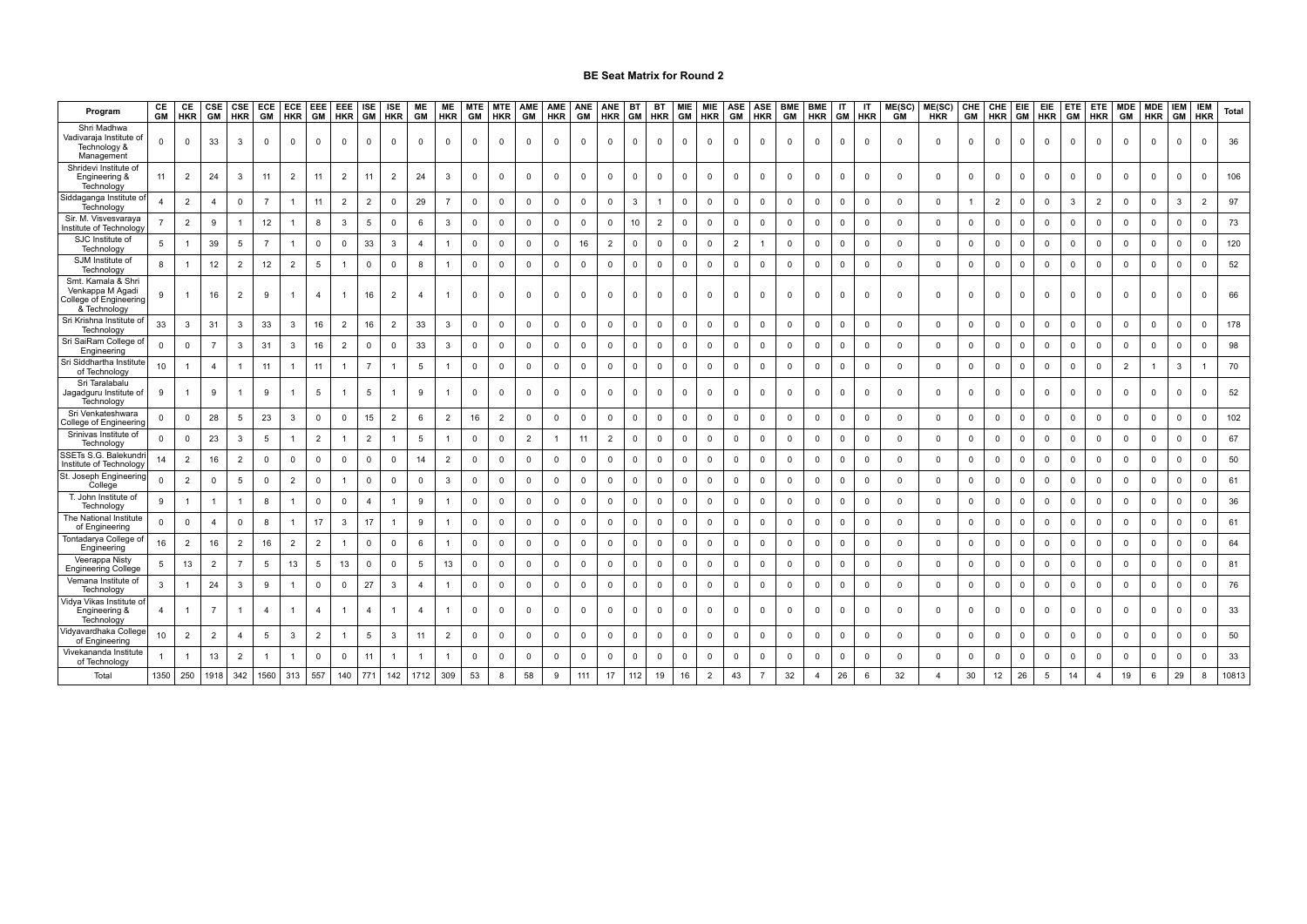| Program                                                                          | CE<br><b>GM</b> | CE<br><b>HKR</b> | CSE<br><b>GM</b> | CSE<br><b>HKR</b>       | ECE<br>GM      | <b>HKR</b>              | ECE EEE<br><b>GM</b> | EEE<br><b>HKR</b> | <b>ISE</b><br><b>GM</b> | ISE<br><b>HKR</b> | ME<br>GM       | ME<br><b>HKR</b>        | <b>MTE</b><br><b>GM</b> | <b>MTE</b><br><b>HKR</b> | AME<br><b>GM</b> | AME<br><b>HKR</b> | ANE<br><b>GM</b> | ANE<br><b>HKR</b> | BT<br><b>GM</b>         | BT<br><b>HKR</b> | <b>MIE</b><br><b>GM</b> | MIE<br><b>HKR</b> | ASE<br>GM      | ASE<br><b>HKR</b> | <b>BME</b><br>GM | <b>BME</b><br><b>HKR</b> | ΙT<br><b>GM</b> | IT<br><b>HKR</b> | ME(SC)<br><b>GM</b> | ME(SC)<br><b>HKR</b> | <b>GM</b>   | CHE CHE<br><b>HKR</b> | EIE<br><b>GM</b> | EIE<br><b>HKR</b> | ETE<br><b>GM</b> | ETE.<br><b>HKR</b> | <b>MDE</b><br>GM        | <b>MDE</b><br><b>HKR</b> | <b>IEM</b><br><b>GM</b> | <b>IEM</b><br><b>HKR</b> | Total |
|----------------------------------------------------------------------------------|-----------------|------------------|------------------|-------------------------|----------------|-------------------------|----------------------|-------------------|-------------------------|-------------------|----------------|-------------------------|-------------------------|--------------------------|------------------|-------------------|------------------|-------------------|-------------------------|------------------|-------------------------|-------------------|----------------|-------------------|------------------|--------------------------|-----------------|------------------|---------------------|----------------------|-------------|-----------------------|------------------|-------------------|------------------|--------------------|-------------------------|--------------------------|-------------------------|--------------------------|-------|
| Shri Madhwa<br>Vadivaraja Institute of<br>Technology &<br>Management             | $\Omega$        | $\overline{0}$   | 33               | -3                      | $\Omega$       | $\Omega$                |                      | $\Omega$          | n                       | $\Omega$          | $\Omega$       | $\Omega$                | $\Omega$                | $^{\circ}$               | $\Omega$         | $\mathbf{0}$      | $^{\circ}$       | $\Omega$          | $\Omega$                | $\Omega$         | $\Omega$                | $^{\circ}$        | $\Omega$       | $\Omega$          | $\Omega$         |                          | $\Omega$        | $\Omega$         | $\Omega$            | $\overline{0}$       | $^{\circ}$  | $^{\circ}$            | $\Omega$         | $\Omega$          |                  | n                  | $\Omega$                | $\Omega$                 |                         | $\Omega$                 | 36    |
| Shridevi Institute of<br>Engineering &<br>Technology                             | 11              | $\overline{2}$   | 24               | $\mathbf{3}$            | 11             | $\overline{2}$          | 11                   | $\overline{2}$    | 11                      | $\overline{2}$    | 24             | 3                       | $\mathbf 0$             | $\mathbf 0$              | 0                | 0                 | $\mathbf 0$      | $\mathbf 0$       | $\mathbf 0$             | $\mathbf 0$      | $^{\circ}$              | $\mathbf 0$       | $\mathbf 0$    | $\mathbf 0$       | $\mathbf 0$      | $\Omega$                 | $\overline{0}$  | $\mathbf 0$      | 0                   | $\mathbf 0$          | $\mathbf 0$ | $\mathbf 0$           | $\mathbf 0$      | $\Omega$          | $\Omega$         | $\mathbf{0}$       | $\overline{\mathbf{0}}$ | $\mathbf 0$              | $\Omega$                | $\mathbf 0$              | 106   |
| iddaganga Institute c<br>Technology                                              | $\overline{4}$  | $\overline{2}$   | 4                | $\mathbf 0$             |                |                         | 11                   | $\overline{2}$    | $\overline{2}$          | $\mathbf 0$       | 29             |                         | $\mathbf 0$             | $^{\circ}$               | $\mathbf 0$      | $\mathbf 0$       | 0                | 0                 | $\mathbf{3}$            |                  | $\mathbf 0$             | $\mathbf 0$       | $\mathbf 0$    | $\mathbf 0$       | $\mathbf 0$      | $\Omega$                 | $\mathbf 0$     | - 0              | 0                   | $\mathbf 0$          |             | $\overline{2}$        | $\mathbf 0$      | $^{\circ}$        | 3                | 2                  | $^{\circ}$              | $\mathbf 0$              | 3                       | $\overline{2}$           | 97    |
| Sir. M. Visvesvaraya<br>nstitute of Technology                                   |                 | $\overline{2}$   | 9                |                         | 12             | -1                      | 8                    | 3                 | 5                       | $\mathbf 0$       | 6              | $\overline{3}$          | $\mathbf 0$             | $\mathbf 0$              | $\mathbf 0$      | $\mathsf 0$       | $\mathbf 0$      | $\mathbf 0$       | 10                      | $\overline{2}$   | $\mathbf 0$             | 0                 | $\mathbf 0$    | $\mathbf 0$       | $\mathbf 0$      | $\Omega$                 | $\overline{0}$  | $\overline{0}$   | $\mathbf 0$         | $\mathbf 0$          | $\mathbf 0$ | $\mathsf 0$           | $\overline{0}$   | $\mathbf 0$       | $\mathbf 0$      | $\mathbf 0$        | $\overline{\mathbf{0}}$ | $\mathbf 0$              | $\Omega$                | $\mathbf 0$              | 73    |
| SJC Institute of<br>Technology                                                   | 5               |                  | 39               | 5                       | $\overline{7}$ | -1                      | $^{\circ}$           | $\mathbf 0$       | 33                      | 3                 | $\overline{4}$ |                         | $\mathbf 0$             | $\mathbf 0$              | $\mathbf{0}$     | $\mathbf 0$       | 16               | $\overline{2}$    | $\mathbf{0}$            | $\mathbf 0$      | $^{\circ}$              | $\mathbf 0$       | $\overline{2}$ |                   | $\mathbf 0$      | $\Omega$                 | $\mathbf 0$     | $\mathbf 0$      | $\mathbf 0$         | $\mathbf 0$          | $\mathbf 0$ | $\mathbf 0$           | $\mathbf 0$      | $\mathbf 0$       | $\Omega$         | $\mathbf 0$        | $\mathbf{0}$            | $\mathbf 0$              | $\Omega$                | $\mathbf 0$              | 120   |
| SJM Institute of<br>Technology                                                   | 8               |                  | 12               | $\overline{2}$          | 12             | $\overline{2}$          | -5                   |                   | $\Omega$                | $\mathbf 0$       | 8              |                         | $\Omega$                | $\Omega$                 | $\Omega$         | $\Omega$          | $\mathbf 0$      | $\mathbf 0$       | $\mathbf{0}$            | $\Omega$         | $\Omega$                | $\mathbf 0$       | $\mathbf 0$    | $\mathbf 0$       | $\mathbf 0$      | $\Omega$                 | $\mathbf 0$     | $\Omega$         | $\Omega$            | $\mathbf 0$          | $\mathbf 0$ | 0                     | $\mathbf 0$      | $\mathbf 0$       | $\mathbf{0}$     | $\Omega$           | $^{\circ}$              | $\Omega$                 | n                       | $\Omega$                 | 52    |
| Smt. Kamala & Shri<br>Venkappa M Agadi<br>College of Engineering<br>& Technology | 9               |                  | 16               | $\overline{2}$          | 9              | $\overline{1}$          |                      |                   | 16                      | $\overline{2}$    | $\overline{4}$ |                         | $\Omega$                | $\Omega$                 | $\Omega$         | $\Omega$          | $\mathbf 0$      | $\Omega$          | $\overline{0}$          | $\Omega$         | $^{\circ}$              | $\mathbf 0$       | $\Omega$       | $\Omega$          | $^{\circ}$       |                          | $\Omega$        | $\Omega$         | $\Omega$            | $\overline{0}$       | $\Omega$    | $\mathbf 0$           | $\Omega$         | $\Omega$          | $\Omega$         | $\Omega$           | $\overline{0}$          | $\Omega$                 | $\Omega$                | $\mathbf{0}$             | 66    |
| Sri Krishna Institute o<br>Technology                                            | 33              | $\mathbf{3}$     | 31               | $\mathbf{3}$            | 33             | $\overline{\mathbf{3}}$ | 16                   | $\overline{2}$    | 16                      | $\overline{2}$    | 33             | $\mathbf{3}$            | $\Omega$                | $\mathbf 0$              | $\mathbf 0$      | $\mathbf 0$       | $\mathbf 0$      | $\mathbf 0$       | $\mathbf 0$             | $\overline{0}$   | $\mathbf 0$             | $\mathbf 0$       | $\mathbf 0$    | $\mathbf 0$       | $^{\circ}$       | $\Omega$                 | $\mathbf 0$     | $\Omega$         | $\mathbf 0$         | $\mathbf 0$          | $\mathbf 0$ | $\mathbf 0$           | $\mathbf 0$      | $\Omega$          | $^{\circ}$       | $\mathbf 0$        | $\overline{0}$          | $\mathbf 0$              | $\Omega$                | $^{\circ}$               | 178   |
| Sri SaiRam College of<br>Engineering                                             | 0               | $\mathbf 0$      | $\overline{7}$   | 3                       | 31             | $\mathbf{3}$            | 16                   | $\overline{2}$    | 0                       | $\mathbf 0$       | 33             | $\mathbf{3}$            | 0                       | $\mathbf 0$              | $\mathbf 0$      | 0                 | 0                | 0                 | $\mathbf 0$             | $\mathbf 0$      | $\mathbf 0$             | $\mathbf 0$       | $\mathbf 0$    | $\mathbf 0$       | $\mathbf 0$      | $\Omega$                 | $\mathbf{0}$    | $\mathbf 0$      | 0                   | $\mathbf 0$          | 0           | 0                     | 0                | $\mathbf 0$       | $\mathbf 0$      | 0                  | 0                       | $\mathbf 0$              | $\Omega$                | $\mathbf 0$              | 98    |
| Sri Siddhartha Institut<br>of Technology                                         | 10              |                  | $\overline{a}$   |                         | 11             | $\overline{1}$          | 11                   |                   | $\overline{7}$          |                   | 5              |                         | $\Omega$                | $\mathbf 0$              | $\mathbf 0$      | $\mathbf 0$       | 0                | $\mathbf 0$       | $\mathbf 0$             | $\mathbf 0$      | $\mathbf 0$             | $\mathbf 0$       | $\mathbf 0$    | $\mathbf 0$       | $\mathbf 0$      | $\Omega$                 | $\mathbf 0$     | $\overline{0}$   | $\mathbf 0$         | $\mathbf 0$          | $\mathbf 0$ | 0                     | $\mathbf 0$      | $\mathbf 0$       | $\mathbf 0$      | $\mathbf 0$        | $\overline{2}$          |                          | 3                       |                          | 70    |
| Sri Taralabalu<br>Jagadguru Institute of<br>Technology                           | 9               |                  | 9                |                         | 9              | 1                       | 5                    |                   | 5                       |                   | 9              |                         | $\mathbf 0$             | $\mathbf 0$              | 0                | 0                 | $\mathbf 0$      | $\mathbf 0$       | $^{\circ}$              | $\mathbf 0$      | $\Omega$                | $\mathbf 0$       | $\mathbf 0$    | $\mathbf 0$       | $\mathbf 0$      |                          | $\mathbf{0}$    | $\mathbf 0$      | 0                   | $\mathbf 0$          | $\mathbf 0$ | $\mathbf 0$           | $\mathbf 0$      | 0                 | $\mathbf 0$      | 0                  | $\overline{0}$          | $\mathbf 0$              | $\Omega$                | $\mathbf 0$              | 52    |
| Sri Venkateshwara<br>College of Engineering                                      | $\mathbf 0$     | $\mathbf 0$      | 28               | 5                       | 23             | $\mathbf{3}$            | $\mathbf 0$          | $\mathbf 0$       | 15                      | $\overline{2}$    | 6              | $\overline{2}$          | 16                      | $\overline{2}$           | $\mathbf 0$      | $\mathbf 0$       | 0                | $\mathsf 0$       | $\mathbf 0$             | $\overline{0}$   | $\mathbf 0$             | $\mathbf 0$       | $\mathbf 0$    | $\mathbf 0$       | $\mathbf 0$      | $\Omega$                 | $\mathbf 0$     | $\overline{0}$   | $\mathbf 0$         | $\mathbf 0$          | $\mathbf 0$ | $\mathbf 0$           | $\mathbf 0$      | $\mathbf 0$       | $\mathbf 0$      | $\mathbf 0$        | $\overline{\mathbf{0}}$ | $\mathbf 0$              | $\mathbf 0$             | $\mathbf 0$              | 102   |
| Srinivas Institute of<br>Technology                                              | $\overline{0}$  | $\,0\,$          | 23               | -3                      | 5              |                         | $\overline{2}$       |                   | $\overline{2}$          |                   | 5              |                         | 0                       | $\mathbf 0$              | $\overline{2}$   |                   | 11               | $\overline{2}$    | $\overline{0}$          | $\overline{0}$   | $\mathbf 0$             | 0                 | $\mathbf 0$    | $\mathbf 0$       | $\mathbf 0$      | $\Omega$                 | $\mathbf 0$     | $\overline{0}$   | $\mathbf 0$         | $\mathbf 0$          | $\mathbf 0$ | 0                     | $\mathbf 0$      | $\mathbf 0$       | $\mathbf 0$      | 0                  | $\overline{0}$          | $\mathbf 0$              | $\Omega$                | $\mathbf 0$              | 67    |
| SSETs S.G. Balekundr<br>Institute of Technology                                  | 14              | $\overline{2}$   | 16               | $\overline{2}$          | $\mathbf 0$    | $\mathbf 0$             | $\mathbf 0$          | $\mathbf 0$       | $\Omega$                | $\Omega$          | 14             | $\overline{2}$          | $\Omega$                | $\mathbf 0$              | $\mathbf 0$      | $\mathbf 0$       | $\mathbf 0$      | $\mathbf 0$       | $\mathbf 0$             | $\Omega$         | $\mathbf{0}$            | $\mathbf 0$       | $\mathbf 0$    | $\overline{0}$    | $\mathbf 0$      | $\Omega$                 | $\mathbf 0$     | $\mathbf 0$      | 0                   | $\mathbf 0$          | $\mathbf 0$ | $\mathsf 0$           | $\mathbf 0$      | $\mathbf 0$       | $\mathbf{0}$     | $\mathbf 0$        | $\overline{\mathbf{0}}$ | $\mathbf 0$              | $\mathbf{0}$            | $\mathbf 0$              | 50    |
| St. Joseph Engineerin<br>College                                                 | $\mathbf 0$     | $\overline{2}$   | 0                | 5                       | $^{\circ}$     | $\overline{2}$          | $^{\circ}$           |                   | $\mathbf 0$             | $\mathbf 0$       | $\mathbf 0$    | $\overline{\mathbf{3}}$ | $\mathbf 0$             | $^{\circ}$               | $\mathbf 0$      | $\mathbf{0}$      | $\mathbf 0$      | $\mathbf 0$       | $\mathbf 0$             | $\overline{0}$   | $^{\circ}$              | $\mathbf 0$       | $\mathbf 0$    | $\mathbf 0$       | $^{\circ}$       | $\Omega$                 | $\overline{0}$  | $\overline{0}$   | $\mathbf 0$         | $\mathbf 0$          | $\mathbf 0$ | $\mathbf 0$           | $\mathbf 0$      | $\mathbf 0$       | $^{\circ}$       | $\mathbf{0}$       | $\overline{0}$          | $\mathbf 0$              | $\mathbf 0$             | $\mathbf 0$              | 61    |
| T. John Institute o<br>Technology                                                | 9               |                  |                  |                         | 8              |                         | $\mathbf{0}$         | $\mathbf 0$       | 4                       |                   | 9              |                         | 0                       | $\mathbf 0$              | $\mathbf 0$      | 0                 | 0                | $\mathbf 0$       | $\overline{\mathbf{0}}$ | $\overline{0}$   | $\mathbf 0$             | 0                 | $\mathbf 0$    | $\mathbf 0$       | $\mathbf 0$      | $\Omega$                 | $\mathbf 0$     | $\overline{0}$   | 0                   | $\mathbf 0$          | $\mathbf 0$ | $\mathbf 0$           | $\mathbf 0$      | $\mathbf 0$       | $\mathbf 0$      | 0                  | $\overline{0}$          | $\mathbf 0$              | 0                       | $\mathbf 0$              | 36    |
| The National Institute<br>of Engineering                                         | $\mathbf 0$     | $\mathbf 0$      | $\overline{a}$   | $\overline{\mathbf{0}}$ | 8              | 1                       | 17                   | 3                 | 17                      | $\overline{1}$    | 9              |                         | $\Omega$                | $\mathbf 0$              | $\mathbf 0$      | $\mathsf 0$       | $\mathbf 0$      | $\mathbf 0$       | $\mathbf 0$             | $\mathbf 0$      | $\mathbf{0}$            | $\mathbf 0$       | $\mathbf 0$    | $\mathbf 0$       | $\mathbf 0$      | $\Omega$                 | $\mathbf 0$     | $\mathbf 0$      | 0                   | $\mathbf 0$          | $\mathbf 0$ | $\mathsf 0$           | $\mathbf 0$      | $\mathbf 0$       | $\mathbf 0$      | $\mathbf{0}$       | $\overline{\mathbf{0}}$ | $\mathbf 0$              | $\Omega$                | $\mathbf 0$              | 61    |
| Tontadarya College of<br>Engineering                                             | 16              | $\overline{2}$   | 16               | $\overline{2}$          | 16             | $\overline{2}$          | $\overline{2}$       |                   | $\Omega$                | $\Omega$          | 6              |                         | $\Omega$                | $^{\circ}$               | $\mathbf 0$      | $\mathbf 0$       | $\mathbf 0$      | $\mathbf 0$       | $\mathbf 0$             | $\overline{0}$   | $\mathbf{0}$            | $\mathbf 0$       | $\mathbf 0$    | $\mathbf 0$       | $\mathbf 0$      | $\Omega$                 | $\mathbf 0$     | $\Omega$         | $\mathbf 0$         | $\mathbf 0$          | $\mathbf 0$ | $\mathbf 0$           | $\mathbf 0$      | $\mathbf 0$       | $\mathbf{0}$     | $\Omega$           | $\overline{\mathbf{0}}$ | $\mathbf 0$              | $\Omega$                | $\mathbf 0$              | 64    |
| Veerappa Nisty<br><b>Engineering College</b>                                     | 5               | 13               | $\overline{2}$   | -7                      | 5              | 13                      | -5                   | 13                | 0                       | 0                 | 5              | 13                      | $\mathbf 0$             | $^{\circ}$               | $\mathbf 0$      | 0                 | $\mathbf 0$      | $\mathbf 0$       | $\mathbf 0$             | $\overline{0}$   | $\mathbf 0$             | $\mathbf 0$       | $\mathbf 0$    | $\mathbf 0$       | $\mathbf 0$      | 0                        | $\mathbf 0$     | $\overline{0}$   | 0                   | $\mathbf 0$          | $\mathbf 0$ | $\mathbf 0$           | $\mathbf 0$      | $\mathbf 0$       | $\mathbf 0$      | 0                  | $\overline{0}$          | $\mathbf 0$              | $\Omega$                | $\mathbf 0$              | 81    |
| Vemana Institute of<br>Technology                                                | 3               |                  | 24               | $\overline{3}$          | 9              | 1                       | $\mathbf 0$          | $\mathbf 0$       | 27                      | 3                 | $\overline{4}$ |                         | $\mathbf 0$             | $\mathbf 0$              | $\mathbf 0$      | $\mathbf 0$       | $\mathbf 0$      | $\mathbf 0$       | $\mathbf 0$             | $\mathbf 0$      | $\mathbf 0$             | $\mathsf 0$       | $\mathbf 0$    | $\mathbf 0$       | $\mathbf 0$      | $\Omega$                 | $\mathbf 0$     | $\mathbf 0$      | $\mathbf 0$         | $\mathbf 0$          | $\mathbf 0$ | $\mathsf 0$           | $\mathbf 0$      | $\mathbf 0$       | $\mathbf 0$      | $\mathbf 0$        | $\overline{\mathbf{0}}$ | $\mathbf 0$              | $\Omega$                | $\mathbf 0$              | 76    |
| /idya Vikas Institute o<br>Engineering &<br>Technology                           | $\overline{4}$  |                  | $\overline{7}$   |                         | $\overline{4}$ | $\overline{1}$          | $\overline{4}$       |                   | $\overline{4}$          |                   | $\overline{4}$ |                         | 0                       | $^{\circ}$               | $^{\circ}$       | 0                 | $^{\circ}$       | $^{\circ}$        | $^{\circ}$              | $\overline{0}$   | 0                       | $^{\circ}$        | $^{\circ}$     | $\overline{0}$    | $^{\circ}$       | $\Omega$                 | 0               | - 0              | 0                   | $\mathbf 0$          | $\mathbf 0$ | $\mathbf 0$           | $^{\circ}$       | 0                 | $\mathbf 0$      | 0                  | $\overline{0}$          | $\overline{0}$           | $\Omega$                | $\Omega$                 | 33    |
| 'idyavardhaka College<br>of Engineering                                          | 10              | $\overline{2}$   | $\overline{2}$   | $\overline{4}$          | 5              | $\mathbf{3}$            | $\overline{2}$       |                   | 5                       | 3                 | 11             | $\overline{2}$          | $\Omega$                | $\Omega$                 | $\mathbf 0$      | $\mathbf 0$       | $\mathbf 0$      | $\mathbf 0$       | $\overline{0}$          | $\Omega$         | $\mathbf 0$             | $\mathbf 0$       | $\mathbf 0$    | $\mathbf 0$       | $\mathbf 0$      | $\Omega$                 | $\overline{0}$  | $\Omega$         | 0                   | $\mathbf 0$          | $\mathbf 0$ | $\mathbf 0$           | $\mathbf 0$      | $\Omega$          | $\Omega$         | $\Omega$           | $\mathbf{0}$            | $\mathbf 0$              | $\Omega$                | $\Omega$                 | 50    |
| √ivekananda Institut∈<br>of Technology                                           |                 |                  | 13               | $\overline{2}$          |                |                         | $\mathbf{0}$         | $\mathbf 0$       | 11                      |                   |                |                         |                         | $\Omega$                 | $\mathbf 0$      | $\Omega$          | $\mathbf 0$      | $\mathbf 0$       | $\mathbf{0}$            | $\mathbf 0$      | $\Omega$                | $\mathbf 0$       | 0              | $\Omega$          | $\Omega$         |                          | $\Omega$        | $\Omega$         | $\Omega$            | $\mathbf 0$          | $\Omega$    | $\mathbf 0$           | $\mathbf 0$      | $\Omega$          | $\Omega$         | $\Omega$           | $^{\circ}$              | 0                        | $\Omega$                | $\Omega$                 | 33    |
| Total                                                                            | 1350            | 250              | 1918             | 342                     | 1560           | 313                     | 557                  | 140               | 771                     | 142               | 1712           | 309                     | 53                      | 8                        | 58               | 9                 | 111              | 17                | 112                     | 19               | 16                      | 2                 | 43             |                   | 32               |                          | 26              | 6                | 32                  | $\overline{4}$       | 30          | 12                    | 26               | 5                 | 14               | $\overline{4}$     | 19                      | 6                        | 29                      | 8                        | 10813 |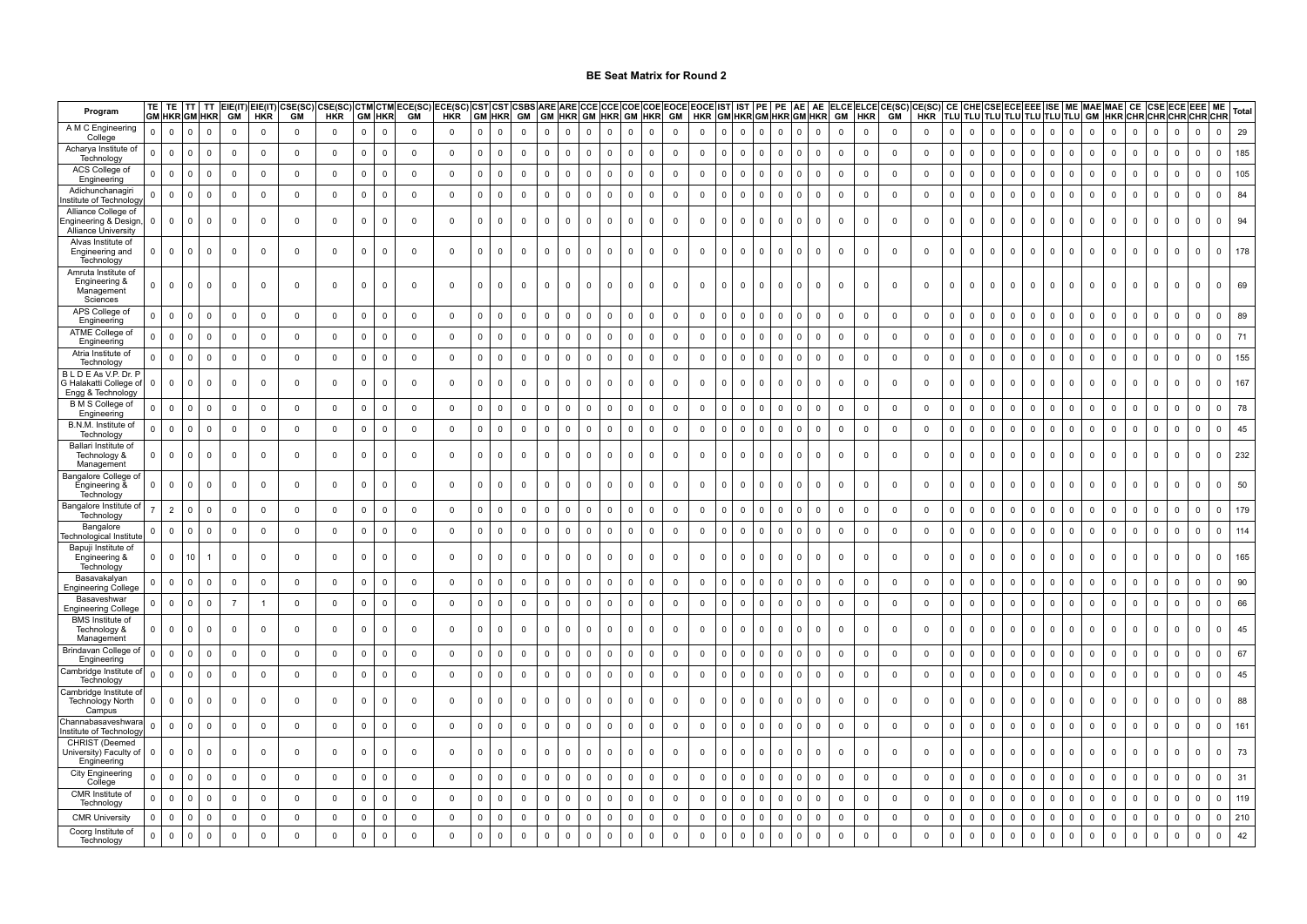| Program                                                                  |              | TF<br><b>GM HKR GM HKR</b>    | <b>TT</b>      | GM             | <b>HKR</b>     | EIE(IT) EIE(IT) CSE(SC) CSE(SC)<br><b>GM</b> | <b>HKR</b>   |                     | <b>GM HKR</b>           | <b>CTM CTM ECE(SC</b><br>GM | ECE(SC)<br><b>HKR</b> | <b>CST CST</b> | <b>GM HKR</b> | CSBS<br>GM  | <b>ARF ARF</b><br><b>GM HKR</b> |                | CCF<br><b>GM HKR</b> |                     | CCE COE COE EOCE EOCE IST<br><b>GM HKR</b> | GM             |             | <b>HKR</b>  | IST<br>GM HKR GM HKR GM HKR |              | PE           | AE<br>AE                | GM             | <b>HKR</b>  | ELCE ELCE CE(SC)<br><b>GM</b> | CE(SC)<br>HKR |                |                                  |                               |                         |              |                         |                |              |                |                |                | CE  CHE CSE ECE EEE  ISE   ME  MAE MAE  CE  CSE ECE EEE  ME  <br> TLU TLU TLU TLU TLU TLU TLU  GM  HKR CHR CHR CHR CHR CHR | Total |
|--------------------------------------------------------------------------|--------------|-------------------------------|----------------|----------------|----------------|----------------------------------------------|--------------|---------------------|-------------------------|-----------------------------|-----------------------|----------------|---------------|-------------|---------------------------------|----------------|----------------------|---------------------|--------------------------------------------|----------------|-------------|-------------|-----------------------------|--------------|--------------|-------------------------|----------------|-------------|-------------------------------|---------------|----------------|----------------------------------|-------------------------------|-------------------------|--------------|-------------------------|----------------|--------------|----------------|----------------|----------------|----------------------------------------------------------------------------------------------------------------------------|-------|
| A M C Engineering<br>College                                             | $\mathbf{0}$ | $\mathbf 0$<br>$\Omega$       | $\mathbf 0$    | $\mathbf 0$    | $\mathbf 0$    | $\mathbf 0$                                  | $\mathbf 0$  | $\mathsf 0$         | $\mathbf 0$             | $\overline{\mathbf{0}}$     | $\mathbf 0$           | $\mathbf{0}$   | $\mathbf 0$   | $\mathbf 0$ | $\mathbf 0$                     | $\mathbf{0}$   | $\mathbf 0$          | $\mathbf 0$         | $\mathbf 0$<br>$\mathsf 0$                 | $\mathbf 0$    |             | $\mathbf 0$ | $\mathbf 0$<br>$\mathbf 0$  | $\mathbf{0}$ | $\mathbf 0$  | $\mathbf 0$<br>$\Omega$ | $\mathbf 0$    | $\mathsf 0$ | $\mathbf 0$                   | $\mathbf 0$   | $\mathbf 0$    | $\mathbf 0$                      | $\mathbf 0$<br>$\overline{0}$ | $\overline{0}$          | $\mathbf{0}$ | $\overline{\mathbf{0}}$ | $\overline{0}$ | $\mathbf 0$  | $\mathbf 0$    | $\mathbf 0$    | $\Omega$       | $\mathsf 0$<br>$\mathbf 0$                                                                                                 | 29    |
| Acharya Institute of<br>Technology                                       | n            | $\mathsf 0$<br>$\Omega$       | $\mathbf 0$    | $\mathbf 0$    | $\mathbf 0$    | $\mathbf 0$                                  | $\mathbf 0$  | $\mathsf 0$         | $\mathbf 0$             | $\mathbf 0$                 | $\mathsf 0$           | $\mathbf{0}$   | $\mathbf 0$   | $\mathbf 0$ | $\mathsf 0$                     | $\mathbf{0}$   | $\mathsf 0$          | $\mathbf 0$         | $\mathsf 0$<br>$\mathsf 0$                 | $\mathbf 0$    |             | $\mathsf 0$ | $\mathbf 0$<br>$\Omega$     | $\mathbf{0}$ | $\mathbf 0$  | $\mathsf 0$<br>- 0      | $\mathbf 0$    | $\mathbf 0$ | $\mathbf 0$                   | $\mathsf 0$   | $\overline{0}$ | $\mathbf 0$<br>$\overline{0}$    | $\mathbf 0$                   | $\Omega$                | $\mathbf 0$  | $\mathbf 0$             | $\overline{0}$ | $\mathbf{0}$ | $\mathbf 0$    | $\mathbf 0$    | $\mathbf{0}$   | $\mathsf 0$<br>$\mathbf{0}$                                                                                                | 185   |
| ACS College of<br>Engineering                                            |              | $\mathbf 0$<br>$\mathsf{C}$   | $\mathbf 0$    | $\mathbf 0$    | $\mathbf 0$    | $\mathbf 0$                                  | $\mathbf 0$  | $\mathsf{O}\xspace$ | $\mathbf 0$             | $\mathbf 0$                 | $\mathbf 0$           | $\mathbf 0$    | $\mathbf 0$   | $\mathbf 0$ | $\mathbf 0$                     | $\mathbf 0$    | $\mathbf{0}$         | $\mathbf 0$         | $\overline{0}$<br>$\mathbf 0$              | $\mathbf 0$    |             | $\mathbf 0$ | $\mathbf 0$<br>$\Omega$     | $\Omega$     | $\mathbf 0$  | $\mathbf 0$<br>$\Omega$ | $\mathbf 0$    | $\mathbf 0$ | $\mathbf 0$                   | $\mathbf 0$   | $\mathbf 0$    | $\mathbf 0$<br>$\mathbf 0$       | $\mathbf 0$                   | $\mathbf 0$             | $\mathbf 0$  | $\mathbf 0$             | $\mathbf 0$    | $\mathbf 0$  | $\overline{0}$ | $\mathbf 0$    | $\mathbf 0$    | $\mathbf 0$<br>$\Omega$                                                                                                    | 105   |
| Adichunchanagir<br>nstitute of Technolog                                 | n            | $\mathbf 0$<br>$\Omega$       | $\overline{0}$ | $\mathbf 0$    | $\mathbf 0$    | $\mathbf 0$                                  | $\mathbf 0$  | $\mathbf 0$         | $\overline{\mathbf{0}}$ | $\overline{0}$              | $\mathbf 0$           | $\mathbf 0$    | $\mathbf 0$   | $\mathbf 0$ | $\mathbf 0$                     | $\mathbf{0}$   | $\mathbf 0$          | $\mathbf 0$         | $\mathbf 0$<br>$\mathbf 0$                 | $\overline{0}$ |             | $\mathsf 0$ | $\mathsf 0$<br>$\mathbf 0$  | $\mathbf 0$  | $\mathbf 0$  | $\mathbf 0$<br>$\Omega$ | $\mathbf 0$    | $\mathsf 0$ | $\mathbf 0$                   | $\mathbf 0$   | $\mathbf 0$    | $\mathbf 0$                      | $\mathbf 0$<br>$\mathbf 0$    | $\mathbf 0$             | $\mathbf 0$  | $\mathbf 0$             | 0              | $\mathbf 0$  | $\mathbf 0$    | $\overline{0}$ | $\mathbf 0$    | $\mathbf 0$<br>$\mathbf 0$                                                                                                 | 84    |
| Alliance College of<br>ngineering & Desigr<br><b>Alliance University</b> | $\mathbf{0}$ | $\mathbf 0$<br>$\Omega$       | $\overline{0}$ | $\mathbf 0$    | $\mathbf 0$    | $\mathbf 0$                                  | $\mathbf 0$  | $\mathbf 0$         | $\mathbf 0$             | $\overline{\mathbf{0}}$     | $\mathbf 0$           | $\mathbf 0$    | $\mathbf 0$   | $\mathbf 0$ | $\mathbf 0$                     | $\mathbf{0}$   | $\mathbf{0}$         | $\mathbf 0$         | $\overline{\mathbf{0}}$<br>$\mathbf 0$     |                | $\mathbf 0$ | $\mathbf 0$ | $\mathsf 0$<br>$\Omega$     | $\mathbf 0$  | $\mathbf 0$  | $\mathbf 0$             | $\mathbf 0$    | $\mathbf 0$ | $\mathbf 0$                   | $\mathbf 0$   | $\mathbf 0$    | $\mathbf 0$                      | $\mathbf 0$<br>$\mathbf 0$    | $\mathbf 0$             | $\mathbf 0$  | $\mathbf 0$             | $\mathbf 0$    | $\mathbf 0$  | $\mathbf 0$    | $\mathbf 0$    | $\overline{0}$ | $\mathbf 0$<br>$\mathbf 0$                                                                                                 | 94    |
| Alvas Institute of<br>Engineering and<br>Technology                      | $\Omega$     | $\Omega$<br>$\Omega$          | $\mathsf 0$    | $\mathbf 0$    | 0              | $\mathbf 0$                                  | $\mathbf 0$  | $\Omega$            | $\mathsf 0$             | $\overline{\mathbf{0}}$     | 0                     | $\Omega$       | $\Omega$      | $\Omega$    | 0                               | $\overline{0}$ | $\Omega$             | $\mathbf 0$         | $\mathbf 0$<br>$\mathbf 0$                 | 0              |             | $\mathbf 0$ | $\mathbf 0$<br>$\Omega$     | $\Omega$     | $\mathbf 0$  | $\mathbf 0$             | $\mathsf 0$    | $\mathsf 0$ | $\mathsf 0$                   | $\mathbf 0$   | $\Omega$       | $\Omega$                         | $\mathbf 0$<br>$\mathbf 0$    | $\Omega$                | $\mathbf 0$  | $\mathbf 0$             | 0              | $\mathbf 0$  | $\mathbf 0$    | $\mathbf 0$    | $\mathbf{0}$   | $\Omega$<br>$\mathbf 0$                                                                                                    | 178   |
| Amruta Institute of<br>Engineering &<br>Management<br>Sciences           | 0            | $\mathbf 0$<br>n              | $\mathbf 0$    | $\mathbf 0$    | $\mathbf 0$    | $\mathbf 0$                                  | $\mathbf 0$  | $\Omega$            | $\mathbf 0$             | $\overline{\mathbf{0}}$     | $\mathbf 0$           | $\Omega$       | $\Omega$      | $\Omega$    | $\mathbf 0$                     | $\mathbf{0}$   | $\Omega$             | $\mathbf 0$         | $\overline{\mathbf{0}}$<br>$\mathbf{0}$    | $\mathbf 0$    |             | $\mathbf 0$ | $\mathbf 0$<br>$\Omega$     | 0            | $\mathbf 0$  | $\mathbf 0$             | $\mathbf 0$    | $\mathbf 0$ | $\mathbf 0$                   | $\mathbf 0$   | $\mathbf 0$    | $\mathbf 0$<br>$\Omega$          | $\mathbf 0$                   | $\mathbf 0$             | $\mathbf 0$  | $\mathbf 0$             | $\mathbf 0$    | $\mathbf 0$  | $\Omega$       | $\mathbf{0}$   | $\mathbf 0$    | $\Omega$<br>$^{\circ}$                                                                                                     | 69    |
| APS College of<br>Engineering                                            | n            | $\mathbf 0$<br>$\Omega$       | $\mathbf 0$    | $\mathbf 0$    | $\mathbf 0$    | $\mathbf 0$                                  | $\mathbf 0$  | $\mathbf 0$         | $\overline{\mathbf{0}}$ | $\overline{0}$              | $\mathbf 0$           | $\overline{0}$ | $\mathbf 0$   | $\mathbf 0$ | $\mathbf 0$                     | $\mathbf 0$    | $\mathbf{0}$         | $\mathbf 0$         | $\mathbf 0$<br>$\mathbf 0$                 | $\mathbf 0$    |             | $\mathbf 0$ | $\mathsf 0$<br>$\mathbf 0$  | $\mathbf 0$  | $\mathbf 0$  | $\mathbf 0$<br>- 0      | $\mathbf 0$    | $\mathsf 0$ | $\overline{0}$                | $\mathbf 0$   | $\mathbf 0$    | $\mathbf 0$                      | $\overline{0}$<br>$\mathbf 0$ | $\mathbf 0$             | $\mathbf 0$  | $\mathbf 0$             | $\mathsf 0$    | $\mathbf 0$  | $\mathbf 0$    | $\overline{0}$ | $\mathbf 0$    | $\mathbf 0$<br>$\mathbf 0$                                                                                                 | 89    |
| ATME College of<br>Engineering                                           | $\mathbf{0}$ | $\mathbf 0$<br>$\Omega$       | $\mathbf 0$    | $\mathbf 0$    | $\mathbf 0$    | $\mathbf 0$                                  | $\mathbf 0$  | $\mathbf 0$         | $\mathbf 0$             | $\overline{0}$              | $\mathbf 0$           | $\mathbf{0}$   | $\mathbf 0$   | $\mathbf 0$ | $\mathbf 0$                     | $\mathbf{0}$   | $\mathbf{0}$         | $\mathsf 0$         | $\mathbf 0$<br>$\mathbf 0$                 | $\mathbf 0$    |             | $\mathsf 0$ | $\mathbf 0$<br>$\Omega$     | $\mathbf 0$  | $\mathbf 0$  | $\mathsf 0$             | $\mathbf 0$    | $\mathbf 0$ | $\mathsf 0$                   | $\mathbf 0$   | $\mathbf 0$    | $\mathbf 0$                      | $\mathbf 0$<br>$\mathbf 0$    | $\mathbf 0$             | $\mathbf 0$  | $\mathbf 0$             | $\mathbf 0$    | $\mathbf 0$  | $\mathbf 0$    | $\mathbf 0$    | $\mathbf{0}$   | $\mathbf 0$<br>$\mathbf 0$                                                                                                 | 71    |
| Atria Institute of<br>Technology                                         | $\Omega$     | $\mathbf 0$<br>$\overline{0}$ | $\mathbf 0$    | $\mathsf 0$    | $\mathsf 0$    | $\mathbf 0$                                  | $\mathbf 0$  | $\mathbf 0$         | $\mathbf 0$             | $\overline{\mathbf{0}}$     | $\mathbf 0$           | $\mathbf 0$    | $\mathbf 0$   | $\mathbf 0$ | $\mathbf 0$                     | $\mathbf 0$    | $\mathbf{0}$         | $\mathbf 0$         | $\overline{\mathbf{0}}$<br>$\mathbf 0$     | $\mathsf 0$    |             | $\mathbf 0$ | $\mathbf 0$<br>0            | $\mathbf 0$  | $\mathbf 0$  | $\mathbf 0$<br>$\Omega$ | $\mathbf 0$    | $\mathsf 0$ | $\mathbf 0$                   | $\mathsf 0$   | $\overline{0}$ | $\mathbf 0$<br>$\overline{0}$    | $\mathbf 0$                   | $\overline{0}$          | $\mathbf 0$  | $\mathbf 0$             | $\mathbf 0$    | $\mathbf 0$  | $\mathbf 0$    | $\mathbf 0$    | $\mathbf 0$    | $\mathbf 0$<br>$\mathbf 0$                                                                                                 | 155   |
| B L D E As V.P. Dr.<br>3 Halakatti College oʻ<br>Engg & Technology       | $\mathbf{0}$ | $\Omega$<br>$\Omega$          | $\overline{0}$ | $\mathbf 0$    | $\mathbf{0}$   | $\overline{0}$                               | $\Omega$     | $\Omega$            | $\mathbf 0$             | $\overline{0}$              | $\mathbf 0$           | $\mathbf{0}$   | $\Omega$      | $\Omega$    | $\mathbf{0}$                    | $\mathbf{0}$   | $\Omega$             | $\mathbf{0}$        | $\mathbf 0$<br>$\mathbf 0$                 | $\mathbf{0}$   |             | $\Omega$    | $\mathbf 0$<br>$\Omega$     | $\Omega$     | $\mathbf{0}$ | $\mathbf 0$             | $\mathbf 0$    | $\mathbf 0$ | $\mathbf 0$                   | $\mathbf 0$   | $\Omega$       | $\mathbf 0$<br>$\Omega$          | $\mathbf{0}$                  | $\Omega$                | $\mathbf{0}$ | $\mathbf 0$             | $\Omega$       | $\mathbf{0}$ | $\mathbf 0$    | $\mathbf{0}$   | $\Omega$       | $\Omega$<br>$\Omega$                                                                                                       | 167   |
| B M S College of<br>Engineering                                          | $\Omega$     | $\Omega$<br>$\Omega$          | $\mathbf 0$    | $\mathsf 0$    | $\mathsf 0$    | $\mathbf 0$                                  | $\mathbf 0$  | $\Omega$            | $\overline{0}$          | $\mathbf 0$                 | $\mathsf 0$           | $\Omega$       | $\mathbf 0$   | $\mathbf 0$ | $\mathbf{0}$                    | $\mathbf{0}$   | $\Omega$             | $\mathbf{0}$        | $\mathbf 0$<br>$\mathsf 0$                 | $\mathbf 0$    |             | $\mathbf 0$ | $\mathbf 0$<br>$\mathbf 0$  | $\Omega$     | $\mathsf 0$  | $\mathbf 0$             | $\mathbf 0$    | $\mathbf 0$ | $\mathbf 0$                   | $\mathbf 0$   | $\overline{0}$ | $\mathsf 0$<br>$\Omega$          | $\mathbf 0$                   | $\Omega$                | $\mathbf 0$  | $\mathbf 0$             | $\mathsf 0$    | $\mathbf 0$  | $\mathbf 0$    | $\overline{0}$ | $\mathbf 0$    | $\mathsf 0$<br>$\mathbf 0$                                                                                                 | 78    |
| B.N.M. Institute of<br>Technology                                        | O.           | $\mathbf 0$<br>$\Omega$       | $\mathsf 0$    | $\mathbf 0$    | $\mathbf 0$    | $\mathbf 0$                                  | $\mathbf 0$  | $\mathbf 0$         | $\mathbf 0$             | $\overline{\mathbf{0}}$     | $\mathbf 0$           | $\Omega$       | $\mathbf 0$   | $\mathbf 0$ | $\mathbf 0$                     | $\mathbf 0$    | $\mathbf 0$          | $\mathbf 0$         | $\mathsf 0$<br>$\overline{0}$              | $\mathsf 0$    |             | $\mathsf 0$ | $\Omega$<br>$\mathbf 0$     | $\Omega$     | $\mathsf 0$  | $\Omega$                | $\mathsf 0$    | $\mathsf 0$ | $\mathsf 0$                   | $\mathsf 0$   | $\overline{0}$ | $\mathsf 0$<br>$\overline{0}$    | $\mathbf 0$                   | $\mathbf 0$             | $\mathbf 0$  | $\mathbf 0$             | $\mathbf 0$    | $\mathbf 0$  | $\mathbf 0$    | $\mathbf 0$    | $\mathbf 0$    | $\mathsf 0$<br>$\mathbf 0$                                                                                                 | 45    |
| Ballari Institute of<br>Technology &<br>Management                       |              | $\Omega$                      | $\mathbf 0$    | $\mathbf 0$    | $\mathbf 0$    | $\Omega$                                     | $^{\circ}$   | $\mathbf 0$         | $\mathbf 0$             | $\Omega$                    | $\mathbf 0$           | $\Omega$       | $\Omega$      | $\Omega$    | $\mathbf 0$                     | $\mathbf 0$    | $\Omega$             | 0                   | $\overline{0}$<br>$\mathbf 0$              | $\mathbf 0$    |             | $\mathbf 0$ | $\mathbf 0$<br>$\Omega$     | <sup>0</sup> | $\mathbf 0$  | $\mathbf 0$             | $\mathbf 0$    | $\mathbf 0$ | $\mathbf 0$                   | $\mathbf 0$   | $\overline{0}$ | $\mathbf 0$<br>$\mathbf 0$       | $\mathbf 0$                   | $^{\circ}$              | $\mathbf 0$  | $\mathbf 0$             | $\mathbf 0$    | $\mathbf 0$  | $\Omega$       | $\mathbf 0$    | $\mathbf 0$    | $\mathbf 0$<br>$\Omega$                                                                                                    | 232   |
| Bangalore College of<br>Engineering &<br>Technology                      |              | $\mathbf 0$                   | $\mathbf 0$    | $\mathbf 0$    | $\mathbf 0$    | $\mathbf 0$                                  | $^{\circ}$   | $\mathbf 0$         | $\mathbf 0$             | $\mathbf 0$                 | $\mathbf 0$           | $\Omega$       | $\Omega$      | $\Omega$    | $\mathbf 0$                     | $\mathbf 0$    | $\Omega$             | $\mathbf 0$         | $\overline{0}$<br>$\mathbf 0$              | $\mathbf{0}$   |             | $\mathbf 0$ | $\mathbf 0$<br>$\Omega$     | 0            | $\mathbf 0$  | $\mathbf 0$             | $\mathbf 0$    | $\mathbf 0$ | $\mathbf 0$                   | $\mathbf 0$   | $\mathbf 0$    | $\mathbf 0$<br>$\mathbf 0$       | $\mathbf 0$                   | $\mathbf 0$             | $\mathbf 0$  | $\mathbf 0$             | $\mathbf 0$    | $\mathbf 0$  | $\overline{0}$ | $\mathbf 0$    | $\mathbf 0$    | $\mathbf 0$<br>$\Omega$                                                                                                    | 50    |
| <b>Bangalore Institute</b><br>Technology                                 |              | $\overline{2}$                | $\mathbf 0$    | $^{\circ}$     | $\mathbf 0$    | $\mathbf 0$                                  | $\mathbf 0$  | $\mathbf 0$         | $\mathbf 0$             | $\mathbf 0$                 | $\mathbf 0$           |                | $\Omega$      | $\mathbf 0$ | $\mathbf 0$                     | $\mathbf 0$    | $\Omega$             | 0                   | $\mathbf 0$<br>$\mathbf 0$                 | $\mathbf 0$    |             | $\mathbf 0$ | $\mathbf 0$<br>$\Omega$     |              | $\mathbf 0$  | $\mathbf 0$             | $\mathbf 0$    | $\mathsf 0$ | $\mathsf 0$                   | $\mathbf 0$   | $\mathbf 0$    | $\mathbf 0$<br>$\mathbf 0$       | $\mathbf 0$                   | $^{\circ}$              | $\mathbf 0$  | $\mathbf 0$             | $\mathbf 0$    | $\Omega$     | $\Omega$       | $\mathbf 0$    | $^{\circ}$     | $\mathbf 0$<br>$\mathbf 0$                                                                                                 | 179   |
| Bangalore<br>echnological Institu                                        | n            | $\mathbf 0$<br>$\Omega$       | $\mathsf 0$    | $\overline{0}$ | $\mathbf 0$    | $\mathbf 0$                                  | $\mathbf 0$  | $\Omega$            | $\overline{\mathbf{0}}$ | $\overline{\mathbf{0}}$     | $\mathbf 0$           | $\Omega$       | $\Omega$      | $\mathbf 0$ | $\Omega$                        | $\mathbf 0$    | $\Omega$             | $\mathsf 0$         | $\mathsf 0$<br>$\Omega$                    | $\mathbf 0$    |             | $\mathbf 0$ | $\Omega$<br>$\mathbf 0$     | $\mathbf 0$  | $\mathbf 0$  | $\Omega$                | $\mathbf 0$    | $\mathsf 0$ | $\mathbf 0$                   | $\mathbf 0$   | $\Omega$       | $\mathbf 0$                      | $\mathbf 0$<br>$\mathbf 0$    | $\mathbf 0$             | $\mathbf 0$  | $\mathbf 0$             | $\Omega$       | $\mathbf 0$  | $\Omega$       | $\mathbf 0$    | $\mathbf 0$    | $\mathbf 0$<br>$\mathbf 0$                                                                                                 | 114   |
| Bapuji Institute of<br>Engineering &<br>Technology                       | $^{\circ}$   | $\mathbf 0$                   | $\mathbf{1}$   | $\mathbf 0$    | 0              | $\mathbf 0$                                  | $\mathbf 0$  | $\mathbf 0$         | $\mathbf 0$             | $\overline{\mathbf{0}}$     | $\mathbf 0$           | $\mathbf 0$    | $\mathbf 0$   | $\mathbf 0$ | $\mathbf 0$                     | $\mathbf 0$    | $\Omega$             | $\mathbf 0$         | $\overline{\mathbf{0}}$<br>$\mathbf 0$     | $\mathbf 0$    |             | $\mathbf 0$ | $\mathbf 0$<br>$\Omega$     | 0            | $\mathbf 0$  | $\mathbf 0$             | $\mathbf 0$    | $\mathbf 0$ | $\mathbf 0$                   | $\mathbf 0$   | $\mathbf 0$    | $\mathbf 0$                      | $\mathbf 0$<br>$\mathbf 0$    | $\mathbf 0$             | $\mathbf 0$  | $\mathbf 0$             | $\mathbf 0$    | $\mathbf 0$  | $\mathbf 0$    | $\mathbf 0$    | $\mathbf 0$    | $\mathbf 0$<br>$\mathbf 0$                                                                                                 | 165   |
| Basavakalyan<br>Engineering College                                      | 0            | $\mathbf 0$<br>$\Omega$       | $\mathbf 0$    | $\mathbf 0$    | $\mathbf 0$    | $\mathbf 0$                                  | $\mathbf 0$  | $\mathbf 0$         | $\mathsf 0$             | $\mathbf 0$                 | $\mathbf 0$           | $\mathbf 0$    | $\mathbf 0$   | $\Omega$    | $\mathbf 0$                     | $\mathbf{0}$   | $\Omega$             | $\mathsf 0$         | $\mathsf 0$<br>$\mathsf 0$                 | $\mathsf 0$    |             | $\mathbf 0$ | $\mathbf 0$<br>$\Omega$     | $\Omega$     | $\mathbf 0$  | $\mathsf 0$             | $\mathbf 0$    | $\mathsf 0$ | $\mathbf 0$                   | $\mathbf 0$   | $\mathbf 0$    | $\mathbf 0$                      | $\mathbf 0$<br>$\mathbf 0$    | $\mathbf 0$             | $\mathbf 0$  | $\mathbf 0$             | $\mathbf 0$    | $\mathbf{0}$ | $\mathbf 0$    | $\mathsf 0$    | $\mathbf 0$    | $\mathsf 0$<br>$\mathbf 0$                                                                                                 | 90    |
| Basaveshwar<br>Engineering College                                       | 0            | $\mathbf{0}$<br>$\Omega$      | $\mathbf 0$    | $\overline{7}$ | $\overline{1}$ | $\overline{0}$                               | $\mathbf{0}$ | $\Omega$            | $\overline{0}$          | $\overline{0}$              | $\mathbf 0$           | $^{\circ}$     | $\mathbf 0$   | $\Omega$    | $\mathbf{0}$                    | $^{\circ}$     | $\Omega$             | $\mathbf{0}$        | $\mathbf{0}$<br>$\mathbf{0}$               | $\mathsf 0$    |             | $\mathbf 0$ | $\overline{0}$<br>$\Omega$  | $\Omega$     | $\mathbf 0$  | $\mathbf{0}$            | $\mathbf 0$    | $\mathsf 0$ | $\mathbf{0}$                  | $\mathbf{0}$  | $\Omega$       | $\mathbf{0}$<br>$\overline{0}$   | $\mathbf{0}$                  | $\Omega$                | $\mathbf{0}$ | $\overline{0}$          | $\mathbf{0}$   | $^{\circ}$   | $\Omega$       | $\mathbf{0}$   | $^{\circ}$     | $\mathbf{0}$<br>$\mathbf{0}$                                                                                               | 66    |
| BMS Institute of<br>Technology &<br>Management                           | $\Omega$     | $\mathbf{0}$<br>$\Omega$      | $\mathbf{0}$   | $\mathbf 0$    | $\Omega$       | $\overline{0}$                               | $\Omega$     | $\mathbf{0}$        | $\mathbf 0$             | $\overline{0}$              | $\Omega$              | $\mathbf{0}$   | $\mathbf 0$   | $\Omega$    | $\mathbf{0}$                    | $\mathbf{0}$   | $\Omega$             | $\mathbf{0}$        | $\mathbf 0$<br>$\mathbf{0}$                | $\mathbf 0$    |             | $\mathbf 0$ | $\mathbf 0$<br>$\mathbf 0$  | $\Omega$     | $\mathbf 0$  | $\Omega$                | $\mathbf 0$    | $\mathbf 0$ | $\mathbf 0$                   | $\mathbf 0$   | $\Omega$       | $\Omega$<br>$\Omega$             | $\mathbf{0}$                  | $\Omega$                | $\mathbf{0}$ | $\mathbf 0$             | $\mathbf{0}$   | $\mathbf{0}$ | $\mathbf 0$    | $\mathbf 0$    | $\mathbf{0}$   | $\Omega$<br>$\Omega$                                                                                                       | 45    |
| Brindavan College of<br>Engineering                                      | $\Omega$     | $\mathbf 0$<br>$\overline{0}$ | $\mathbf 0$    | $\overline{0}$ | $\mathsf 0$    | $\mathbf 0$                                  | $\mathbf 0$  | $\mathbf 0$         | $\mathbf 0$             | $\overline{\mathbf{0}}$     | $\mathbf 0$           | $\mathbf 0$    | $\mathbf 0$   | $\mathbf 0$ | $\mathbf 0$                     | $\mathbf 0$    | $\mathbf{0}$         | $\mathbf 0$         | $\mathsf 0$<br>$\mathbf 0$                 | $\overline{0}$ |             | $\mathbf 0$ | $\mathbf 0$<br>$\mathbf{0}$ | $\mathbf{0}$ | $\mathbf 0$  | $\mathbf 0$<br>$\Omega$ | $\overline{0}$ | $\mathsf 0$ | $\mathsf 0$                   | $\mathbf 0$   | $\mathbf 0$    | $\overline{0}$<br>$\overline{0}$ | $\mathbf 0$                   | $\overline{\mathbf{0}}$ | $\mathbf{0}$ | $\,$ 0                  | $\overline{0}$ | $\mathbf 0$  | $\mathbf 0$    | $\overline{0}$ | $\mathbf 0$    | $\mathbf 0$<br>$\mathbf 0$                                                                                                 | 67    |
| Cambridge Institute<br>Technology                                        | $\Omega$     | $\mathsf 0$<br>$\Omega$       | $\overline{0}$ | $\mathbf 0$    | $\mathsf 0$    | $\mathbf 0$                                  | $\mathbf 0$  | $\mathsf 0$         | $\overline{\mathbf{0}}$ | $\mathbf 0$                 | $\mathbf 0$           | $\mathbf 0$    | $\mathsf 0$   | $\mathbf 0$ | $\mathsf 0$                     | $\mathbf 0$    | $\mathbf 0$          | $\mathsf{O}\xspace$ | $\mathsf 0$<br>$\overline{0}$              | $\mathbf 0$    |             | $\mathsf 0$ | $\mathbf 0$<br>$\Omega$     | $\mathbf 0$  | $\mathbf 0$  | $\mathbf 0$<br>- 0      | $\mathbf 0$    | $\mathsf 0$ | $\mathsf 0$                   | $\mathsf 0$   | $\mathbf 0$    | $\mathsf 0$<br>$\mathbf 0$       | $\mathbf 0$                   | $\mathbf 0$             | $\mathbf 0$  | $\mathbf 0$             | $\mathbf 0$    | $\mathbf 0$  | $\mathsf 0$    | $\overline{0}$ | $\mathbf 0$    | $\mathsf{O}\xspace$<br>$\mathsf 0$                                                                                         | 45    |
| ·ambridge Institute)<br><b>Technology North</b><br>Campus                | 0            | $\mathbf 0$                   | $\mathbf 0$    | $\mathbf 0$    | $\mathbf 0$    | $\mathbf 0$                                  | $\mathbf 0$  | $\mathbf 0$         | $\mathbf 0$             | $\mathbf 0$                 | $\mathbf 0$           |                | $\Omega$      | $\Omega$    | $\mathbf 0$                     | $\mathbf 0$    | $\Omega$             | $\mathbf 0$         | $\mathbf 0$<br>$\mathbf 0$                 | $\mathbf 0$    |             | $\mathbf 0$ | $\mathbf 0$<br>$\mathbf 0$  | 0            | $\mathsf 0$  | $\mathbf 0$             | $\mathbf 0$    | $\mathbf 0$ | $\mathbf 0$                   | $\mathbf 0$   | $\overline{0}$ | $\mathbf 0$<br>$^{\circ}$        | $\mathbf 0$                   | $\mathbf 0$             | $\mathbf 0$  | $\mathbf 0$             | $\mathbf 0$    | $\mathbf 0$  | $\Omega$       | $\mathbf 0$    | $\mathbf 0$    | $\mathbf 0$<br>$\mathbf 0$                                                                                                 | 88    |
| Channabasaveshwar<br>nstitute of Technolog                               |              | $\mathbf 0$<br>$\Omega$       | $\mathbf 0$    | $\mathbf 0$    | $\mathbf 0$    | $\mathbf 0$                                  | $\mathbf 0$  | $\mathbf 0$         | $\mathbf 0$             | $\mathbf 0$                 | $\mathbf 0$           | $\mathbf 0$    | $\mathbf 0$   | $\mathbf 0$ | $\mathbf 0$                     | $\mathbf 0$    | $\mathbf{0}$         | $\mathbf 0$         | $\overline{0}$<br>$\mathbf 0$              | $\mathbf 0$    |             | $\mathbf 0$ | $\mathbf 0$<br>$\Omega$     | 0            | $\mathbf 0$  | $\mathbf 0$             | $\mathbf 0$    | $\mathbf 0$ | $\mathsf 0$                   | $\mathbf 0$   | $\mathbf 0$    | $\mathbf 0$                      | $\mathbf 0$<br>$\mathbf 0$    | $\mathbf 0$             | $\mathbf 0$  | $\mathbf 0$             | $\mathbf 0$    | $\mathbf 0$  | $\overline{0}$ | $\mathbf 0$    | $\mathbf 0$    | $\mathbf 0$<br>$\mathbf 0$                                                                                                 | 161   |
| <b>CHRIST</b> (Deemed<br>University) Faculty o<br>Engineering            | n            |                               | $\mathsf 0$    | $\overline{0}$ | $\mathbf{0}$   | $\Omega$                                     | $\mathbf 0$  | $\Omega$            | $\mathbf 0$             | $\overline{0}$              | $\mathbf 0$           |                | $\Omega$      | $\Omega$    | $\Omega$                        | $\mathbf{0}$   |                      | $\Omega$            | $\Omega$<br>$\Omega$                       | $\mathbf 0$    |             | $\Omega$    | $\mathbf 0$<br>$\Omega$     | 0            | $\Omega$     | $\Omega$                | $\mathbf 0$    | $\mathbf 0$ | $\mathbf 0$                   | $\mathbf 0$   | $\Omega$       | $\Omega$<br>$\Omega$             | $\Omega$                      | $\Omega$                | $\mathbf{0}$ | $\overline{0}$          | $\Omega$       | $\mathbf{0}$ |                | $\mathbf 0$    | $\Omega$       | $\Omega$<br>$\Omega$                                                                                                       | 73    |
| <b>City Engineering</b><br>College                                       | 0            | $\mathbf 0$<br>$\Omega$       | $\mathbf 0$    | $\mathbf 0$    | $\mathsf 0$    | $\mathbf 0$                                  | $\mathbf{0}$ | $\mathbf 0$         | $\mathbf 0$             | $\overline{0}$              | $\mathbf 0$           | $\mathbf{0}$   | $\Omega$      | $\mathbf 0$ | $\mathsf 0$                     | $\mathbf{0}$   | $\Omega$             | $\mathbf 0$         | $\mathbf 0$<br>$\mathbf 0$                 | $\mathbf 0$    |             | $\mathsf 0$ | $\mathbf 0$<br>$\Omega$     | $\Omega$     | $\mathsf 0$  | $\mathbf 0$<br>$\Omega$ | $\mathbf 0$    | $\mathbf 0$ | $\mathsf 0$                   | $\mathsf 0$   | $\Omega$       | $\mathsf 0$                      | $\mathbf 0$<br>$\mathbf 0$    | $\Omega$                | $\mathbf 0$  | $\mathbf 0$             | $\mathbf 0$    | $\mathbf{0}$ | $\mathbf 0$    | $\mathbf 0$    | $\Omega$       | $\mathbf 0$<br>$\mathbf{0}$                                                                                                | 31    |
| CMR Institute of<br>Technology                                           | $\Omega$     | $\overline{0}$<br>$\Omega$    | $\overline{0}$ | $\mathbf 0$    | $\mathbf 0$    | $\mathbf 0$                                  | $\mathbf 0$  | $\mathbf 0$         | $\overline{0}$          | $\overline{0}$              | 0                     | $\mathbf{0}$   | $\mathbf 0$   | $\mathbf 0$ | $\mathbf 0$                     | $\mathbf 0$    | 0                    | $\mathbf 0$         | $\mathbf 0$<br>$\mathbf 0$                 | 0              |             | $\mathbf 0$ | $\mathsf 0$<br>$\Omega$     | $\mathbf 0$  | $\mathbf 0$  | $\mathbf 0$<br>$\Omega$ | $\mathbf 0$    | $\mathsf 0$ | $\mathbf 0$                   | $\mathbf 0$   | $\mathbf 0$    | $\mathbf 0$                      | $\mathbf 0$<br>$\mathbf 0$    | $\mathbf 0$             | $\mathbf 0$  | $\mathbf 0$             | $\mathbf 0$    | $\mathbf 0$  | $\mathbf 0$    | $\overline{0}$ | $\mathbf 0$    | $\mathbf 0$<br>$^{\circ}$                                                                                                  | 119   |
| <b>CMR University</b>                                                    |              | $\Omega$<br>0                 | $\mathbf 0$    | $\Omega$       | $\mathbf{0}$   | $\mathbf 0$                                  | $\mathbf 0$  | $\Omega$            | $\Omega$                | $\mathbf 0$                 | $\mathbf 0$           | 0              | $\Omega$      | $\Omega$    | $\Omega$                        | $\Omega$       | -0                   | $\Omega$            | $\Omega$<br>$\Omega$                       | $\mathbf 0$    |             | $\Omega$    | $\overline{0}$<br>0         |              | $\mathbf 0$  | $\Omega$                | $\mathbf 0$    | $\mathbf 0$ | $\mathbf 0$                   | $\mathbf 0$   | $\Omega$       | $\Omega$<br>$\Omega$             | $\Omega$                      | $\Omega$                | $\Omega$     | $\mathbf 0$             | $\Omega$       | $\Omega$     | $\Omega$       | $\mathbf 0$    | $\Omega$       | $\Omega$<br>$\Omega$                                                                                                       | 210   |
| Coorg Institute of<br>Technology                                         | $\Omega$     | $\mathsf 0$<br>$\Omega$       | $\mathbf 0$    | $\overline{0}$ | $\mathbf 0$    | $\mathbf 0$                                  | $\mathbf 0$  | $\mathsf{O}\xspace$ | $\mathbf 0$             | $\Omega$                    | $\mathbf 0$           | $\Omega$       | $\Omega$      | 0           | $\mathbf 0$                     | $\mathbf 0$    | $\Omega$             | $\mathsf 0$         | $\overline{0}$<br>$\mathbf 0$              | $\mathsf 0$    |             | $\mathsf 0$ | $\mathbf 0$<br>$\Omega$     | $\Omega$     | $\mathsf 0$  | $\Omega$                | $\mathbf 0$    | $\mathbf 0$ | $\mathbf 0$                   | $\mathsf 0$   | $\Omega$       | $\mathsf 0$<br>$\Omega$          | $\mathbf 0$                   | $\Omega$                | $\mathbf 0$  | $\mathbf 0$             | $\mathbf 0$    | $\Omega$     | $\Omega$       | $\mathbf 0$    | $\Omega$       | $\mathbf 0$<br>$\mathbf 0$                                                                                                 | 42    |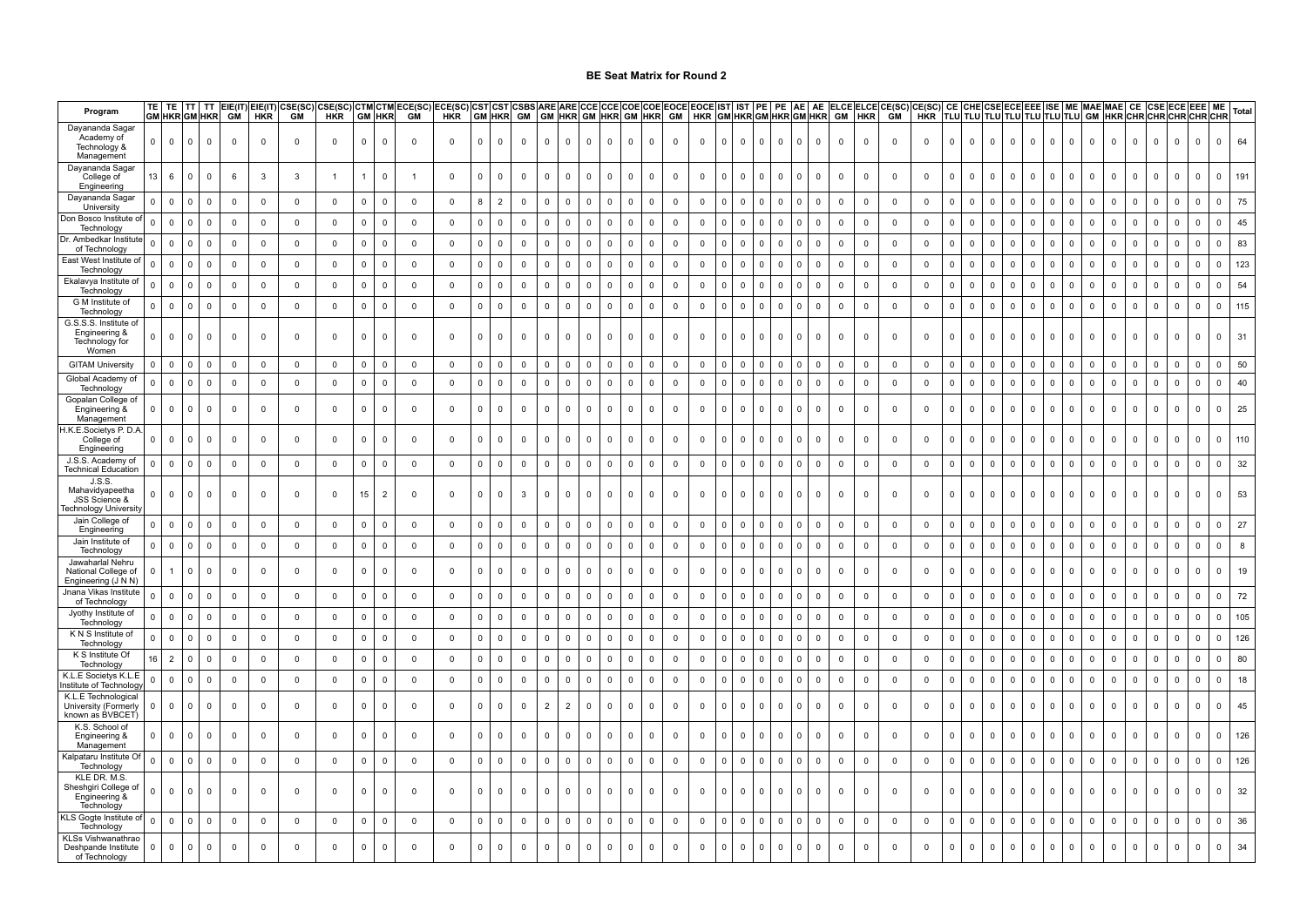| Program                                                            | TE             | TE<br><b>GM HKR GM HKR</b> | <b>TT</b>      | TT          | GM             | <b>HKR</b>     | EIE(IT) EIE(IT) CSE(SC)<br><b>GM</b> | HKR            |             | <b>GM HKR</b>  | CSE(SC) CTM CTM ECE(SC)<br><b>GM</b> | ECE(SC)<br>HKR |                | <b>GM HKR</b>  | CST CST CSBS<br><b>GM</b> | <b>ARE ARE CCE CCE</b><br>GM HKR GM HKR GM HKR GM |                |             |             |                |              |                | COE COE EOCE EOCE IST<br>HKR GM HKR GM HKR GM HKR |              | IST                     | PE          | PE           | AE AE          | GM             | HKR            | ELCE ELCE CE(SC)<br><b>GM</b> | CE(SC)<br><b>HKR</b> | <b>TLU</b>   |              |              | CE CHE CSE ECE EEE ISE |              |                     |                         |             | <b>ME MAE MAE</b> |                         |             | CE CSE ECE EEE | <b>ME</b><br>TLU TLU TLU TLU TLU TLU  GM  HKR CHR CHR CHR CHR CHR |              | Total |
|--------------------------------------------------------------------|----------------|----------------------------|----------------|-------------|----------------|----------------|--------------------------------------|----------------|-------------|----------------|--------------------------------------|----------------|----------------|----------------|---------------------------|---------------------------------------------------|----------------|-------------|-------------|----------------|--------------|----------------|---------------------------------------------------|--------------|-------------------------|-------------|--------------|----------------|----------------|----------------|-------------------------------|----------------------|--------------|--------------|--------------|------------------------|--------------|---------------------|-------------------------|-------------|-------------------|-------------------------|-------------|----------------|-------------------------------------------------------------------|--------------|-------|
| Dayananda Sagar<br>Academy of<br>Technology &<br>Management        | $\overline{0}$ | $\Omega$                   | $\Omega$       | $\mathbf 0$ | $\mathbf 0$    | $\Omega$       | $\mathbf 0$                          | $\mathbf 0$    | $\Omega$    | $\mathbf 0$    | $\Omega$                             | $\mathbf 0$    | $\mathbf{0}$   | $\mathbf{0}$   | $\mathbf 0$               | $\mathbf 0$                                       | $\mathbf 0$    | $\mathbf 0$ | $\mathbf 0$ | $\mathbf 0$    | $\Omega$     | $\mathbf 0$    | $\mathbf 0$                                       | $\mathbf 0$  | $\overline{0}$          | $\Omega$    | $\Omega$     | $\overline{0}$ | $\mathbf 0$    | $\mathsf 0$    | $\mathbf 0$                   | $\mathbf 0$          | $\mathbf 0$  | $\mathbf{0}$ | $\mathbf{0}$ | $\mathbf 0$            | $\mathbf{0}$ | $\mathbf{0}$        | $\overline{0}$          | $\mathbf 0$ | $\mathbf 0$       | $\mathbf 0$             | $\mathbf 0$ | $\Omega$       | $\mathbf{0}$                                                      |              | 64    |
| Dayananda Sagar<br>College of<br>Engineering                       | 13             | 6                          |                | $\mathbf 0$ | 6              | 3              | -3                                   | $\overline{1}$ |             | $\mathsf 0$    |                                      | $\mathbf 0$    | $\Omega$       | $\mathbf 0$    | $\mathbf 0$               | 0                                                 | $\mathbf 0$    | 0           | $\mathbf 0$ | $\mathbf 0$    | $\mathbf 0$  | 0              | $\mathbf 0$                                       | 0            | $\overline{0}$          | U           | $\mathbf 0$  | $\mathbf 0$    | $\mathbf 0$    | 0              | $\mathbf 0$                   | 0                    | 0            | $\mathbf 0$  | $\mathbf{0}$ | $\mathbf 0$            | $\mathbf 0$  | $\mathbf 0$         | $\overline{0}$          | 0           | 0                 | $\mathbb O$             | 0           | $\mathbf 0$    | $\mathbf 0$<br>$\mathbf 0$                                        |              | 191   |
| Dayananda Sagar<br>University                                      | n              | $\mathbf 0$                |                | 0           | $\mathbf 0$    | $\overline{0}$ | $\mathbf 0$                          | 0              | $\mathbf 0$ | $\mathbf 0$    | $\mathbf 0$                          | $\mathbf 0$    |                | $\overline{2}$ | $\mathbf 0$               | 0                                                 | $\mathbf 0$    | 0           | $\mathsf 0$ | $\mathbf 0$    | $\mathbf 0$  | 0              | $\mathbf 0$                                       | 0            | $\overline{0}$          |             | $\mathbf 0$  | $\mathbf 0$    | $\mathbf 0$    | 0              | $\mathbf 0$                   | $\mathbf{0}$         | $\mathbf 0$  | 0            | $\mathbf 0$  | 0                      | 0            | 0                   | $\overline{0}$          | 0           | $\mathbf{0}$      | $\mathbf 0$             | 0           | $\mathbf 0$    | $\mathbf 0$<br>$\mathbf 0$                                        |              | 75    |
| Don Bosco Institute o<br><b>Technology</b>                         | n              | $\mathbf 0$                |                | $\mathbf 0$ | $\mathbf 0$    | $\mathbf 0$    | $\mathbf 0$                          | $\mathbf 0$    | $\mathbf 0$ | $\mathbf 0$    | $\mathbf 0$                          | $\mathbf 0$    |                | $\Omega$       | $\mathbf 0$               | $\mathbf 0$                                       | $\mathbf 0$    | $^{\circ}$  | $\mathbf 0$ | $\mathbf 0$    | $\mathbf 0$  | $\mathbf 0$    | $\mathbf 0$                                       | 0            | $\mathbf 0$             |             | $\mathbf 0$  | 0              | $\mathbf 0$    | $\mathbf 0$    | $\mathbf 0$                   | $\mathbf 0$          | $\mathbf 0$  | $\mathbf 0$  | $\mathbf 0$  | $\mathbf 0$            | $\Omega$     | $\mathbf 0$         | $\overline{0}$          | $\mathbf 0$ | $\mathbf{0}$      | $\overline{0}$          | $\mathbf 0$ | $\mathbf 0$    | $\Omega$<br>$\Omega$                                              |              | 45    |
| Dr. Ambedkar Institu<br>of Technology                              |                | $\Omega$                   |                | $\mathbf 0$ | $\mathbf 0$    | $\mathbf 0$    | $\mathbf 0$                          | $\mathbf 0$    | $\mathbf 0$ | $\mathbf 0$    | $\mathbf 0$                          | $\mathbf 0$    |                | $\Omega$       | $\mathbf 0$               | $\mathbf 0$                                       | $\Omega$       | $^{\circ}$  | $\mathbf 0$ | $\overline{0}$ | $\mathbf 0$  | $\mathbf 0$    | $\mathbf 0$                                       | 0            | $\mathbf 0$             |             | $\mathbf 0$  | 0              | $\mathbf 0$    | $\mathbf 0$    | $\mathbf 0$                   | $\mathbf 0$          | $\mathbf 0$  | $\mathbf 0$  | $\mathbf 0$  | $\mathbf 0$            | $\Omega$     | $\mathbf 0$         | $\Omega$                | $\mathbf 0$ | 0                 | $\mathbf 0$             | $\mathbf 0$ | $\mathbf 0$    | $\Omega$<br>$\Omega$                                              |              | 83    |
| ، East West Institute<br>Technology                                | U              | $\Omega$                   |                | $\mathbf 0$ | $\mathbf 0$    | $\mathbf 0$    | $\mathbf 0$                          | $\mathbf 0$    | $\Omega$    | $\mathbf 0$    | $\overline{0}$                       | $\mathbf 0$    | $\mathbf{0}$   | $\Omega$       | $\mathbf{0}$              | $\mathbf{0}$                                      | $\mathbf{0}$   | $\Omega$    | $\mathbf 0$ | $\mathbf{0}$   | $\mathbf{0}$ | $\mathbf 0$    | $\mathbf 0$                                       | $\mathbf 0$  | $\Omega$                | 0           | $\mathbf 0$  | $\Omega$       | $\mathbf 0$    | $\mathbf 0$    | $\mathbf 0$                   | $\mathbf 0$          | $\Omega$     | $\mathbf{0}$ | $\mathbf{0}$ | $\mathbf 0$            | $\Omega$     | $\mathbf 0$         | $\Omega$                | $\Omega$    | $\mathbf 0$       | $\mathbf 0$             | $\Omega$    | $\mathbf{0}$   | $\mathbf{0}$<br>$\Omega$                                          |              | 123   |
| Ekalavya Institute o<br>Technology                                 | n              | $\mathbf 0$                | - 0            | $\mathsf 0$ | $\mathbf 0$    | $\mathbf 0$    | $\mathbf 0$                          | $\mathbf 0$    | $\Omega$    | $\mathbf 0$    | $\overline{0}$                       | $\mathbf 0$    | $\overline{0}$ | $\mathbf 0$    | $\Omega$                  | $\mathbf 0$                                       | $\Omega$       | $\Omega$    | $\mathsf 0$ | $\overline{0}$ | $\mathbf 0$  | $\mathbf 0$    | $\mathbf 0$                                       | $\mathbf 0$  | $\Omega$                | n.          | $\Omega$     | $\Omega$       | $\mathsf 0$    | $\mathsf 0$    | $\mathbf 0$                   | $\mathbf 0$          | $\mathbf 0$  | $\mathbf 0$  | $\Omega$     | $\mathbf 0$            | $\Omega$     | $\mathsf{O}\xspace$ | $\overline{0}$          | $\Omega$    | $\mathbf 0$       | $\mathbb O$             | $\mathbf 0$ | $\mathbf{0}$   | $\mathbf 0$<br>$\Omega$                                           |              | 54    |
| G M Institute of<br>Technology                                     | $^{\circ}$     | $\mathbf 0$                | $\Omega$       | $\mathbf 0$ | $\mathbf 0$    | $\overline{0}$ | $\overline{0}$                       | 0              | $\mathbf 0$ | $\overline{0}$ | $\overline{0}$                       | 0              | $\mathbf{0}$   | $\mathbf 0$    | $\mathbf 0$               | $\mathbf 0$                                       | $\mathbf 0$    | $\mathbf 0$ | $\mathsf 0$ | $\overline{0}$ | $\mathbf 0$  | $\mathbf 0$    | $\overline{0}$                                    | $\mathbf 0$  | $\overline{\mathbf{0}}$ | 0           | $\mathbf 0$  | $\mathbf 0$    | $\mathbf 0$    | $\mathsf 0$    | $\mathsf 0$                   | $\mathbf 0$          | $\mathbf{0}$ | $\mathbf 0$  | $^{\circ}$   | $\mathbf 0$            | $\Omega$     | $\mathbf{0}$        | $\mathbf 0$             | 0           | $\mathbf 0$       | $\mathbf 0$             | $\mathbf 0$ | $\mathbf{0}$   | $\mathbf 0$<br>$\mathbf 0$                                        |              | 115   |
| G.S.S.S. Institute of<br>Engineering &<br>Technology for<br>Women  | $\Omega$       | $\Omega$                   |                | $\mathsf 0$ | $\Omega$       | $\Omega$       | $\mathbf 0$                          | $\mathbf 0$    | $\Omega$    | $\mathbf 0$    | $\overline{\mathbf{0}}$              | $\mathbf 0$    | $\Omega$       | $\Omega$       | $\Omega$                  | $\mathbf{0}$                                      | $\Omega$       | $\Omega$    | $\mathsf 0$ | $\mathbf 0$    | $\Omega$     | 0              | $\Omega$                                          | $\mathbf{0}$ | $\overline{0}$          | n.          | <sup>0</sup> | $\mathbf{0}$   | $\mathsf 0$    | $\mathsf 0$    | $\mathbf 0$                   | $\mathbf{0}$         | $\Omega$     | $\mathbf{0}$ | $\Omega$     | $\mathbf 0$            | $\Omega$     | $\mathbf{0}$        | $\mathbf 0$             | $\mathbf 0$ | $\mathbf{0}$      | $\mathbf 0$             | $\Omega$    | $\Omega$       | $\mathbf{0}$<br>$\Omega$                                          | 31           |       |
| <b>GITAM University</b>                                            |                | $\Omega$                   | - C            | 0           | $^{\circ}$     | $^{\circ}$     | $\mathbf 0$                          | 0              | $\Omega$    | $^{\circ}$     | 0                                    | $\mathbf 0$    |                | $\Omega$       | $\mathbf{0}$              | $^{\circ}$                                        | $\Omega$       | $^{\circ}$  | 0           | $\Omega$       | 0            | 0              | $\overline{\mathbf{0}}$                           | $\mathbf 0$  | 0                       |             | $\mathbf 0$  | $\Omega$       | $\Omega$       | $\mathbf 0$    | $\mathbf 0$                   | 0                    | $\Omega$     | $\mathbf 0$  | $\Omega$     | $\mathbf 0$            | $\Omega$     | $\mathbf 0$         | $\Omega$                | 0           | $\Omega$          | $\overline{0}$          | $\mathbf 0$ | $\Omega$       | $\mathbf 0$<br>$\Omega$                                           |              | 50    |
| Global Academy of<br>Technology                                    | $^{\circ}$     | 0                          | $\Omega$       | 0           | 0              | $\overline{0}$ | $\overline{0}$                       | 0              | $\mathbf 0$ | $\overline{0}$ | $\overline{\mathbf{0}}$              | 0              | $\overline{0}$ | 0              | $\mathbf{0}$              | 0                                                 | $^{\circ}$     | 0           | 0           | 0              | $\mathbf{0}$ | 0              | $\overline{\mathbf{0}}$                           | $^{\circ}$   | $\overline{0}$          | 0           | $\mathbf{0}$ | $\mathbf 0$    | $\mathbf 0$    | 0              | $\mathbf 0$                   | $\mathbf 0$          | 0            | 0            | $^{\circ}$   | 0                      | $^{\circ}$   | $\mathbf 0$         | $\mathbf 0$             | 0           | $\mathbf 0$       | $\mathbf 0$             | 0           | $^{\circ}$     | $\mathbf 0$<br>0                                                  |              | 40    |
| Gopalan College of<br>Engineering &<br>Management                  | $\mathbf{0}$   | 0                          |                | $\mathbf 0$ | 0              | $\mathbf 0$    | $\mathbf 0$                          | 0              | $^{\circ}$  | $\mathbf 0$    | $\overline{0}$                       | $\mathbf 0$    | $^{\circ}$     | 0              | $\mathbf 0$               | $\mathbf 0$                                       | $\mathbf 0$    | $^{\circ}$  | $\mathbf 0$ | $\mathbf 0$    | $\mathbf 0$  | $\mathbf 0$    | $\mathbf 0$                                       | 0            | $\overline{\mathbf{0}}$ | 0           | $\mathbf 0$  | $\mathbf 0$    | $\mathbf 0$    | 0              | $\mathbf 0$                   | $\mathbf{0}$         | $\mathbf 0$  | $\mathbf 0$  | $\mathbf 0$  | $\mathbf 0$            | $\mathbf 0$  | $\mathbf 0$         | $\mathbf 0$             | 0           | $\mathbf 0$       | 0                       | 0           | $\mathbf{0}$   | $\mathbf{0}$                                                      |              | 25    |
| H.K.E.Societys P. D<br>College of<br>Engineering                   | 0.             | $\Omega$                   |                | $\mathbf 0$ | $\mathbf 0$    | $\mathbf 0$    | $\mathbf 0$                          | $\mathbf 0$    | $\mathbf 0$ | 0              | $\overline{\mathbf{0}}$              | $\mathbf 0$    | $\mathbf{0}$   | $\Omega$       | $\Omega$                  | 0                                                 | 0              | $^{\circ}$  | $\mathbf 0$ | $\mathsf 0$    | 0            | 0              | $\mathbf 0$                                       | 0            | $\overline{\mathbf{0}}$ | U           | $\mathbf 0$  | $\mathbf 0$    | $\mathsf 0$    | $\mathsf 0$    | $\mathbf 0$                   | $\mathbf 0$          | $\mathbf 0$  | 0            | $\Omega$     | 0                      | $\Omega$     | 0                   | $\Omega$                | 0           | 0                 | $\overline{\mathbf{0}}$ | 0           | $\mathbf{0}$   | $\Omega$                                                          |              | 110   |
| J.S.S. Academy of<br><b>Technical Education</b>                    | 0              | $\mathbf 0$                | $\overline{0}$ | $\mathbf 0$ | $\overline{0}$ | $\mathbf 0$    | $\mathbf 0$                          | $\mathbf 0$    | $\mathbf 0$ | $\overline{0}$ | $\overline{0}$                       | $\mathbf 0$    | $\overline{0}$ | $\mathbf 0$    | $\mathbf 0$               | 0                                                 | $\mathbf 0$    | 0           | $\mathbf 0$ | $\overline{0}$ | 0            | $\mathbf 0$    | $\overline{0}$                                    | $\mathbf 0$  | $\overline{0}$          | $\mathbf 0$ | $\mathbf 0$  | $\mathbf 0$    | $\overline{0}$ | $\overline{0}$ | $\mathbf 0$                   | $\mathbf 0$          | $\mathbf{0}$ | $\mathbf 0$  | $\mathbf 0$  | $\mathbf 0$            | $\mathbf 0$  | $\mathbf 0$         | $\overline{0}$          | $\mathbf 0$ | $\mathbf 0$       | $\mathbf 0$             | $\mathbf 0$ | $\mathbf{0}$   | $\mathbf 0$<br>$\mathbf 0$                                        |              | 32    |
| J.S.S.<br>Mahavidyapeetha<br>JSS Science &<br>echnology Universit  |                | $\Omega$                   |                | $^{\circ}$  | 0              | $^{\circ}$     | $\mathbf 0$                          | $\mathbf 0$    | 15          | 2              | $\overline{\mathbf{0}}$              | $^{\circ}$     | $\Omega$       | $\Omega$       | 3                         | $\Omega$                                          | $^{\circ}$     | $^{\circ}$  | $\mathbf 0$ | $\overline{0}$ | $\Omega$     | 0              | $\overline{0}$                                    | $\Omega$     | $\overline{\mathbf{0}}$ | 0.          | $\Omega$     | $\Omega$       | $\mathbf 0$    | $\mathbf 0$    | $\mathbf 0$                   | $\mathbf 0$          | 0            | $\Omega$     | $\Omega$     | $\Omega$               | $\Omega$     | $\Omega$            | $\Omega$                | $^{\circ}$  | $^{\circ}$        | $\overline{0}$          | 0           | $\mathbf{0}$   | $^{\circ}$<br>$\Omega$                                            |              | 53    |
| Jain College of<br>Engineering                                     |                | 0                          |                | 0           | 0              | 0              | $\mathbf 0$                          | 0              | $\mathbf 0$ | 0              | $\overline{0}$                       | $^{\circ}$     | $^{\circ}$     | $\mathbf 0$    | 0                         | 0                                                 | $^{\circ}$     | 0           | $\mathsf 0$ | $\overline{0}$ | 0            | 0              | $\mathbf 0$                                       | 0            | $\overline{0}$          |             | 0            | 0              | $^{\circ}$     | $\mathbf 0$    | $\mathbf 0$                   | 0                    | 0            | 0            | $\mathbf{0}$ | 0                      | 0            | 0                   | $\mathbf 0$             | 0           | 0                 | $\overline{\mathbf{0}}$ | 0           | $\mathbf{0}$   | $\mathbf 0$<br>0                                                  |              | 27    |
| Jain Institute of<br>Technology                                    |                | $\mathbf 0$                | $\Omega$       | $\mathsf 0$ | $\mathbf 0$    | $\mathbf 0$    | $\mathbf 0$                          | $\mathbf 0$    | $\mathsf 0$ | $\mathbf 0$    | $\mathbf 0$                          | $\mathbf 0$    | $\mathbf 0$    | $\mathbf 0$    | $\mathbf 0$               | $\mathbf 0$                                       | $\mathbf 0$    | $^{\circ}$  | $\mathbf 0$ | $\mathbf 0$    | $\mathbf 0$  | $\mathsf 0$    | $\mathbf 0$                                       | 0            | $\overline{0}$          |             | $\mathbf 0$  | $\mathbf 0$    | $\mathbf 0$    | 0              | $\mathbf 0$                   | 0                    | $\mathbf 0$  | $\mathbf 0$  | $\mathbf 0$  | $\mathbf 0$            | $\mathbf 0$  | $\mathbf 0$         | $\overline{0}$          | $\mathbf 0$ | $\mathbf 0$       | $\mathbf 0$             | $\mathbf 0$ | $\mathbf 0$    | $\mathbf 0$<br>$\mathbf 0$                                        |              |       |
| Jawaharlal Nehru<br>National College of<br>Engineering (J N N)     |                |                            |                | $\mathbf 0$ | $\mathbf 0$    | $\mathbf 0$    | $\mathbf 0$                          | $\mathbf 0$    | $\Omega$    | $\Omega$       | $\overline{0}$                       | $\mathbf 0$    | $\Omega$       | $\Omega$       | $\Omega$                  | $\mathbf 0$                                       | $\mathbf 0$    | $\Omega$    | $\mathbf 0$ | $\overline{0}$ | $\Omega$     | $\mathbf 0$    | $\mathbf 0$                                       | $\mathbf 0$  | $\overline{0}$          | 0           | $\mathbf 0$  | $\mathbf 0$    | $\mathbf 0$    | 0              | $\mathbf 0$                   | $\mathbf{0}$         | $\mathbf 0$  | $\Omega$     | $\Omega$     | $\mathbf 0$            | $\Omega$     | $\Omega$            | $\Omega$                | $\mathbf 0$ | $\mathbf 0$       | $\mathbf 0$             | $\mathbf 0$ | $\Omega$       | $\mathbf{0}$                                                      |              | 19    |
| Jnana Vikas Institute<br>of Technology                             | 0              | $\mathbf 0$                |                | $\mathbf 0$ | 0              | $\mathbf 0$    | $\mathbf 0$                          | $\mathbf 0$    | $\mathbf 0$ | $\mathbf 0$    | $\mathbf 0$                          | $\mathbf 0$    | $\mathbf{0}$   | $\mathbf 0$    | $\mathbf 0$               | 0                                                 | $\mathbf 0$    | 0           | $\mathbf 0$ | $\mathbf 0$    | 0            | $\overline{0}$ | $\mathbf 0$                                       | 0            | - 0                     |             | $\mathbf 0$  | $\mathbf 0$    | $^{\circ}$     | 0              | $\overline{0}$                | $\overline{0}$       | 0            | $\mathbf 0$  | $\mathbf 0$  | $\mathbf 0$            | $^{\circ}$   | $\mathbf 0$         | $\overline{0}$          | $^{\circ}$  | 0                 | $\mathbf 0$             | 0           | $\mathbf{0}$   | $\mathbf 0$<br>0                                                  |              | 72    |
| Jyothy Institute of<br>Technology                                  | 0              | $\mathbf 0$                | $\Omega$       | $\mathsf 0$ | $\mathbf 0$    | $\mathbf 0$    | $\mathbf 0$                          | $\mathbf 0$    | $\mathbf 0$ | $\overline{0}$ | $\overline{0}$                       | $\mathbf 0$    | $\mathbf{0}$   | $\Omega$       | $\mathbf 0$               | $\mathbf 0$                                       | $\mathbf 0$    | $^{\circ}$  | $\mathbf 0$ | $\mathbf 0$    | $^{\circ}$   | $\overline{0}$ | $\mathbf 0$                                       | $\mathbf 0$  | $\overline{\mathbf{0}}$ | 0.          | $\mathbf 0$  | $\mathbf 0$    | $\mathbf 0$    | 0              | $\mathbf 0$                   | $\mathbf 0$          | $\Omega$     | $\mathbf 0$  | $\Omega$     | $\mathbf 0$            | $\Omega$     | $\mathbf 0$         | $\overline{\mathbf{0}}$ | $\mathbf 0$ | $^{\circ}$        | $\mathbf 0$             | $\Omega$    | $\Omega$       | $\mathbf 0$<br>$\Omega$                                           |              | 105   |
| K N S Institute of<br>Technology                                   | n              | $\mathbf 0$                | $\Omega$       | 0           | $\mathbf 0$    | $\mathbf 0$    | $\mathbf 0$                          | $\mathbf 0$    | $\mathbf 0$ | $\mathbf{0}$   | $\overline{0}$                       | $\mathbf 0$    | $\mathbf{0}$   | $\mathbf 0$    | $\mathbf 0$               | $\mathbf 0$                                       | $^{\circ}$     | $\Omega$    | $\mathbf 0$ | $\mathbf 0$    | $\mathbf 0$  | $\mathbf 0$    | $\mathbf 0$                                       | $^{\circ}$   | $\overline{\mathbf{0}}$ | 0           | $\mathbf{0}$ | $\mathbf 0$    | $\mathbf 0$    | 0              | $\mathbf 0$                   | $\mathbf 0$          | $\Omega$     | $\mathbf 0$  | $\Omega$     | $\mathbf 0$            | $\Omega$     | $\mathbf 0$         | $\overline{\mathbf{0}}$ | $\mathbf 0$ | $^{\circ}$        | $\overline{0}$          | $\Omega$    | $\Omega$       | $\mathbf 0$<br>$\Omega$                                           |              | 126   |
| K S Institute Of<br>Technology                                     | 16             | $\overline{2}$             | $\Omega$       | $\mathsf 0$ | 0              | $\overline{0}$ | $\mathbf 0$                          | $\mathbf{0}$   | $\mathbf 0$ | $\overline{0}$ | $\overline{0}$                       | $\mathbf 0$    | $\mathbf{0}$   | 0              | $\mathbf 0$               | $\mathbf{0}$                                      | $\mathbf{0}$   | $\Omega$    | $\mathbf 0$ | $\mathbf{0}$   | $\mathbf{0}$ | $\mathbf{0}$   | $\overline{0}$                                    | $\Omega$     | $\overline{\mathbf{0}}$ | $\Omega$    | $\mathbf{0}$ | $\overline{0}$ | $\mathbf 0$    | $\mathsf 0$    | $\mathbf 0$                   | $\mathbf 0$          | $\Omega$     | $\mathbf 0$  | $\Omega$     | $\mathbf 0$            | $\Omega$     | $\mathbf 0$         | $\overline{0}$          | $\mathbf 0$ | $\mathbf 0$       | $\overline{0}$          | 0           | $\Omega$       | $\mathbf 0$<br>$\Omega$                                           |              | 80    |
| K.L.E Societvs K.L.E<br>istitute of Technolog                      | 0              | 0                          | $\mathbf 0$    | $\mathbf 0$ | $\mathbf 0$    | $\overline{0}$ | $\mathbf 0$                          | $\mathbf 0$    | $\mathbf 0$ | $\mathbf{0}$   | $\overline{\mathbf{0}}$              | $\mathbf 0$    | $\mathbf{0}$   | $\mathbf 0$    | $\mathbf 0$               | $\mathbf 0$                                       | $\mathbf 0$    | $^{\circ}$  | $\mathbf 0$ | $\mathbf{0}$   | 0            | 0              | $\overline{0}$                                    | 0            | $\overline{0}$          | $\mathbf 0$ | $\mathbf{0}$ | $\mathbf 0$    | $\mathbf 0$    | 0              | $\mathbf 0$                   | $\mathbf{0}$         | 0            | 0            | $\mathbf 0$  | 0                      | $\mathbf 0$  | $\mathbf 0$         | $\mathbf 0$             | $\mathbf 0$ | $\mathbf 0$       | $\overline{0}$          | 0           | $\mathbf{0}$   | $\mathbf 0$<br>$\mathbf 0$                                        |              | 18    |
| K.L.E Technological<br>University (Formerly<br>known as BVBCET     | 0              | 0                          |                | 0           | 0              | $\mathbf 0$    | $\mathbf 0$                          | $\mathbf 0$    | $^{\circ}$  | $\mathbf 0$    | $\overline{0}$                       | $\mathbf 0$    | $^{\circ}$     | $\mathbf 0$    | $\mathbf 0$               | $\overline{2}$                                    | $\overline{2}$ | $^{\circ}$  | $\mathbf 0$ | $\mathbf 0$    | $\mathbf 0$  | $\mathbf 0$    | $\mathbf 0$                                       | 0            | $\overline{\mathbf{0}}$ | 0           | $\mathbf 0$  | $\mathbf 0$    | $\mathbf 0$    | $\mathbf 0$    | $\mathbf 0$                   | $\mathbf{0}$         | $\mathbf 0$  | $\mathbf 0$  | $\mathbf{0}$ | $\mathbf 0$            | $\mathbf 0$  | $\mathbf 0$         | $\mathbf 0$             | $\mathbf 0$ | $\mathbf 0$       | 0                       | $\mathbf 0$ | $\mathbf{0}$   | $\mathbf 0$<br>$\Omega$                                           |              | 45    |
| K.S. School of<br>Engineering &<br>Management                      | $\Omega$       | $\Omega$                   | n              | 0           | 0              | 0              | $\mathbf 0$                          | $\mathbf 0$    | $\mathbf 0$ | $\mathsf 0$    | $\overline{\mathbf{0}}$              | 0              | $\overline{0}$ | $\Omega$       | $\Omega$                  | $\mathbf 0$                                       | $\mathbf{0}$   | $^{\circ}$  | $\mathsf 0$ | $\overline{0}$ | $\mathbf 0$  | 0              | 0                                                 | $\mathbf 0$  | $\overline{\mathbf{0}}$ | 0           | $\mathbf 0$  | $\mathbf 0$    | $\mathbf 0$    | $\mathsf 0$    | $\mathbf 0$                   | $\mathbf 0$          | 0            | $\mathbf 0$  | $\mathbf{0}$ | $\mathbf 0$            | $\Omega$     | $\mathbf 0$         | $\mathbf 0$             | $\mathbf 0$ | $\mathbf 0$       | $\mathbf 0$             | $\mathbf 0$ | $\overline{0}$ | $\Omega$                                                          | $\mathbf{0}$ | 126   |
| Kalpataru Institute C<br>Technology                                | $\Omega$       | $\mathbf 0$                | $\Omega$       | $\mathbf 0$ | $^{\circ}$     | $\mathbf 0$    | $\mathbf 0$                          | $\mathbf 0$    | $\mathbf 0$ | $\overline{0}$ | $\overline{0}$                       | 0              | $\overline{0}$ | $\mathbf 0$    | $\mathbf 0$               | $\mathbf 0$                                       | $\mathbf 0$    | $^{\circ}$  | $\mathbf 0$ | $\mathbf{0}$   | $\mathbf 0$  | $\mathbf 0$    | $\mathbf 0$                                       | $\mathbf 0$  | $\overline{0}$          | 0           | $\mathbf 0$  | $\mathbf 0$    | $\overline{0}$ | $\mathbf 0$    | $\mathbf 0$                   | $\mathbf 0$          | 0            | $\mathbf 0$  | $\mathbf 0$  | $\mathbf 0$            | $\mathbf 0$  | $\mathbf 0$         | $\mathbf 0$             | $\mathbf 0$ | $\mathbf 0$       | $\mathbf 0$             | $\mathbf 0$ | $\mathbf{0}$   | $\mathbf 0$<br>$\Omega$                                           |              | 126   |
| KLE DR. M.S.<br>Sheshgiri College o<br>Engineering &<br>Technology | n              | $\Omega$                   | n              | $\mathbf 0$ | 0              | $\mathbf 0$    | $\mathbf 0$                          | $\mathbf 0$    | $\Omega$    | $\Omega$       | $\overline{\mathbf{0}}$              | $\Omega$       | $\Omega$       | $\Omega$       | $\Omega$                  | $\mathbf 0$                                       | $\mathbf 0$    | $^{\circ}$  | $\mathbf 0$ | $\mathbf{0}$   | $\Omega$     | $^{\circ}$     | $\mathbf 0$                                       | $\mathbf 0$  | $\overline{\mathbf{0}}$ | 0           | $\Omega$     | $\mathbf 0$    | $\mathbf 0$    | 0              | $\mathbf 0$                   | $\mathbf 0$          | 0            | $\Omega$     | $\Omega$     | $\Omega$               | $\Omega$     | $\mathbf{0}$        | $\overline{0}$          | $\mathbf 0$ | $\mathbf 0$       | $\mathbf 0$             | $\mathbf 0$ | $\mathbf{0}$   | $\mathbf{0}$<br>$\Omega$                                          |              | 32    |
| KLS Gogte Institute o<br>Technology                                | 0              | $\mathbf 0$                | $\Omega$       | $\mathsf 0$ | $^{\circ}$     | $\mathbf 0$    | $\mathbf 0$                          | $\mathbf 0$    | $\mathbf 0$ | $\mathbf 0$    | $\mathbf 0$                          | $\mathbf 0$    | $\mathbf 0$    | $\mathbf 0$    | $\mathbf 0$               | $\mathbf 0$                                       | $\mathbf 0$    | $^{\circ}$  | $\mathbf 0$ | $\mathbf 0$    | 0            | 0              | $\mathbf 0$                                       | 0            | $\mathbf 0$             |             | $\mathbf 0$  | $\mathbf 0$    | $^{\circ}$     | $\overline{0}$ | $\overline{0}$                | 0                    | 0            | $\mathbf 0$  | $\mathbf 0$  | $\mathbf 0$            | $\mathbf{0}$ | $\mathbf 0$         | $\mathbf 0$             | $\mathbf 0$ | $^{\circ}$        | $\mathbf 0$             | $\mathbf 0$ | $\mathbf 0$    | $\mathbf 0$<br>$\mathbf 0$                                        |              | 36    |
| <b>KLSs Vishwanathrad</b><br>Deshpande Institute<br>of Technology  | 0              | $\mathbf 0$                |                | $\mathbf 0$ | 0              | $^{\circ}$     | $\mathbf 0$                          | $\mathbf 0$    | $^{\circ}$  | $\mathbf 0$    | $\mathbf 0$                          | $\mathbf 0$    | $\Omega$       | $\mathbf 0$    | $\mathbf 0$               | $\mathbf 0$                                       | $\mathbf 0$    | $^{\circ}$  | $\mathbf 0$ | $\mathbf 0$    | $\mathbf 0$  | $\mathbf 0$    | $\mathbf{0}$                                      | 0            | $\overline{0}$          | 0           | $\mathbf 0$  | 0              | $\mathbf 0$    | $\mathbf 0$    | $\mathbf 0$                   | $\mathbf{0}$         | $\mathbf 0$  | $\mathbf 0$  | $\mathbf{0}$ | $\mathbf 0$            | $\mathbf 0$  | $\mathbf 0$         | $\mathbf 0$             | $\mathbf 0$ | $^{\circ}$        | $\mathbf 0$             | $\mathbf 0$ | $\mathbf 0$    | $\mathbf 0$<br>0                                                  |              | 34    |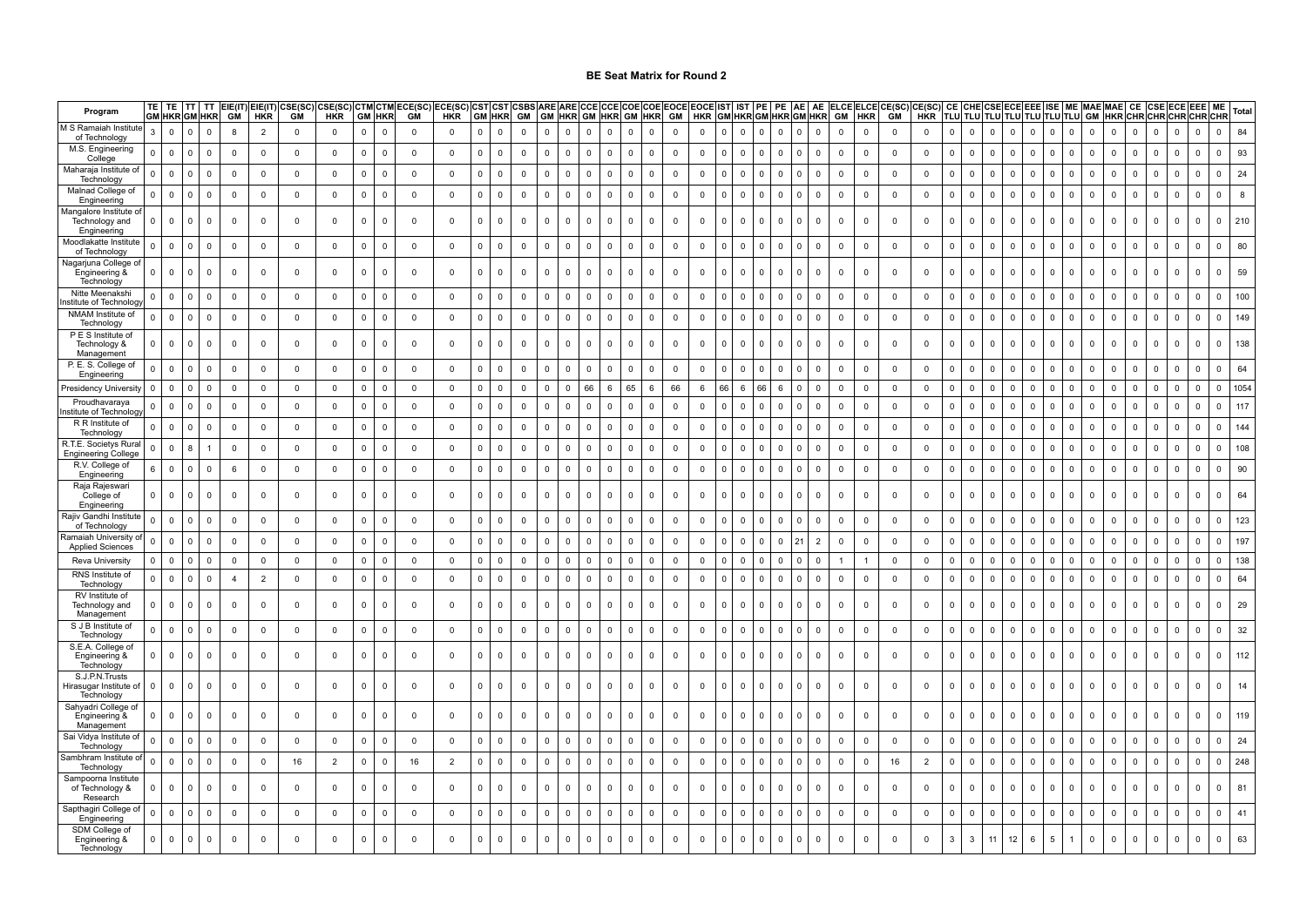| Program                                                | TE           | TE                      | <b>TT</b>  | <b>TT</b><br><b>GM HKR GM HKR</b> | GM             | $EIE(IT)$ $EIE(IT)$<br><b>HKR</b> | CSE(SC)<br>GM  | CSE(SC)<br><b>HKR</b> | GM             | <b>HKR</b>              | CTM CTM ECE(SC)<br>GM | ECE(SC)<br><b>HKR</b> |              | <b>GM HKR</b>  | CST CST CSBS ARE ARE CCECCE<br>GM |              |              |                |                     |              | GM HKR GM HKR GM HKR GM | COE COE EOCE | EOCE IST IST PE PE AE AE<br>HKR GM HKR GM HKR GM HKR |              |                |                                |                |                |                |              | ELCE ELCE CE(SC) CE(SC) |                | CE I         |              | <b>CHE CSE ECE</b> |              | <b>EEE</b>   | <b>ISE</b>   | <b>ME MAE MAE</b><br>TLU TLU TLU TLU TLU TLU TLU TLU GM |              | HKRCHRCHRCHRCHRCHR | <b>CE</b>                   | <b>CSE</b>     | <b>ECE EEE</b>             | ME                  | Total |
|--------------------------------------------------------|--------------|-------------------------|------------|-----------------------------------|----------------|-----------------------------------|----------------|-----------------------|----------------|-------------------------|-----------------------|-----------------------|--------------|----------------|-----------------------------------|--------------|--------------|----------------|---------------------|--------------|-------------------------|--------------|------------------------------------------------------|--------------|----------------|--------------------------------|----------------|----------------|----------------|--------------|-------------------------|----------------|--------------|--------------|--------------------|--------------|--------------|--------------|---------------------------------------------------------|--------------|--------------------|-----------------------------|----------------|----------------------------|---------------------|-------|
| M S Ramaiah Institute<br>of Technology                 | 3            | $\mathsf 0$             | $\Omega$   | $\mathsf{O}\xspace$               | 8              | $\overline{2}$                    | $\mathbf 0$    | $\mathbf 0$           | $\mathbf 0$    | $\overline{0}$          | $\overline{0}$        | $\mathbf 0$           | $\Omega$     | $\mathbf 0$    | $\Omega$                          | $\mathbf{0}$ | $\Omega$     | $\mathbf{0}$   | $\mathbf 0$         | $\mathbf{0}$ | $\mathbf 0$             | $\mathbf{0}$ | $\mathbf 0$                                          | $\mathbf{0}$ | $\Omega$       | $\mathbf{0}$<br>$\overline{0}$ | $\Omega$       | $\mathbf 0$    | $\Omega$       | $\mathbf 0$  | $\mathbf 0$             | $\mathbf 0$    | $\Omega$     | $\mathsf 0$  | $\mathbf{0}$       | $\mathbf{0}$ | $\mathbf{0}$ | $\mathbf{0}$ | $\mathbf{0}$                                            | $\mathbf 0$  | $\mathbf{0}$       | $\overline{0}$              | $\overline{0}$ | $\mathbf{0}$<br>$\Omega$   | $\mathbf{0}$        | 84    |
| M.S. Engineering<br>College                            | $\Omega$     | $\mathbf 0$             | $\Omega$   | $\mathbf 0$                       | $\mathbf 0$    | $\mathsf 0$                       | $\mathbf 0$    | $\mathbf 0$           | $\mathbf 0$    | $\mathbf 0$             | $\overline{0}$        | $\mathbf 0$           | $\mathbf 0$  | $\mathsf 0$    | $\mathbf 0$                       | $\mathbf 0$  | $\mathbf 0$  | $\mathbf 0$    | $\mathbf 0$         | $\mathbf 0$  | $\mathsf 0$             | $\mathsf 0$  | $\mathbf 0$                                          | $\mathbf{0}$ | $\mathbf 0$    | $\overline{0}$<br>$\mathbf 0$  | $^{\circ}$     | $\mathbf 0$    | $\mathbf 0$    | $\mathbf 0$  | $\mathbf 0$             | $\mathbf 0$    | $\mathbf{0}$ | $\mathsf 0$  | $\mathbf{0}$       | $\mathbf 0$  | $\mathbf{0}$ | $\mathbf 0$  | $\overline{\mathbf{0}}$                                 | $\mathsf 0$  | $\mathbf 0$        | $\mathbf 0$                 | $\mathbf 0$    | $\mathbf{0}$<br>$\Omega$   | $\mathbf 0$         | 93    |
| Maharaja Institute of<br>Technology                    | $\Omega$     | $\mathbf 0$             |            | $\mathbf 0$                       | $\mathbf 0$    | $\mathbf 0$                       | $\mathbf 0$    | $\mathbf 0$           | $\mathbf 0$    | $\mathbf 0$             | $\mathbf 0$           | $\mathbf 0$           | $\mathbf 0$  | $\mathsf 0$    | $\mathbf 0$                       | $\mathsf 0$  | $\Omega$     | $\mathbf 0$    | $\mathbf 0$         | $\mathbf 0$  | $\mathsf 0$             | $\mathsf 0$  | $\mathbf 0$                                          | $\mathbf 0$  | $\mathbf 0$    | $\mathbf 0$<br>$\mathbf 0$     | $\Omega$       | $\mathbf 0$    | $\mathbf 0$    | $\mathbf 0$  | $\mathbf 0$             | $\mathbf 0$    | $\mathbf 0$  | $\mathbf 0$  | $\mathbf 0$        | $\mathbf 0$  | $\mathbf 0$  | $\mathsf 0$  | $\overline{0}$                                          | $\mathbf 0$  | $\mathbf 0$        | $\mathbf 0$                 | $\mathbf 0$    | $\mathbf 0$<br>$\mathbf 0$ | $\mathbf 0$         | 24    |
| Malnad College of<br>Engineering                       | $\Omega$     | $\mathsf 0$             |            | $\mathbf 0$                       | $\mathbf 0$    | $\mathbf 0$                       | $\mathbf 0$    | $\mathbf 0$           | $\mathbf 0$    | $\overline{\mathbf{0}}$ | $\mathbf 0$           | $\mathbf 0$           | $\mathbf 0$  | $\overline{0}$ | $\mathbf 0$                       | $\mathbf 0$  | $\Omega$     | $\mathbf 0$    | $\mathbf 0$         | $\mathbf 0$  | $\mathbf 0$             | $\mathbf 0$  | $\mathbf 0$                                          | $\mathbf 0$  | $^{\circ}$     | $\mathbf 0$<br>$\mathbf 0$     | $\Omega$       | $\mathbf 0$    | $\mathbf 0$    | $\mathbf 0$  | $\mathbf 0$             | $\mathbf 0$    | $\mathbf 0$  | $\mathbf 0$  | $\mathbf 0$        | $\mathbf 0$  | $\mathbf 0$  | $\mathbf 0$  | $\mathbf 0$                                             | $\mathbf 0$  | $\mathbf 0$        | $\mathbf 0$                 | $\mathbf 0$    | $\mathbf 0$<br>$\mathbf 0$ | $\mathsf{O}\xspace$ |       |
| Mangalore Institute o<br>Technology and<br>Engineering | <sup>n</sup> | $\mathbf 0$             | $^{\circ}$ | $\mathbf 0$                       | 0              | $\mathsf 0$                       | $\mathbf 0$    | $\mathbf 0$           | $\mathbf 0$    | $\mathbf{0}$            | $\overline{0}$        | $\mathbf 0$           | $\mathbf 0$  | $\mathbf 0$    | $\mathbf 0$                       | $\mathbf 0$  | $\Omega$     | $\Omega$       | $\mathbf 0$         | $\mathbf{0}$ | $\mathbf 0$             | $\mathbf 0$  | $\mathbf 0$                                          | $\Omega$     | $\mathbf 0$    | $\mathbf 0$<br>$\mathbf 0$     | - 0            | $\mathbf 0$    | $\mathbf 0$    | $\mathbf 0$  | $\overline{0}$          | $\overline{0}$ | $\Omega$     | $\mathbf 0$  | $\Omega$           | $\mathbf 0$  | $\Omega$     | $\mathbf 0$  | $\Omega$                                                | $\mathbf 0$  | $\mathbf 0$        | $\mathbf 0$                 | $\mathbf 0$    | $\mathbf 0$<br>$\Omega$    | $\mathbf 0$         | 210   |
| Moodlakatte Institut<br>of Technology                  | $\Omega$     | $\mathsf 0$             | $\Omega$   | $\mathbf 0$                       | $\mathbf 0$    | $\mathsf 0$                       | $\mathbf 0$    | $\mathbf 0$           | $\mathbf 0$    | $\overline{0}$          | $\mathbf 0$           | $\mathbf 0$           | $\mathbf 0$  | $\mathbf 0$    | $\mathbf 0$                       | $\mathbf 0$  | $\Omega$     | $\overline{0}$ | $\mathbf 0$         | $\mathbf{0}$ | $\mathbf 0$             | $\mathbf 0$  | $\mathbf 0$                                          | $\mathbf{0}$ | $\Omega$       | $\overline{0}$<br>$\mathbf 0$  | $\Omega$       | $\mathbf 0$    | $\overline{0}$ | $\mathbf 0$  | $\overline{0}$          | $\overline{0}$ | $\Omega$     | $\mathbf 0$  | $\mathbf 0$        | $\mathbf 0$  | $\Omega$     | $\mathbf 0$  | $\Omega$                                                | $\mathbf 0$  | $\mathbf 0$        | $\mathbf 0$                 | $\mathbf 0$    | $\mathbf{0}$<br>$\Omega$   | $\Omega$            | 80    |
| Nagarjuna College o'<br>Engineering &<br>Technology    | n            | $\Omega$                |            | $\mathbf 0$                       | 0              | 0                                 | 0              | 0                     | $\overline{0}$ | $^{\circ}$              | $\mathbf 0$           | 0                     | $\Omega$     | $\overline{0}$ | $\Omega$                          | $\mathbf 0$  | $\Omega$     | $\Omega$       | $\mathbf 0$         | $\mathbf 0$  | $\mathbf 0$             | $\mathbf 0$  | $\overline{0}$                                       | $\Omega$     | $^{\circ}$     | 0<br>$\Omega$                  |                | $\mathsf 0$    | $\mathbf 0$    | $\mathbf 0$  | $\overline{0}$          | $\mathbf{0}$   | n            | $\mathbf 0$  | <sup>0</sup>       | $\mathbf 0$  | $\Omega$     | $\Omega$     | $\Omega$                                                | $\mathbf 0$  | $\mathbf 0$        | $\mathbf 0$                 | $\mathbf 0$    | $\mathbf 0$                | $\Omega$            | 59    |
| Nitte Meenakshi<br>stitute of Technolog                |              | $\mathsf 0$             | $\Omega$   | $\mathbf 0$                       | $\mathbf 0$    | $\mathbf 0$                       | $\mathbf 0$    | $\mathbf 0$           | $\mathbf 0$    | $\overline{0}$          | $\overline{0}$        | $\mathbf 0$           | $\mathbf 0$  | $\mathbf 0$    | $\mathsf{O}$                      | $\mathbf 0$  | $\Omega$     | $\overline{0}$ | $\mathbf 0$         | $\Omega$     | $\mathbf 0$             | $\mathbf 0$  | $\mathbf 0$                                          | $\Omega$     | $\Omega$       | $\mathbf 0$<br>$\mathbf 0$     | $\Omega$       | $\mathbf 0$    | $\mathbf 0$    | $\mathbf 0$  | $\overline{0}$          | $\mathbf 0$    | $\Omega$     | $\mathbf 0$  | $\Omega$           | $\mathbf 0$  | $\Omega$     | $\mathbf{0}$ | $\Omega$                                                | $\mathbf 0$  | $\Omega$           | $\mathbf 0$                 | $\mathbf 0$    | $\mathbf{0}$<br>$\Omega$   | $\mathbf{0}$        | 100   |
| NMAM Institute of<br>Technology                        | <sup>n</sup> | $\mathsf 0$             | $\Omega$   | $\mathbf 0$                       | $\mathbf 0$    | 0                                 | $\mathbf 0$    | $\mathsf 0$           | $\mathsf 0$    | $\overline{0}$          | $\mathbf 0$           | $\mathbf 0$           | $\mathbf{0}$ | $\mathbf 0$    | $\mathbf 0$                       | $\mathsf 0$  | $\Omega$     | $\mathbf 0$    | $\mathbf 0$         | $\mathbf 0$  | $\mathbf 0$             | $\mathbf 0$  | $\mathbf 0$                                          | $\mathbf 0$  | $\mathbf 0$    | 0<br>$\mathbf 0$               | $\Omega$       | $\mathbf 0$    | $\mathbf 0$    | $\mathbf 0$  | $\mathbf 0$             | $\mathbf 0$    | $\mathbf 0$  | $\mathsf 0$  | $^{\circ}$         | $\mathsf 0$  | $^{\circ}$   | $\mathbf 0$  | $\mathbf 0$                                             | $\mathbf 0$  | $\mathbf 0$        | $\mathbf 0$                 | $\mathbf 0$    | $\mathbf 0$<br>$^{\circ}$  | $\mathbf 0$         | 149   |
| P E S Institute of<br>Technology &<br>Management       | $\Omega$     | $\mathbf 0$             |            | $\mathbf 0$                       | $\Omega$       | $\mathbf 0$                       | $\Omega$       | $\mathbf 0$           | $\mathbf 0$    | $\Omega$                | $\mathbf 0$           | $\Omega$              | $\Omega$     | $\mathbf 0$    | $\Omega$                          | $\Omega$     | <sup>0</sup> | $\Omega$       | $\Omega$            | $\mathbf 0$  | $\Omega$                | $\Omega$     | $\Omega$                                             | $\Omega$     | $\Omega$       | 0<br>$\Omega$                  |                | $\Omega$       | $\mathbf 0$    | $\mathbf 0$  | $\mathbf 0$             | $\Omega$       | $\Omega$     | $\mathbf 0$  | $\Omega$           | $\Omega$     | $\Omega$     | $\Omega$     | $\Omega$                                                | $\mathbf 0$  | $\mathbf 0$        | $\Omega$                    | $\Omega$       | $\mathbf 0$                | $\mathbf 0$         | 138   |
| P. E. S. College of<br>Engineering                     | $\Omega$     | $\mathbf 0$             | $\Omega$   | $\mathbf 0$                       | $\mathbf 0$    | $\mathbf 0$                       | $\mathbf 0$    | $\mathbf 0$           | $\mathbf 0$    | $\overline{0}$          | $\overline{0}$        | $\mathbf{0}$          | $\mathbf 0$  | $\mathbf 0$    | $\mathbf 0$                       | $\mathbf 0$  | $\Omega$     | $\mathbf 0$    | $\mathbf 0$         | $\mathbf 0$  | $\mathbf 0$             | $\mathbf 0$  | $\mathbf 0$                                          | $\mathbf 0$  | $\mathbf 0$    | 0<br>$\mathbf 0$               | $\Omega$       | $\mathbf 0$    | $\mathbf 0$    | $\mathbf 0$  | $\mathbf 0$             | $\overline{0}$ | $\Omega$     | $\mathbf 0$  | $\mathbf 0$        | $\mathbf 0$  | $\Omega$     | $\mathbf 0$  | $\mathbf 0$                                             | $\mathbf 0$  | $\mathbf 0$        | $\mathbf 0$                 | $\mathbf 0$    | $\mathbf 0$<br>$\Omega$    | $\mathbf 0$         | 64    |
| Presidency University                                  | $\Omega$     | 0                       | $\Omega$   | $\mathbf 0$                       | $\mathbf 0$    | $\mathbf 0$                       | $\mathbf 0$    | $\Omega$              | $\mathbf{0}$   | $\overline{0}$          | $\mathbf 0$           | $\mathbf 0$           | $\Omega$     | $\mathbf 0$    | $\Omega$                          | $\mathbf 0$  | $\cap$       | 66             | 6                   | 65           | 6                       | 66           | -6                                                   | 66           | - 6            | 66<br>- 6                      | - 0            | $\overline{0}$ | $^{\circ}$     | $\mathbf 0$  | $\mathbf 0$             | $\mathbf 0$    | $\Omega$     | $\mathbf 0$  | $\Omega$           | $\mathbf 0$  | $\Omega$     | $\Omega$     | $\Omega$                                                | $\mathbf 0$  | $^{\circ}$         | $\mathbf 0$                 | $\Omega$       | $\Omega$<br>$\Omega$       | $\Omega$            | 1054  |
| Proudhavaraya<br>nstitute of Technolog                 |              | $\mathsf 0$             |            | $\mathsf 0$                       | $\mathbf 0$    | $\mathbf 0$                       | $\mathbf 0$    | $\mathbf 0$           | $\mathbf 0$    | $\mathbf 0$             | $\mathbf 0$           | $\mathbf 0$           | $\mathbf 0$  | $\mathsf 0$    | $\mathbf 0$                       | $\mathsf 0$  | $\Omega$     | $\mathbf 0$    | $\mathbf 0$         | $\mathbf 0$  | $\mathsf 0$             | $\mathsf 0$  | $\mathsf 0$                                          | $\mathbf{0}$ | $\Omega$       | $\mathbf{0}$<br>$\mathbf 0$    | $\Omega$       | $\mathbf 0$    | $\mathbf 0$    | $\mathbf 0$  | $\mathbf 0$             | $\overline{0}$ | $\Omega$     | $\mathsf 0$  | $\mathbf 0$        | $\mathbf 0$  | $\Omega$     | $\mathbf 0$  | $\Omega$                                                | $\mathsf 0$  | $\mathbf 0$        | $\mathbf 0$                 | $\mathbf 0$    | $\mathbf{0}$<br>$\Omega$   | $\Omega$            | 117   |
| R R Institute of<br>Technology                         |              | $\mathsf 0$             |            | $\mathbf 0$                       | $\mathbf 0$    | $\mathbf 0$                       | $\mathbf 0$    | $\mathbf 0$           | $\mathbf 0$    | $\overline{0}$          | $\overline{0}$        | $\mathbf 0$           | $\mathbf 0$  | $\mathbf 0$    | $\mathbf 0$                       | $\mathbf 0$  |              | $\mathbf 0$    | $\mathbf 0$         | $\mathbf 0$  | $\mathbf 0$             | $\mathbf 0$  | $\mathbf 0$                                          | $\Omega$     | $\overline{0}$ | $\mathbf 0$<br>$\mathbf 0$     | $\Omega$       | $\mathbf 0$    | $\mathbf 0$    | $\mathbf 0$  | $\overline{\mathbf{0}}$ | $\mathbf 0$    | $\Omega$     | $\mathbf 0$  | $\mathbf 0$        | $\mathbf 0$  | $\Omega$     | $\mathbf 0$  | $\Omega$                                                | $\mathbf 0$  | $\mathbf 0$        | $\mathbf 0$                 | $\mathbf 0$    | $\mathbf 0$<br>$\Omega$    | $\Omega$            | 144   |
| R.T.E. Societys Rura<br><b>Engineering College</b>     | $\Omega$     | $\mathbf 0$             | 8          | $\mathbf{1}$                      | $\mathbf 0$    | $\mathbf 0$                       | $\mathbf 0$    | $\mathbf 0$           | $\mathbf 0$    | $\overline{0}$          | $\overline{0}$        | $\mathbf 0$           | $\mathbf 0$  | $\mathbf 0$    | $\mathbf{0}$                      | $\mathbf 0$  | $\Omega$     | $\overline{0}$ | $\mathbf 0$         | $\Omega$     | $\mathbf 0$             | $\mathbf 0$  | $\mathbf 0$                                          | $\Omega$     | $\Omega$       | $\mathbf 0$<br>$\mathbf 0$     | $\Omega$       | $\mathbf 0$    | $\mathbf 0$    | $\mathbf 0$  | $\overline{0}$          | $\mathbf 0$    | $\Omega$     | $\mathbf 0$  | $\Omega$           | $\mathbf 0$  | $\Omega$     | $\mathbf{0}$ | $\overline{0}$                                          | $\mathbf 0$  | $\mathbf 0$        | $\mathbf 0$                 | $\Omega$       | $\Omega$<br>$\Omega$       | $\Omega$            | 108   |
| R.V. College of<br>Engineering                         | 6            | $\overline{\mathbf{0}}$ | $\Omega$   | $\mathbf 0$                       | 6              | $\mathsf 0$                       | $\mathbf 0$    | $\mathbf 0$           | $\mathbf 0$    | $\overline{0}$          | $\overline{0}$        | $\mathbf 0$           | $\mathbf 0$  | $\mathsf 0$    | $\mathbf 0$                       | $\mathbf 0$  | $\Omega$     | $\mathbf 0$    | $\overline{0}$      | $\mathbf 0$  | $\mathsf 0$             | $\mathbf 0$  | $\overline{0}$                                       | $\mathbf 0$  | $\mathbf 0$    | $\mathbf 0$<br>$\mathbf 0$     | $^{\circ}$     | $\overline{0}$ | $\mathbf 0$    | $\mathbf 0$  | $\overline{0}$          | $\mathbf 0$    | $\mathbf{0}$ | $\mathbf 0$  | $\Omega$           | $\mathbf 0$  | $\mathbf 0$  | $\mathbf 0$  | $\mathbf 0$                                             | $\mathbf 0$  | $\mathbf 0$        | $\mathbf 0$                 | $\mathbf 0$    | $\mathbf 0$<br>$\Omega$    | $\mathbf 0$         | 90    |
| Raja Rajeswar<br>College of<br>Engineering             | <sup>n</sup> | $\mathbf 0$             |            | 0                                 | 0              | 0                                 | 0              | 0                     | 0              | 0                       | $\overline{0}$        | $\mathbf 0$           | $\Omega$     | $\mathsf 0$    | $\Omega$                          | 0            | $\Omega$     | $\Omega$       | $\Omega$            | $\mathbf 0$  | 0                       | $\Omega$     | $\Omega$                                             | $\Omega$     | $\Omega$       | $\Omega$<br>0                  |                | $\mathsf 0$    | $\mathbf 0$    | $\mathbf 0$  | $\mathbf 0$             | $\overline{0}$ | $\Omega$     | $\mathbf 0$  | $\Omega$           | 0            | $\Omega$     | $\Omega$     | $\Omega$                                                | 0            | $\mathsf 0$        | $\mathbf 0$                 | $\Omega$       | $\mathbf 0$<br>$\Omega$    | $\mathbf 0$         | 64    |
| Rajiv Gandhi Institut<br>of Technology                 | $\Omega$     | $\mathsf 0$             | $\Omega$   | $\mathbf 0$                       | $\mathbf 0$    | $\mathsf 0$                       | $\mathbf 0$    | $\mathsf 0$           | $\mathsf 0$    | $\overline{0}$          | $\mathbf 0$           | $\mathbf 0$           | $\mathbf 0$  | $\mathbf 0$    | $\mathbf 0$                       | $\mathsf 0$  | $\Omega$     | $\mathbf 0$    | $\mathbf 0$         | $\mathbf{0}$ | $\mathbf 0$             | $\mathsf 0$  | $\mathbf 0$                                          | $\mathbf 0$  | $\mathbf 0$    | $\mathbf 0$<br>$\mathbf 0$     | $\Omega$       | $\overline{0}$ | $\overline{0}$ | $\mathbf 0$  | $\overline{0}$          | $\mathbf 0$    | $\Omega$     | $\mathbf 0$  | $\mathbf 0$        | $\mathsf 0$  | $^{\circ}$   | $\mathbf 0$  | $\mathbf{0}$                                            | $\mathbf 0$  | $\mathbf 0$        | $\mathbf 0$                 | $\mathbf 0$    | $\mathbf 0$<br>$\mathbf 0$ | $\mathbf 0$         | 123   |
| <b>Ramaiah University o</b><br><b>Applied Sciences</b> | $\Omega$     | $\overline{\mathbf{0}}$ | $^{\circ}$ | $\mathbf 0$                       | $\mathbf 0$    | $\mathbf 0$                       | $\mathbf 0$    | $\mathbf 0$           | $\mathbf 0$    | $\mathbf 0$             | $\mathbf 0$           | $\mathbf{0}$          | $\mathbf 0$  | $\mathbf 0$    | $\mathbf 0$                       | $\mathbf 0$  | $\mathbf 0$  | $\mathbf 0$    | $\mathbf 0$         | $\mathbf{0}$ | $\mathbf 0$             | $\mathbf 0$  | $\mathbf 0$                                          | $\mathbf 0$  | $\mathbf 0$    | $\mathbf 0$<br>$\mathbf 0$     | $2^{\circ}$    | 2              | $\mathbf 0$    | $\mathbf 0$  | $\mathbf 0$             | $\mathbf 0$    | $\mathbf 0$  | $\mathbf 0$  | $\mathbf 0$        | $\mathbf 0$  | $\mathbf 0$  | $\mathbf 0$  | $\mathbf 0$                                             | $\mathbf 0$  | $\mathbf 0$        | $\overline{\mathbf{0}}$     | $\mathbf 0$    | $\mathbf 0$<br>$\mathbf 0$ | $\mathbf 0$         | 197   |
| Reva University                                        | <sup>n</sup> | $\mathsf 0$             | $\Omega$   | $\mathbf 0$                       | $\mathbf 0$    | 0                                 | $\overline{0}$ | $\mathbf 0$           | $\mathbf 0$    | $\overline{0}$          | $\mathbf 0$           | $\overline{0}$        | $\mathbf 0$  | $\mathsf 0$    | $\mathbf 0$                       | $\mathsf 0$  | $\Omega$     | $\mathbf 0$    | $\mathbf 0$         | $\mathbf 0$  | $\mathbf 0$             | $\mathbf 0$  | $\mathbf 0$                                          | $\Omega$     | $\mathbf 0$    | $\,$ 0 $\,$<br>$\overline{0}$  | - 0            | $\mathbf 0$    | -1             | $\mathbf{1}$ | $\mathbf 0$             | $\overline{0}$ | $\mathbf 0$  | $\mathbf 0$  | $\mathbf 0$        | $\mathsf 0$  | $\Omega$     | $\mathsf 0$  | $\overline{0}$                                          | $\mathbf 0$  | $\mathbf 0$        | $\overline{0}$              | $\mathbf 0$    | $\mathbf 0$<br>$\Omega$    | $\mathbf 0$         | 138   |
| RNS Institute of<br>Technology                         |              | $\mathsf 0$             |            | $\mathbf 0$                       | $\overline{4}$ | $\overline{2}$                    | $\mathbf 0$    | $\mathbf 0$           | $\mathbf 0$    | $\overline{\mathbf{0}}$ | $\overline{0}$        | $\mathbf 0$           | $\mathbf 0$  | $\mathsf 0$    | $\mathbf 0$                       | $\mathsf 0$  |              | $\mathbf 0$    | $\mathbf 0$         | $\mathbf 0$  | $\mathsf 0$             | $\mathbf 0$  | $\mathbf 0$                                          | $\Omega$     | $^{\circ}$     | $\mathbf 0$<br>$\mathbf 0$     | $\mathfrak{c}$ | $\mathbf 0$    | $\mathbf 0$    | $\mathbf 0$  | $\mathbf 0$             | $\mathbf 0$    | $\mathbf 0$  | $\mathbf 0$  | $\Omega$           | $\mathsf 0$  | $\Omega$     | $\mathbf 0$  | $\Omega$                                                | $\mathbf 0$  | $\mathbf 0$        | $\mathbf 0$                 | $\mathbf 0$    | $\mathbf 0$<br>$\mathbf 0$ | $\mathbf 0$         | 64    |
| RV Institute of<br>Technology and<br>Management        | $\Omega$     | $\mathbf 0$             |            | $\mathbf 0$                       | 0              | 0                                 | $\mathbf 0$    | $\mathbf 0$           | $\mathbf 0$    | $\mathbf{0}$            | $\mathbf 0$           | $\mathbf{0}$          | $\Omega$     | $\mathbf 0$    | $\mathbf 0$                       | $\mathbf 0$  |              | $\mathbf 0$    | $\mathbf 0$         | $\mathbf 0$  | $\mathbf 0$             | $\mathbf 0$  | $\mathbf 0$                                          | $\mathsf 0$  | $\mathbf 0$    | $\mathbf 0$<br>$\mathbf 0$     |                | $\mathbf 0$    | $\mathbf 0$    | $\mathbf 0$  | $\mathbf 0$             | 0              | $\mathbf 0$  | $\mathbf 0$  | $\Omega$           | $\mathbf 0$  | $\mathbf 0$  | $\mathbf 0$  | $\mathbf 0$                                             | $\mathbf 0$  | $\mathbf 0$        | $\mathsf 0$                 | $\mathbf 0$    | $\mathbf 0$<br>$\Omega$    | $\mathbf 0$         | 29    |
| S J B Institute of<br>Technology                       | $\Omega$     | $\mathbf 0$             |            | $\mathbf 0$                       | $\mathbf 0$    | $\mathbf 0$                       | $\mathbf 0$    | $\mathbf 0$           | $\mathbf 0$    | $\overline{\mathbf{0}}$ | $\overline{0}$        | $\mathbf 0$           | $\mathbf 0$  | $\mathbf 0$    | $\mathbf 0$                       | $\mathbf 0$  |              | $\mathbf 0$    | $\mathbf 0$         | $\mathbf 0$  | $\mathbf 0$             | $\mathbf 0$  | $\mathbf 0$                                          | $\mathbf 0$  | $^{\circ}$     | $\mathbf 0$<br>$\mathbf 0$     | <sup>-</sup>   | $\mathbf 0$    | $\mathbf 0$    | $\mathbf 0$  | $\mathbf 0$             | $\overline{0}$ | $\mathbf 0$  | $\mathbf 0$  | $\mathbf 0$        | $\mathbf 0$  | $\Omega$     | $\mathbf 0$  | $\Omega$                                                | $\mathbf 0$  | $\mathbf 0$        | $\mathbb O$                 | $\mathbf 0$    | $\mathbf 0$<br>$\mathbf 0$ | $\mathbf 0$         | 32    |
| S.E.A. College of<br>Engineering &<br>Technology       |              | $\overline{0}$          |            | 0                                 | $\mathbf 0$    | $\mathbf{0}$                      | 0              | $\mathbf 0$           | $\overline{0}$ | $\mathbf 0$             | $\mathbf 0$           | $\mathbf{0}$          |              | $\overline{0}$ | $\Omega$                          | $\mathbf 0$  |              | $\Omega$       | 0                   | $\mathbf 0$  | $\Omega$                | $\Omega$     | $\mathbf 0$                                          | $\Omega$     | $^{\circ}$     | 0<br>$\mathbf 0$               |                | $\mathbf 0$    | $\mathbf 0$    | $\mathbf 0$  | $\mathbf 0$             | $\mathbf 0$    | $\Omega$     | $\mathbf 0$  |                    | $\mathbf 0$  | $\Omega$     | $\Omega$     | $\Omega$                                                | $\mathbf 0$  | $\mathbf 0$        | $\mathbf 0$                 | $\mathbf 0$    | $\mathbf 0$                | $\mathbf 0$         | 112   |
| S.J.P.N.Trusts<br>Hirasugar Institute o<br>Technology  | $\Omega$     | $\mathsf 0$             |            | $\mathbf 0$                       | $\mathbf 0$    | $\mathbf 0$                       | $\mathbf 0$    | $\mathbf 0$           | $\overline{0}$ | $\mathbf 0$             | $\mathbf 0$           | $\mathbf{0}$          |              | $\overline{0}$ | $\Omega$                          | $\mathbf 0$  |              | $\Omega$       | $\mathbf 0$         | $\mathbf 0$  | $\Omega$                | $\mathbf 0$  | $\mathbf 0$                                          | $\Omega$     | $\mathbf 0$    | 0<br>$\mathbf 0$               |                | $\mathbf 0$    | $\mathbf 0$    | $\mathbf 0$  | $\overline{0}$          | $\mathbf 0$    | $\Omega$     | $\mathbf 0$  | $\Omega$           | $\mathbf 0$  | $\Omega$     | 0            | $\mathbf 0$                                             | $\mathbf 0$  | $\mathbf 0$        | $\mathbf 0$                 | $\mathbf 0$    | $\mathbf 0$                | $\mathbf 0$         | 14    |
| Sahyadri College of<br>Engineering &<br>Management     |              | $\Omega$                |            | 0                                 | $\mathbf 0$    | $\mathbf 0$                       | $\mathbf 0$    | $\mathbf 0$           | $\Omega$       | $\mathbf 0$             | $\mathbf 0$           | $\Omega$              |              | $\Omega$       | $\Omega$                          | $\Omega$     |              | $\Omega$       | $\Omega$            | $\mathbf 0$  | $\Omega$                | $\Omega$     | $\Omega$                                             | $\Omega$     | $\Omega$       | 0<br>$\Omega$                  |                | $\mathbf 0$    | $\mathbf 0$    | $\mathbf 0$  | $\mathbf 0$             | $\mathbf 0$    | $\Omega$     | $\Omega$     |                    | $\Omega$     |              | $\Omega$     | $\Omega$                                                | $\mathbf 0$  | $\mathbf 0$        | $\mathbf 0$                 | $\mathbf 0$    | $\Omega$                   | $\Omega$            | 119   |
| Sai Vidya Institute of<br>Technology                   |              | $\mathsf 0$             |            | 0                                 | $\mathbf 0$    | 0                                 | $\mathbf 0$    | $\mathbf 0$           | $\mathbf 0$    | $\mathbf 0$             | $\mathbf 0$           | $\Omega$              | $\Omega$     | $\Omega$       | $\Omega$                          | $\mathsf 0$  |              | $\Omega$       | $\mathsf{O}\xspace$ | $\Omega$     | $\Omega$                | $\mathsf 0$  | $\mathsf 0$                                          | $\Omega$     | $\Omega$       | $\mathbf 0$<br>$\mathsf 0$     | -C             | $\mathbf 0$    | $\Omega$       | $\mathbf 0$  | $\mathsf 0$             | $\mathbf 0$    | $\Omega$     | $\mathbf 0$  | $\mathbf 0$        | $\mathsf 0$  | $\Omega$     | $\Omega$     | $\Omega$                                                | 0            | $\Omega$           | $\mathbf 0$                 | 0              | $\mathbf 0$<br>$\Omega$    | $\Omega$            | 24    |
| Sambhram Institute o<br>Technology                     | $\Omega$     | $\mathbf 0$             |            | $\Omega$                          | $\mathbf 0$    | $\mathsf 0$                       | 16             | 2                     | $\mathbf 0$    | $\mathbf 0$             | 16                    | 2                     | $\Omega$     | $\Omega$       | $\mathbf{0}$                      | $\Omega$     | $\Omega$     | $\Omega$       | $\Omega$            | $\Omega$     | $\mathbf 0$             | $\mathbf{0}$ | $\Omega$                                             | $\Omega$     | $\Omega$       | $\mathbf{0}$<br>$\overline{0}$ | ſ              | $\mathbf 0$    | $\mathbf{0}$   | $\mathbf 0$  | 16                      | $\overline{2}$ | $\Omega$     | $\mathbf{0}$ | $\mathbf{0}$       | $\mathbf 0$  | $\mathbf{0}$ | $\mathbf{0}$ | $\Omega$                                                | $\Omega$     | $\mathbf 0$        | $\mathbf 0$                 | $\Omega$       | $\mathbf{0}$<br>$\Omega$   | $\mathbf 0$         | 248   |
| Sampoorna Institute<br>of Technology &<br>Research     | $\Omega$     | $\mathbf 0$             |            | $\mathbf 0$                       | $\mathbf 0$    | $\mathbf 0$                       | $\mathbf 0$    | $\mathbf 0$           | $\Omega$       | $\mathbf{0}$            | $\overline{0}$        | $\mathbf 0$           | $\Omega$     | $\mathbf 0$    | $\Omega$                          | $\Omega$     | $\Omega$     | $\Omega$       | $\mathbf 0$         | $\mathbf{0}$ | $\Omega$                | $\Omega$     | $\mathbf 0$                                          | $\Omega$     | $\Omega$       | $\mathbf{0}$<br>$\mathbf{0}$   | $\Omega$       | $\mathsf 0$    | $\mathbf 0$    | $\mathbf 0$  | $\mathbf 0$             | $\mathbf 0$    | $\Omega$     | $\mathbf{0}$ | $\Omega$           | $\mathbf 0$  | $\Omega$     | $\Omega$     | $\Omega$                                                | $\mathbf{0}$ | $\mathbf 0$        | $\mathbf 0$                 | $\Omega$       | $\mathbf{0}$<br>$\Omega$   | $\mathbf{0}$        | 81    |
| Sapthagiri College of<br>Engineering                   | $\Omega$     | $\mathbf 0$             | $\Omega$   | $\Omega$                          | $\mathbf{0}$   | $\mathsf 0$                       | $\mathbf 0$    | $\mathbf 0$           | $\mathbf 0$    | $\overline{0}$          | $\overline{0}$        | $\mathbf 0$           | $\mathbf{0}$ | $\Omega$       | $\mathbf{0}$                      | $\Omega$     | $\Omega$     | $\Omega$       | $\mathbf 0$         | $\mathbf{0}$ | $\mathbf 0$             | $\mathbf 0$  | $\mathbf{0}$                                         | $\Omega$     | $\Omega$       | $\mathbf{0}$<br>$\overline{0}$ | $\Omega$       | $\mathbb O$    | $\mathsf 0$    | $\mathbf 0$  | $\mathbf 0$             | $\mathbf 0$    | $\Omega$     | $\mathbf{0}$ | $\mathbf{0}$       | $\Omega$     | $\mathbf{0}$ | $\Omega$     | $\Omega$                                                | $\Omega$     | $\mathbf{0}$       | $\mathbf 0$<br>$\mathbf{0}$ |                | $\mathbf{0}$<br>$\Omega$   | $\mathbf 0$         | 41    |
| SDM College of<br>Engineering &<br>Technology          | $\Omega$     | $\mathbf 0$             | $\Omega$   | $\mathbf 0$                       | $\mathbf 0$    | $\mathbf 0$                       | $\mathbf 0$    | $\mathbf 0$           | $\mathbf 0$    | $\mathbf{0}$            | $\mathbf 0$           | $\Omega$              | $\Omega$     | $\mathbf 0$    | $\Omega$                          | $\Omega$     | $\Omega$     | $\Omega$       | $\mathbf 0$         | $\mathbf{0}$ | $\Omega$                | $\mathbf 0$  | $\mathbf 0$                                          | $\Omega$     | $\mathbf 0$    | 0<br>$\mathbf 0$               | $\Omega$       | $\mathbf 0$    | $\mathbf 0$    | $\mathbf 0$  | $\mathbf 0$             | $\mathbf 0$    | 3            | 3            | 11                 | 12           | 6            | 5            |                                                         | $\mathbf 0$  | $\mathbf 0$        | $\mathbf 0$                 | $\mathbf 0$    | $\mathbf 0$<br>$\Omega$    | $\mathbf{0}$        | 63    |